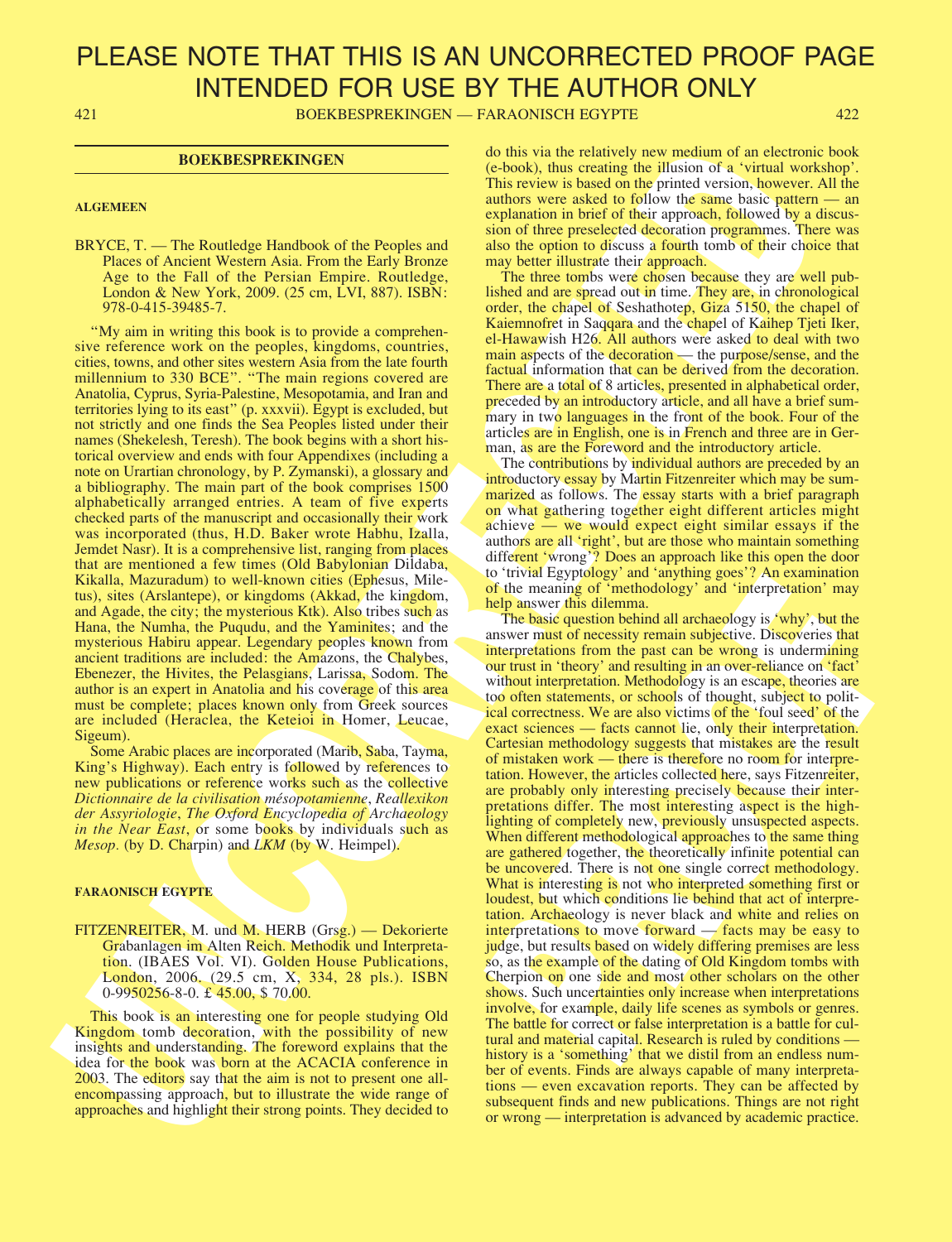421 BOEKBESPREKINGEN — FARAONISCH EGYPTE 422

### **BOEKBESPREKINGEN**

#### **ALGEMEEN**

BRYCE, T. — The Routledge Handbook of the Peoples and Places of Ancient Western Asia. From the Early Bronze Age to the Fall of the Persian Empire. Routledge, London & New York, 2009. (25 cm, LVI, 887). ISBN: 978-0-415-39485-7.

"My aim in writing this book is to provide a comprehensive reference work on the peoples, kingdoms, countries, cities, towns, and other sites western Asia from the late fourth millennium to 330 BCE". "The main regions covered are Anatolia, Cyprus, Syria-Palestine, Mesopotamia, and Iran and territories lying to its east" (p. xxxvii). Egypt is excluded, but not strictly and one finds the Sea Peoples listed under their names (Shekelesh, Teresh). The book begins with a short historical overview and ends with four Appendixes (including a note on Urartian chronology, by P. Zymanski), a glossary and a bibliography. The main part of the book comprises 1500 alphabetically arranged entries. A team of five experts checked parts of the manuscript and occasionally their work was incorporated (thus, H.D. Baker wrote Habhu, Izalla, Jemdet Nasr). It is a comprehensive list, ranging from places that are mentioned a few times (Old Babylonian Dildaba, Kikalla, Mazuradum) to well-known cities (Ephesus, Miletus), sites (Arslantepe), or kingdoms (Akkad, the kingdom, and Agade, the city; the mysterious Ktk). Also tribes such as Hana, the Numha, the Puqudu, and the Yaminites; and the mysterious Habiru appear. Legendary peoples known from ancient traditions are included: the Amazons, the Chalybes, Ebenezer, the Hivites, the Pelasgians, Larissa, Sodom. The author is an expert in Anatolia and his coverage of this area must be complete; places known only from Greek sources are included (Heraclea, the Keteioi in Homer, Leucae, Sigeum).

Some Arabic places are incorporated (Marib, Saba, Tayma, King's Highway). Each entry is followed by references to new publications or reference works such as the collective Dictionnaire de la civilisation mésopotamienne, Reallexikon der Assyriologie, The Oxford Encyclopedia of Archaeology in the Near East, or some books by individuals such as Mesop. (by D. Charpin) and LKM (by W. Heimpel).

#### **FARAONISCH EGYPTE**

FITZENREITER, M. und M. HERB (Grsg.) — Dekorierte Grabanlagen im Alten Reich. Methodik und Interpretation. (IBAES Vol. VI). Golden House Publications, London, 2006. (29.5 cm, X, 334, 28 pls.). ISBN 0-9950256-8-0. £45.00, \$70.00.

This book is an interesting one for people studying Old Kingdom tomb decoration, with the possibility of new insights and understanding. The foreword explains that the idea for the book was born at the ACACIA conference in 2003. The editors say that the aim is not to present one allencompassing approach, but to illustrate the wide range of approaches and highlight their strong points. They decided to do this via the relatively new medium of an electronic book (e-book), thus creating the illusion of a 'virtual workshop'. This review is based on the printed version, however. All the authors were asked to follow the same basic pattern — an explanation in brief of their approach, followed by a discussion of three preselected decoration programmes. There was also the option to discuss a fourth tomb of their choice that may better illustrate their approach.

The three tombs were chosen because they are well published and are spread out in time. They are, in chronological order, the chapel of Seshathotep, Giza 5150, the chapel of Kaiemnofret in Saqqara and the chapel of Kaihep Tjeti Iker, el-Hawawish H26. All authors were asked to deal with two main aspects of the decoration — the purpose/sense, and the factual information that can be derived from the decoration. There are a total of 8 articles, presented in alphabetical order, preceded by an introductory article, and all have a brief summary in two languages in the front of the book. Four of the articles are in English, one is in French and three are in German, as are the Foreword and the introductory article.

The contributions by individual authors are preceded by an introductory essay by Martin Fitzenreiter which may be summarized as follows. The essay starts with a brief paragraph on what gathering together eight different articles might achieve — we would expect eight similar essays if the authors are all 'right', but are those who maintain something different 'wrong'? Does an approach like this open the door to 'trivial Egyptology' and 'anything goes'? An examination of the meaning of 'methodology' and 'interpretation' may help answer this dilemma.

**EXERCISE SETTLE AND THE VALUE AND ACTES AND THE UNCORRECTED AND INTEREST AND INTEREST AND ACTES AND ACTES AND THE VALUE AND THE VALUE AND THE VALUE AND THE VALUE AND THE VALUE AND THE VALUE AND THE VALUE AND THE VALUE AN** for the magpitology and "anythmug goes" say as the can<br>almost of the meaning of "methodology" and "interpretation" may<br>help asswer this dilemma.<br>The basic question behind all archaeology is "why", but the<br>answer must of ne The basic question behind all archaeology is 'why', but the answer must of necessity remain subjective. Discoveries that interpretations from the past can be wrong is undermining our trust in 'theory' and resulting in an over-reliance on 'fact' without interpretation. Methodology is an escape, theories are too often statements, or schools of thought, subject to political correctness. We are also victims of the 'foul seed' of the exact sciences — facts cannot lie, only their interpretation. Cartesian methodology suggests that mistakes are the result of mistaken work — there is therefore no room for interpretation. However, the articles collected here, says Fitzenreiter, are probably only interesting precisely because their interpretations differ. The most interesting aspect is the highlighting of completely new, previously unsuspected aspects. When different methodological approaches to the same thing are gathered together, the theoretically infinite potential can be uncovered. There is not one single correct methodology. What is interesting is not who interpreted something first or loudest, but which conditions lie behind that act of interpretation. Archaeology is never black and white and relies on interpretations to move forward — facts may be easy to judge, but results based on widely differing premises are less so, as the example of the dating of Old Kingdom tombs with Cherpion on one side and most other scholars on the other shows. Such uncertainties only increase when interpretations involve, for example, daily life scenes as symbols or genres. The battle for correct or false interpretation is a battle for cultural and material capital. Research is ruled by conditions history is a 'something' that we distil from an endless number of events. Finds are always capable of many interpretations — even excavation reports. They can be affected by subsequent finds and new publications. Things are not right or wrong — interpretation is advanced by academic practice.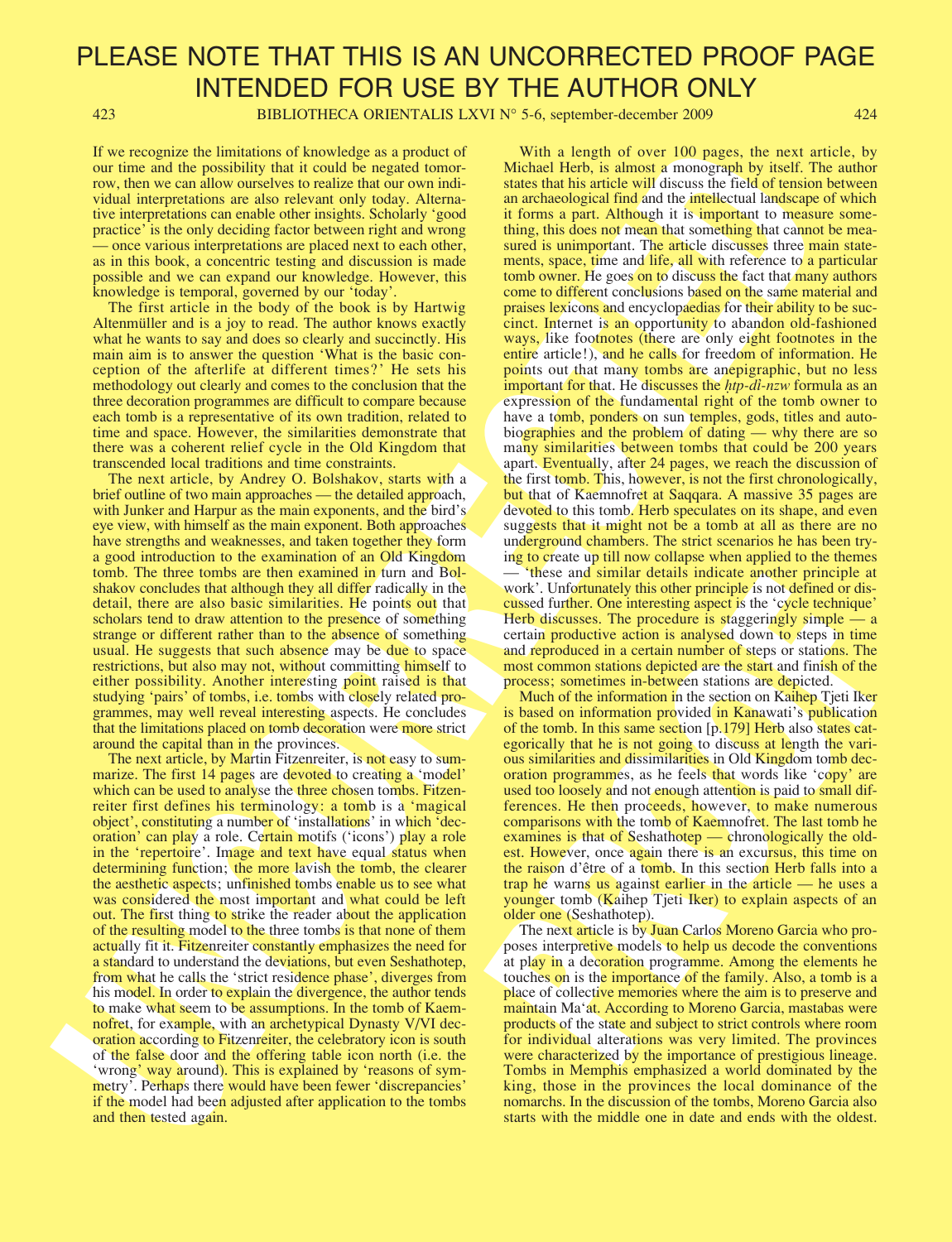423 BIBLIOTHECA ORIENTALIS LXVI N° 5-6, september-december 2009 424

If we recognize the limitations of knowledge as a product of our time and the possibility that it could be negated tomorrow, then we can allow ourselves to realize that our own individual interpretations are also relevant only today. Alternative interpretations can enable other insights. Scholarly 'good practice' is the only deciding factor between right and wrong — once various interpretations are placed next to each other, as in this book, a concentric testing and discussion is made possible and we can expand our knowledge. However, this knowledge is temporal, governed by our 'today'.

The first article in the body of the book is by Hartwig Altenmüller and is a joy to read. The author knows exactly what he wants to say and does so clearly and succinctly. His main aim is to answer the question 'What is the basic conception of the afterlife at different times?' He sets his methodology out clearly and comes to the conclusion that the three decoration programmes are difficult to compare because each tomb is a representative of its own tradition, related to time and space. However, the similarities demonstrate that there was a coherent relief cycle in the Old Kingdom that transcended local traditions and time constraints.

The next article, by Andrey O. Bolshakov, starts with a brief outline of two main approaches — the detailed approach, with Junker and Harpur as the main exponents, and the bird's eye view, with himself as the main exponent. Both approaches have strengths and weaknesses, and taken together they form a good introduction to the examination of an Old Kingdom tomb. The three tombs are then examined in turn and Bolshakov concludes that although they all differ radically in the detail, there are also basic similarities. He points out that scholars tend to draw attention to the presence of something strange or different rather than to the absence of something usual. He suggests that such absence may be due to space restrictions, but also may not, without committing himself to either possibility. Another interesting point raised is that studying 'pairs' of tombs, i.e. tombs with closely related programmes, may well reveal interesting aspects. He concludes that the limitations placed on tomb decoration were more strict around the capital than in the provinces.

The next article, by Martin Fitzenreiter, is not easy to summarize. The first 14 pages are devoted to creating a 'model' which can be used to analyse the three chosen tombs. Fitzenreiter first defines his terminology: a tomb is a 'magical object', constituting a number of 'installations' in which 'decoration' can play a role. Certain motifs ('icons') play a role in the 'repertoire'. Image and text have equal status when determining function; the more lavish the tomb, the clearer the aesthetic aspects; unfinished tombs enable us to see what was considered the most important and what could be left out. The first thing to strike the reader about the application of the resulting model to the three tombs is that none of them actually fit it. Fitzenreiter constantly emphasizes the need for a standard to understand the deviations, but even Seshathotep, from what he calls the 'strict residence phase', diverges from his model. In order to explain the divergence, the author tends to make what seem to be assumptions. In the tomb of Kaemnofret, for example, with an archetypical Dynasty V/VI decoration according to Fitzenreiter, the celebratory icon is south of the false door and the offering table icon north (i.e. the 'wrong' way around). This is explained by 'reasons of symmetry'. Perhaps there would have been fewer 'discrepancies' if the model had been adjusted after application to the tombs and then tested again.

If we consider the limit of the state is a property of the state is a model of the state is a model of the state is a model of the state is a model of the state is a model of the state is a model of the state is a model o With a length of over 100 pages, the next article, by Michael Herb, is almost a monograph by itself. The author states that his article will discuss the field of tension between an archaeological find and the intellectual landscape of which it forms a part. Although it is important to measure something, this does not mean that something that cannot be measured is unimportant. The article discusses three main statements, space, time and life, all with reference to a particular tomb owner. He goes on to discuss the fact that many authors come to different conclusions based on the same material and praises lexicons and encyclopaedias for their ability to be succinct. Internet is an opportunity to abandon old-fashioned ways, like footnotes (there are only eight footnotes in the entire article!), and he calls for freedom of information. He points out that many tombs are anepigraphic, but no less important for that. He discusses the *htp-di-nzw* formula as an expression of the fundamental right of the tomb owner to have a tomb, ponders on sun temples, gods, titles and autobiographies and the problem of dating — why there are so many similarities between tombs that could be 200 years apart. Eventually, after 24 pages, we reach the discussion of the first tomb. This, however, is not the first chronologically, but that of Kaemnofret at Saqqara. A massive 35 pages are devoted to this tomb. Herb speculates on its shape, and even suggests that it might not be a tomb at all as there are no underground chambers. The strict scenarios he has been trying to create up till now collapse when applied to the themes — 'these and similar details indicate another principle at work'. Unfortunately this other principle is not defined or discussed further. One interesting aspect is the 'cycle technique' Herb discusses. The procedure is staggeringly simple — a certain productive action is analysed down to steps in time and reproduced in a certain number of steps or stations. The most common stations depicted are the start and finish of the process; sometimes in-between stations are depicted.

work. Unfortunately this other pincine is not defined or discussed further. On interesting appear is the "cycle technique"<br>Herb discusses. The procedure is staggeringly simple – a<br>Term discusses. The procedure is staggeri Much of the information in the section on Kaihep Tjeti Iker is based on information provided in Kanawati's publication of the tomb. In this same section [p.179] Herb also states categorically that he is not going to discuss at length the various similarities and dissimilarities in Old Kingdom tomb decoration programmes, as he feels that words like 'copy' are used too loosely and not enough attention is paid to small differences. He then proceeds, however, to make numerous comparisons with the tomb of Kaemnofret. The last tomb he examines is that of Seshathotep — chronologically the oldest. However, once again there is an excursus, this time on the raison d'être of a tomb. In this section Herb falls into a trap he warns us against earlier in the article — he uses a younger tomb (Kaihep Tjeti Iker) to explain aspects of an older one (Seshathotep).

The next article is by Juan Carlos Moreno Garcia who proposes interpretive models to help us decode the conventions at play in a decoration programme. Among the elements he touches on is the importance of the family. Also, a tomb is a place of collective memories where the aim is to preserve and maintain Ma'at. According to Moreno Garcia, mastabas were products of the state and subject to strict controls where room for individual alterations was very limited. The provinces were characterized by the importance of prestigious lineage. Tombs in Memphis emphasized a world dominated by the king, those in the provinces the local dominance of the nomarchs. In the discussion of the tombs, Moreno Garcia also starts with the middle one in date and ends with the oldest.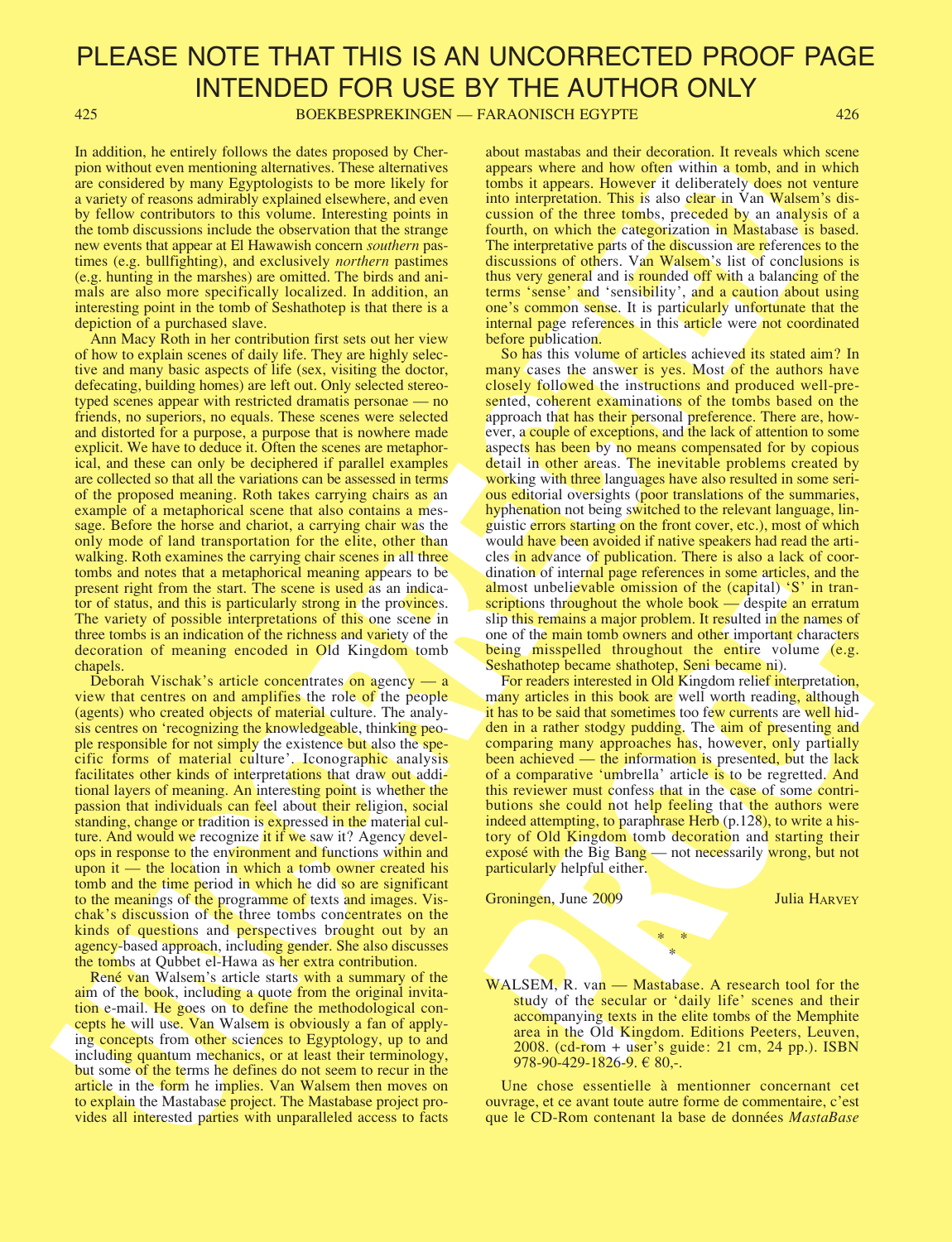425 BOEKBESPREKINGEN — FARAONISCH EGYPTE 426

In addition, he entirely follows the dates proposed by Cherpion without even mentioning alternatives. These alternatives are considered by many Egyptologists to be more likely for a variety of reasons admirably explained elsewhere, and even by fellow contributors to this volume. Interesting points in the tomb discussions include the observation that the strange new events that appear at El Hawawish concern southern pastimes (e.g. bullfighting), and exclusively northern pastimes (e.g. hunting in the marshes) are omitted. The birds and animals are also more specifically localized. In addition, an interesting point in the tomb of Seshathotep is that there is a depiction of a purchased slave.

In a distinction in control is the appear of the second with the second with the second with the second with the second with the second with the second with the second with the second with the second with the second with Ann Macy Roth in her contribution first sets out her view of how to explain scenes of daily life. They are highly selective and many basic aspects of life (sex, visiting the doctor, defecating, building homes) are left out. Only selected stereotyped scenes appear with restricted dramatis personae — no friends, no superiors, no equals. These scenes were selected and distorted for a purpose, a purpose that is nowhere made explicit. We have to deduce it. Often the scenes are metaphorical, and these can only be deciphered if parallel examples are collected so that all the variations can be assessed in terms of the proposed meaning. Roth takes carrying chairs as an example of a metaphorical scene that also contains a message. Before the horse and chariot, a carrying chair was the only mode of land transportation for the elite, other than walking. Roth examines the carrying chair scenes in all three tombs and notes that a metaphorical meaning appears to be present right from the start. The scene is used as an indicator of status, and this is particularly strong in the provinces. The variety of possible interpretations of this one scene in three tombs is an indication of the richness and variety of the decoration of meaning encoded in Old Kingdom tomb chapels.

Deborah Vischak's article concentrates on agency — a view that centres on and amplifies the role of the people (agents) who created objects of material culture. The analysis centres on 'recognizing the knowledgeable, thinking people responsible for not simply the existence but also the specific forms of material culture'. Iconographic analysis facilitates other kinds of interpretations that draw out additional layers of meaning. An interesting point is whether the passion that individuals can feel about their religion, social standing, change or tradition is expressed in the material culture. And would we recognize it if we saw it? Agency develops in response to the environment and functions within and upon it — the location in which a tomb owner created his tomb and the time period in which he did so are significant to the meanings of the programme of texts and images. Vischak's discussion of the three tombs concentrates on the kinds of questions and perspectives brought out by an agency-based approach, including gender. She also discusses the tombs at Qubbet el-Hawa as her extra contribution.

René van Walsem's article starts with a summary of the aim of the book, including a quote from the original invitation e-mail. He goes on to define the methodological concepts he will use. Van Walsem is obviously a fan of applying concepts from other sciences to Egyptology, up to and including quantum mechanics, or at least their terminology, but some of the terms he defines do not seem to recur in the article in the form he implies. Van Walsem then moves on to explain the Mastabase project. The Mastabase project provides all interested parties with unparalleled access to facts about mastabas and their decoration. It reveals which scene appears where and how often within a tomb, and in which tombs it appears. However it deliberately does not venture into interpretation. This is also clear in Van Walsem's discussion of the three tombs, preceded by an analysis of a fourth, on which the categorization in Mastabase is based. The interpretative parts of the discussion are references to the discussions of others. Van Walsem's list of conclusions is thus very general and is rounded off with a balancing of the terms 'sense' and 'sensibility', and a caution about using one's common sense. It is particularly unfortunate that the internal page references in this article were not coordinated before publication.

So has this volume of articles achieved its stated aim? In many cases the answer is yes. Most of the authors have closely followed the instructions and produced well-presented, coherent examinations of the tombs based on the approach that has their personal preference. There are, however, a couple of exceptions, and the lack of attention to some aspects has been by no means compensated for by copious detail in other areas. The inevitable problems created by working with three languages have also resulted in some serious editorial oversights (poor translations of the summaries, hyphenation not being switched to the relevant language, linguistic errors starting on the front cover, etc.), most of which would have been avoided if native speakers had read the articles in advance of publication. There is also a lack of coordination of internal page references in some articles, and the almost unbelievable omission of the (capital) 'S' in transcriptions throughout the whole book — despite an erratum slip this remains a major problem. It resulted in the names of one of the main tomb owners and other important characters being misspelled throughout the entire volume (e.g. Seshathotep became shathotep, Seni became ni).

anator or including particulates in some ancients and an experimental particulates and and particulate minister and the capital  $y^2$  in transmitting this remains a major problem. It resulted in the names of sing this rem For readers interested in Old Kingdom relief interpretation, many articles in this book are well worth reading, although it has to be said that sometimes too few currents are well hidden in a rather stodgy pudding. The aim of presenting and comparing many approaches has, however, only partially been achieved — the information is presented, but the lack of a comparative 'umbrella' article is to be regretted. And this reviewer must confess that in the case of some contributions she could not help feeling that the authors were indeed attempting, to paraphrase Herb (p.128), to write a history of Old Kingdom tomb decoration and starting their exposé with the Big Bang — not necessarily wrong, but not particularly helpful either.

Groningen, June 2009 Julia HARVEY

WALSEM, R. van — Mastabase. A research tool for the study of the secular or 'daily life' scenes and their accompanying texts in the elite tombs of the Memphite area in the Old Kingdom. Editions Peeters, Leuven, 2008. (cd-rom + user's guide: 21 cm, 24 pp.). ISBN 978-90-429-1826-9.  $\in$  80,-.

\* \* \*

Une chose essentielle à mentionner concernant cet ouvrage, et ce avant toute autre forme de commentaire, c'est que le CD-Rom contenant la base de données MastaBase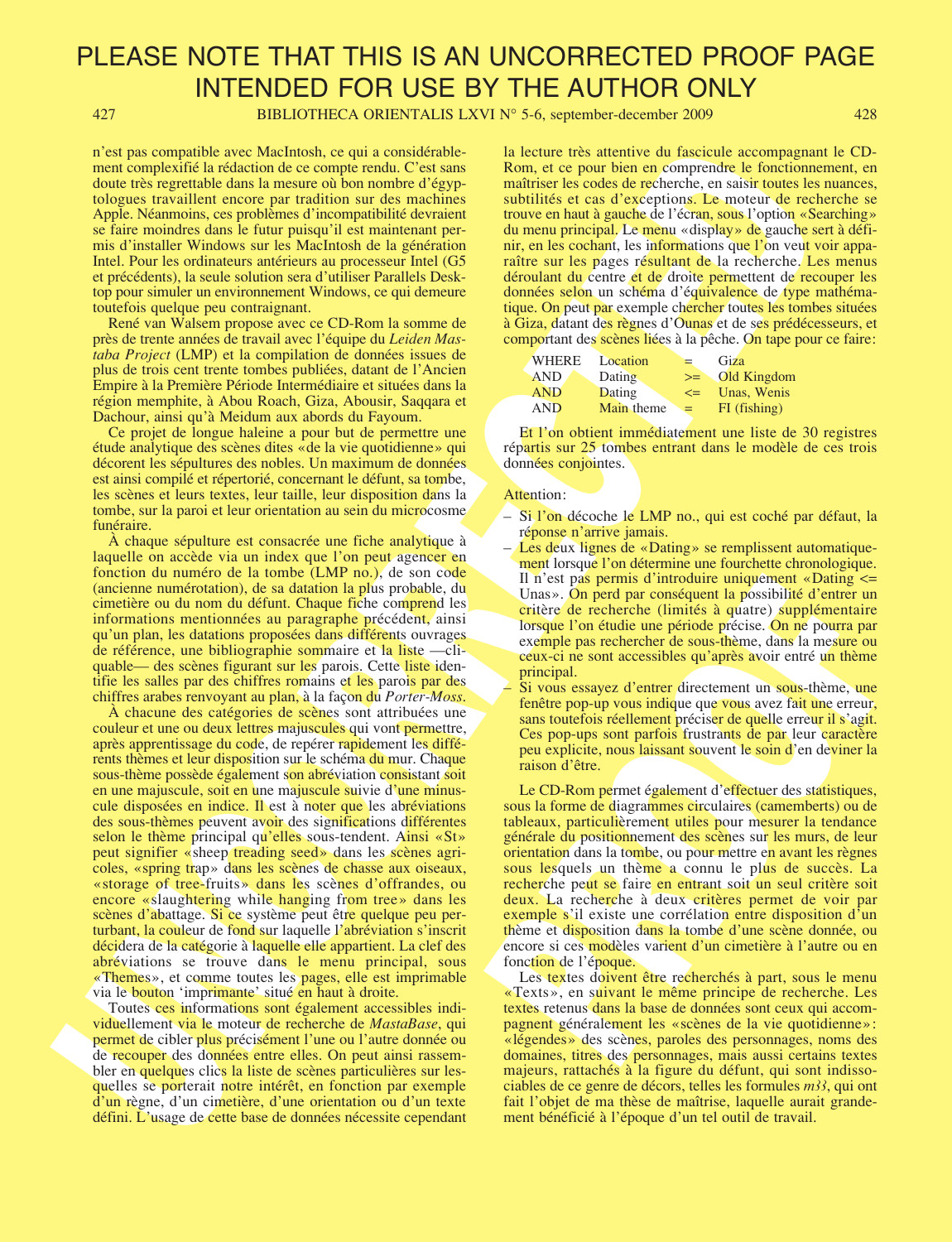427 BIBLIOTHECA ORIENTALIS LXVI N° 5-6, september-december 2009 428

n'est pas compatible avec MacIntosh, ce qui a considérablement complexifié la rédaction de ce compte rendu. C'est sans doute très regrettable dans la mesure où bon nombre d'égyptologues travaillent encore par tradition sur des machines Apple. Néanmoins, ces problèmes d'incompatibilité devraient se faire moindres dans le futur puisqu'il est maintenant permis d'installer Windows sur les MacIntosh de la génération Intel. Pour les ordinateurs antérieurs au processeur Intel (G5 et précédents), la seule solution sera d'utiliser Parallels Desktop pour simuler un environnement Windows, ce qui demeure toutefois quelque peu contraignant.

René van Walsem propose avec ce CD-Rom la somme de près de trente années de travail avec l'équipe du Leiden Mastaba Project (LMP) et la compilation de données issues de plus de trois cent trente tombes publiées, datant de l'Ancien Empire à la Première Période Intermédiaire et situées dans la région memphite, à Abou Roach, Giza, Abousir, Saqqara et Dachour, ainsi qu'à Meidum aux abords du Fayoum.

Ce projet de longue haleine a pour but de permettre une étude analytique des scènes dites «de la vie quotidienne» qui décorent les sépultures des nobles. Un maximum de données est ainsi compilé et répertorié, concernant le défunt, sa tombe, les scènes et leurs textes, leur taille, leur disposition dans la tombe, sur la paroi et leur orientation au sein du microcosme funéraire.

À chaque sépulture est consacrée une fiche analytique à laquelle on accède via un index que l'on peut agencer en fonction du numéro de la tombe (LMP no.), de son code (ancienne numérotation), de sa datation la plus probable, du cimetière ou du nom du défunt. Chaque fiche comprend les informations mentionnées au paragraphe précédent, ainsi qu'un plan, les datations proposées dans différents ouvrages de référence, une bibliographie sommaire et la liste —cliquable— des scènes figurant sur les parois. Cette liste identifie les salles par des chiffres romains et les parois par des chiffres arabes renvoyant au plan, à la façon du Porter-Moss.

USE as considered methodology entre considerable. In locate he anchor de la considerable de la considerable de la considerable de la considerable de la considerable de la considerable de la considerable de la considerab À chacune des catégories de scènes sont attribuées une couleur et une ou deux lettres majuscules qui vont permettre, après apprentissage du code, de repérer rapidement les différents thèmes et leur disposition sur le schéma du mur. Chaque sous-thème possède également son abréviation consistant soit en une majuscule, soit en une majuscule suivie d'une minuscule disposées en indice. Il est à noter que les abréviations des sous-thèmes peuvent avoir des significations différentes selon le thème principal qu'elles sous-tendent. Ainsi «St» peut signifier «sheep treading seed» dans les scènes agricoles, «spring trap» dans les scènes de chasse aux oiseaux, «storage of tree-fruits» dans les scènes d'offrandes, ou encore «slaughtering while hanging from tree» dans les scènes d'abattage. Si ce système peut être quelque peu perturbant, la couleur de fond sur laquelle l'abréviation s'inscrit décidera de la catégorie à laquelle elle appartient. La clef des abréviations se trouve dans le menu principal, sous «Themes», et comme toutes les pages, elle est imprimable via le bouton 'imprimante' situé en haut à droite.

Toutes ces informations sont également accessibles individuellement via le moteur de recherche de MastaBase, qui permet de cibler plus précisément l'une ou l'autre donnée ou de recouper des données entre elles. On peut ainsi rassembler en quelques clics la liste de scènes particulières sur lesquelles se porterait notre intérêt, en fonction par exemple d'un règne, d'un cimetière, d'une orientation ou d'un texte défini. L'usage de cette base de données nécessite cependant la lecture très attentive du fascicule accompagnant le CD-Rom, et ce pour bien en comprendre le fonctionnement, en maîtriser les codes de recherche, en saisir toutes les nuances, subtilités et cas d'exceptions. Le moteur de recherche se trouve en haut à gauche de l'écran, sous l'option «Searching» du menu principal. Le menu «display» de gauche sert à définir, en les cochant, les informations que l'on veut voir apparaître sur les pages résultant de la recherche. Les menus déroulant du centre et de droite permettent de recouper les données selon un schéma d'équivalence de type mathématique. On peut par exemple chercher toutes les tombes situées à Giza, datant des règnes d'Ounas et de ses prédécesseurs, et comportant des scènes liées à la pêche. On tape pour ce faire:

| <b>WHERE</b> | Location   | $=$     | Giza         |
|--------------|------------|---------|--------------|
| <b>AND</b>   | Dating     | $>=$    | Old Kingdom  |
| <b>AND</b>   | Dating     | $\leq$  | Unas, Wenis  |
| <b>AND</b>   | Main theme | $=$ $-$ | FI (fishing) |

Et l'on obtient immédiatement une liste de 30 registres répartis sur 25 tombes entrant dans le modèle de ces trois données conjointes.

#### Attention:

- Si l'on décoche le LMP no., qui est coché par défaut, la réponse n'arrive jamais.
- Les deux lignes de «Dating» se remplissent automatiquement lorsque l'on détermine une fourchette chronologique. Il n'est pas permis d'introduire uniquement «Dating <= Unas». On perd par conséquent la possibilité d'entrer un critère de recherche (limités à quatre) supplémentaire lorsque l'on étudie une période précise. On ne pourra par exemple pas rechercher de sous-thème, dans la mesure ou ceux-ci ne sont accessibles qu'après avoir entré un thème principal.
- Si vous essayez d'entrer directement un sous-thème, une fenêtre pop-up vous indique que vous avez fait une erreur, sans toutefois réellement préciser de quelle erreur il s'agit. Ces pop-ups sont parfois frustrants de par leur caractère peu explicite, nous laissant souvent le soin d'en deviner la raison d'être.

Il n'est pas permis d'introduire unique-met «Dating  $\leq$ =<br>Unas». On perd par conséquent la possibilité d'entrer un<br>critère de recherche (limités à quatre) supplémentaire<br>lorsque l'on déude une période précise. On ne pour Le CD-Rom permet également d'effectuer des statistiques, sous la forme de diagrammes circulaires (camemberts) ou de tableaux, particulièrement utiles pour mesurer la tendance générale du positionnement des scènes sur les murs, de leur orientation dans la tombe, ou pour mettre en avant les règnes sous lesquels un thème a connu le plus de succès. La recherche peut se faire en entrant soit un seul critère soit deux. La recherche à deux critères permet de voir par exemple s'il existe une corrélation entre disposition d'un thème et disposition dans la tombe d'une scène donnée, ou encore si ces modèles varient d'un cimetière à l'autre ou en fonction de l'époque.

Les textes doivent être recherchés à part, sous le menu «Texts», en suivant le même principe de recherche. Les textes retenus dans la base de données sont ceux qui accompagnent généralement les «scènes de la vie quotidienne»: «légendes» des scènes, paroles des personnages, noms des domaines, titres des personnages, mais aussi certains textes majeurs, rattachés à la figure du défunt, qui sont indissociables de ce genre de décors, telles les formules  $m/3$ , qui ont fait l'objet de ma thèse de maîtrise, laquelle aurait grandement bénéficié à l'époque d'un tel outil de travail.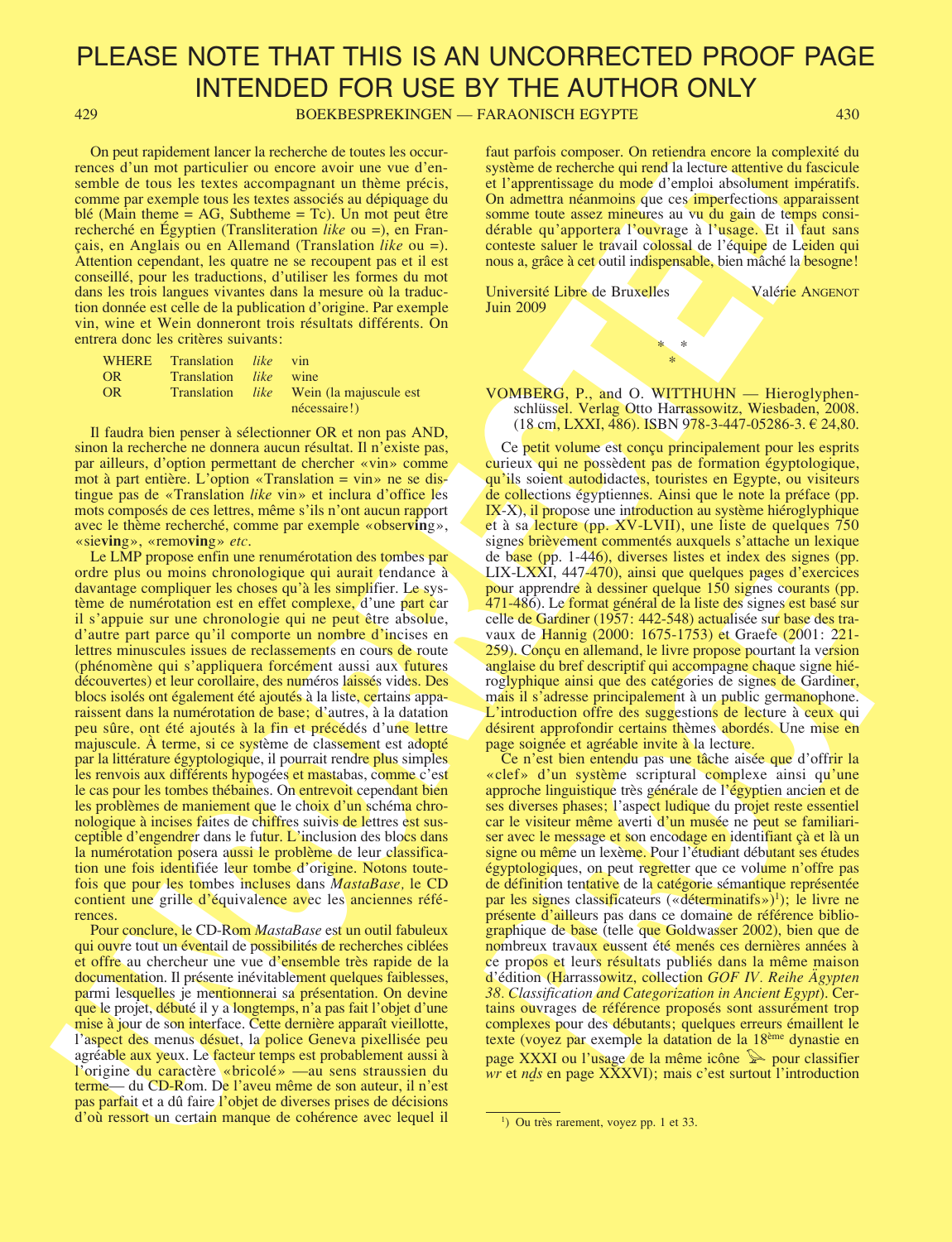429 BOEKBESPREKINGEN — FARAONISCH EGYPTE 430

On peut rapidement lancer la recherche de toutes les occurrences d'un mot particulier ou encore avoir une vue d'ensemble de tous les textes accompagnant un thème précis, comme par exemple tous les textes associés au dépiquage du blé (Main theme = AG, Subtheme = Tc). Un mot peut être recherché en Égyptien (Transliteration like ou =), en Français, en Anglais ou en Allemand (Translation like ou =). Attention cependant, les quatre ne se recoupent pas et il est conseillé, pour les traductions, d'utiliser les formes du mot dans les trois langues vivantes dans la mesure où la traduction donnée est celle de la publication d'origine. Par exemple vin, wine et Wein donneront trois résultats différents. On entrera donc les critères suivants:

| <b>WHERE</b>   | Translation <i>like</i> |        | vin                                            |
|----------------|-------------------------|--------|------------------------------------------------|
| OR.            | <b>Translation</b>      | like l | wine                                           |
| 0 <sub>R</sub> |                         |        | Translation <i>like</i> Wein (la majuscule est |
|                |                         |        | nécessaire!)                                   |

Il faudra bien penser à sélectionner OR et non pas AND, sinon la recherche ne donnera aucun résultat. Il n'existe pas, par ailleurs, d'option permettant de chercher «vin» comme mot à part entière. L'option «Translation = vin» ne se distingue pas de «Translation like vin» et inclura d'office les mots composés de ces lettres, même s'ils n'ont aucun rapport avec le thème recherché, comme par exemple «obser**vin**g», «sie**vin**g», «remo**vin**g» etc.

On procedure there is no control to be a solution of the projection of the control to the projection of the control to the control to the control to the control to the control to the control to the control to the control Le LMP propose enfin une renumérotation des tombes par ordre plus ou moins chronologique qui aurait tendance à davantage compliquer les choses qu'à les simplifier. Le système de numérotation est en effet complexe, d'une part car il s'appuie sur une chronologie qui ne peut être absolue, d'autre part parce qu'il comporte un nombre d'incises en lettres minuscules issues de reclassements en cours de route (phénomène qui s'appliquera forcément aussi aux futures découvertes) et leur corollaire, des numéros laissés vides. Des blocs isolés ont également été ajoutés à la liste, certains apparaissent dans la numérotation de base; d'autres, à la datation peu sûre, ont été ajoutés à la fin et précédés d'une lettre majuscule. À terme, si ce système de classement est adopté par la littérature égyptologique, il pourrait rendre plus simples les renvois aux différents hypogées et mastabas, comme c'est le cas pour les tombes thébaines. On entrevoit cependant bien les problèmes de maniement que le choix d'un schéma chronologique à incises faites de chiffres suivis de lettres est susceptible d'engendrer dans le futur. L'inclusion des blocs dans la numérotation posera aussi le problème de leur classification une fois identifiée leur tombe d'origine. Notons toutefois que pour les tombes incluses dans MastaBase, le CD contient une grille d'équivalence avec les anciennes références.

Pour conclure, le CD-Rom MastaBase est un outil fabuleux qui ouvre tout un éventail de possibilités de recherches ciblées et offre au chercheur une vue d'ensemble très rapide de la documentation. Il présente inévitablement quelques faiblesses, parmi lesquelles je mentionnerai sa présentation. On devine que le projet, débuté il y a longtemps, n'a pas fait l'objet d'une mise à jour de son interface. Cette dernière apparaît vieillotte, l'aspect des menus désuet, la police Geneva pixellisée peu agréable aux yeux. Le facteur temps est probablement aussi à l'origine du caractère «bricolé» —au sens straussien du terme— du CD-Rom. De l'aveu même de son auteur, il n'est pas parfait et a dû faire l'objet de diverses prises de décisions d'où ressort un certain manque de cohérence avec lequel il faut parfois composer. On retiendra encore la complexité du système de recherche qui rend la lecture attentive du fascicule et l'apprentissage du mode d'emploi absolument impératifs. On admettra néanmoins que ces imperfections apparaissent somme toute assez mineures au vu du gain de temps considérable qu'apportera l'ouvrage à l'usage. Et il faut sans conteste saluer le travail colossal de l'équipe de Leiden qui nous a, grâce à cet outil indispensable, bien mâché la besogne!

Université Libre de Bruxelles Valérie ANGENOT Juin 2009

VOMBERG, P., and O. WITTHUHN — Hieroglyphenschlüssel. Verlag Otto Harrassowitz, Wiesbaden, 2008.  $(18 \text{ cm}, \text{LXXI}, 486)$ . ISBN 978-3-447-05286-3.  $\epsilon$  24,80.

 $\ast$ \*

Ce petit volume est conçu principalement pour les esprits curieux qui ne possèdent pas de formation égyptologique, qu'ils soient autodidactes, touristes en Egypte, ou visiteurs de collections égyptiennes. Ainsi que le note la préface (pp. IX-X), il propose une introduction au système hiéroglyphique et à sa lecture (pp. XV-LVII), une liste de quelques 750 signes brièvement commentés auxquels s'attache un lexique de base (pp. 1-446), diverses listes et index des signes (pp. LIX-LXXI, 447-470), ainsi que quelques pages d'exercices pour apprendre à dessiner quelque 150 signes courants (pp. 471-486). Le format général de la liste des signes est basé sur celle de Gardiner (1957: 442-548) actualisée sur base des travaux de Hannig (2000: 1675-1753) et Graefe (2001: 221- 259). Conçu en allemand, le livre propose pourtant la version anglaise du bref descriptif qui accompagne chaque signe hiéroglyphique ainsi que des catégories de signes de Gardiner, mais il s'adresse principalement à un public germanophone. L'introduction offre des suggestions de lecture à ceux qui désirent approfondir certains thèmes abordés. Une mise en page soignée et agréable invite à la lecture.

ENERENCEALLY and the priori and the decisions pare a contractor<br>pour apprendie à dessiner quelque 150 signes courants (pp.<br>471-486). Le format genéral de la listic des signes est based sur<br>celle de Gardiner (1957; 442-548 Ce n'est bien entendu pas une tâche aisée que d'offrir la «clef» d'un système scriptural complexe ainsi qu'une approche linguistique très générale de l'égyptien ancien et de ses diverses phases; l'aspect ludique du projet reste essentiel car le visiteur même averti d'un musée ne peut se familiariser avec le message et son encodage en identifiant çà et là un signe ou même un lexème. Pour l'étudiant débutant ses études égyptologiques, on peut regretter que ce volume n'offre pas de définition tentative de la catégorie sémantique représentée par les signes classificateurs («déterminatifs»)<sup>1</sup>); le livre ne présente d'ailleurs pas dans ce domaine de référence bibliographique de base (telle que Goldwasser 2002), bien que de nombreux travaux eussent été menés ces dernières années à ce propos et leurs résultats publiés dans la même maison d'édition (Harrassowitz, collection GOF IV. Reihe Ägypten 38. Classification and Categorization in Ancient Egypt). Certains ouvrages de référence proposés sont assurément trop complexes pour des débutants; quelques erreurs émaillent le texte (voyez par exemple la datation de la 18ème dynastie en page XXXI ou l'usage de la même icône  $\gg$  pour classifier wr et n**∂**s en page XXXVI); mais c'est surtout l'introduction

 $\frac{1}{1}$  Ou très rarement, voyez pp. 1 et 33.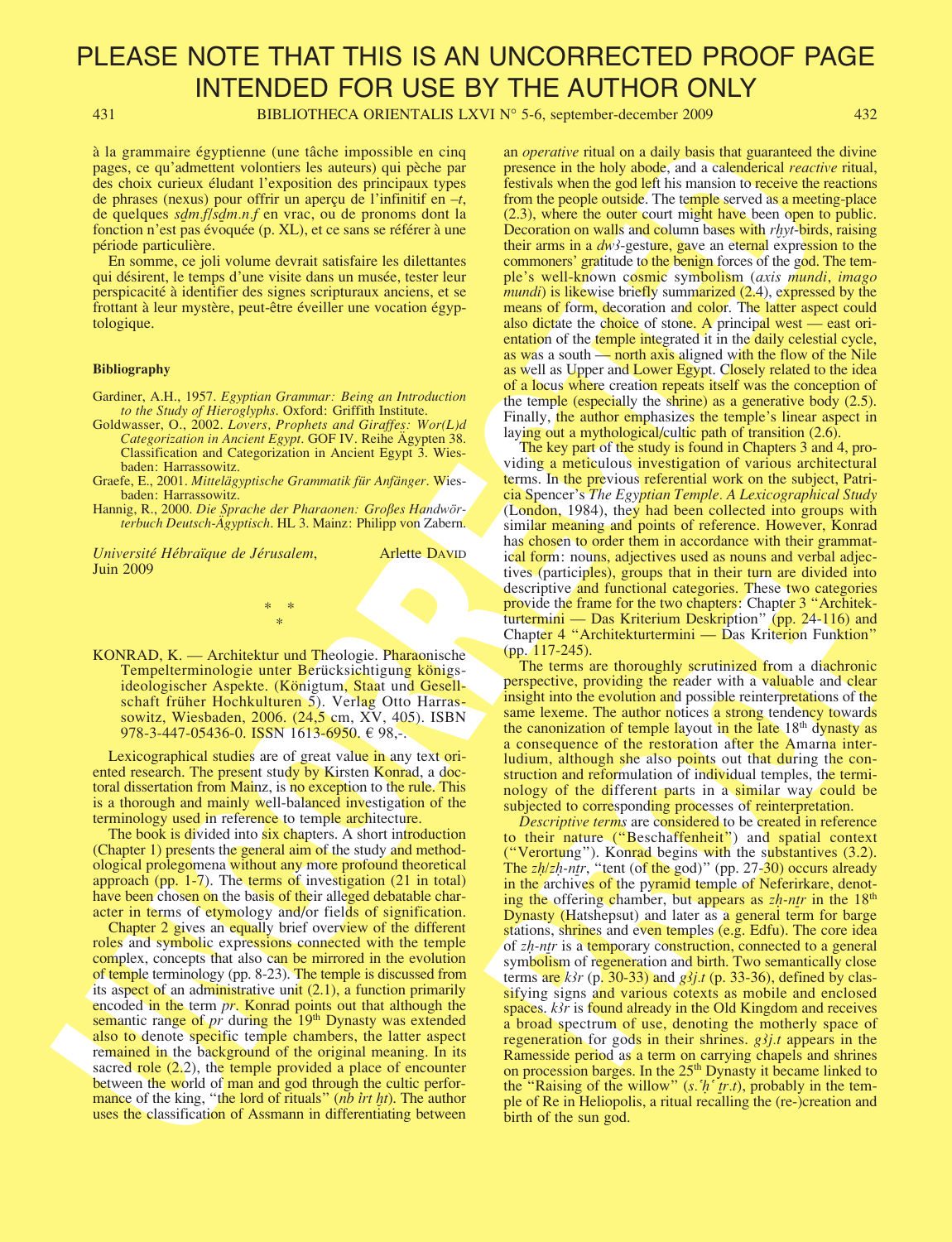431 BIBLIOTHECA ORIENTALIS LXVI N° 5-6, september-december 2009 432

à la grammaire égyptienne (une tâche impossible en cinq pages, ce qu'admettent volontiers les auteurs) qui pèche par des choix curieux éludant l'exposition des principaux types de phrases (nexus) pour offrir un aperçu de l'infinitif en  $-t$ , de quelques s**∂**m.f/s**∂**m.n.f en vrac, ou de pronoms dont la fonction n'est pas évoquée (p. XL), et ce sans se référer à une période particulière.

En somme, ce joli volume devrait satisfaire les dilettantes qui désirent, le temps d'une visite dans un musée, tester leur perspicacité à identifier des signes scripturaux anciens, et se frottant à leur mystère, peut-être éveiller une vocation égyptologique.

#### **Bibliography**

- Gardiner, A.H., 1957. Egyptian Grammar: Being an Introduction to the Study of Hieroglyphs. Oxford: Griffith Institute.
- Goldwasser, O., 2002. Lovers, Prophets and Giraffes: Wor(L)d Categorization in Ancient Egypt. GOF IV. Reihe Ägypten 38. Classification and Categorization in Ancient Egypt 3. Wiesbaden: Harrassowitz.
- Graefe, E., 2001. Mittelägyptische Grammatik für Anfänger. Wiesbaden: Harrassowitz.
- Hannig, R., 2000. Die Sprache der Pharaonen: Großes Handwörterbuch Deutsch-Ägyptisch. HL 3. Mainz: Philipp von Zabern.

 $*$ \*

Université Hébraïque de Jérusalem, Arlette DAVID Juin 2009

KONRAD, K. — Architektur und Theologie. Pharaonische Tempelterminologie unter Berücksichtigung königsideologischer Aspekte. (Königtum, Staat und Gesellschaft früher Hochkulturen 5). Verlag Otto Harrassowitz, Wiesbaden, 2006. (24,5 cm, XV, 405). ISBN 978-3-447-05436-0. ISSN 1613-6950. € 98,-.

Lexicographical studies are of great value in any text oriented research. The present study by Kirsten Konrad, a doctoral dissertation from Mainz, is no exception to the rule. This is a thorough and mainly well-balanced investigation of the terminology used in reference to temple architecture.

The book is divided into six chapters. A short introduction (Chapter 1) presents the general aim of the study and methodological prolegomena without any more profound theoretical approach (pp. 1-7). The terms of investigation (21 in total) have been chosen on the basis of their alleged debatable character in terms of etymology and/or fields of signification.

Chapter 2 gives an equally brief overview of the different roles and symbolic expressions connected with the temple complex, concepts that also can be mirrored in the evolution of temple terminology (pp. 8-23). The temple is discussed from its aspect of an administrative unit (2.1), a function primarily encoded in the term *pr*. Konrad points out that although the semantic range of  $pr$  during the  $19<sup>th</sup>$  Dynasty was extended also to denote specific temple chambers, the latter aspect remained in the background of the original meaning. In its sacred role  $(2.2)$ , the temple provided a place of encounter between the world of man and god through the cultic performance of the king, "the lord of rituals" (nb *irt ht*). The author uses the classification of Assmann in differentiating between

an operative ritual on a daily basis that guaranteed the divine presence in the holy abode, and a calenderical reactive ritual, festivals when the god left his mansion to receive the reactions from the people outside. The temple served as a meeting-place (2.3), where the outer court might have been open to public. Decoration on walls and column bases with *rhyt*-birds, raising their arms in a  $dw<sup>3</sup>$ -gesture, gave an eternal expression to the commoners' gratitude to the benign forces of the god. The temple's well-known cosmic symbolism (axis mundi, imago mundi) is likewise briefly summarized  $(2.4)$ , expressed by the means of form, decoration and color. The latter aspect could also dictate the choice of stone. A principal west — east orientation of the temple integrated it in the daily celestial cycle, as was a south — north axis aligned with the flow of the Nile as well as Upper and Lower Egypt. Closely related to the idea of a locus where creation repeats itself was the conception of the temple (especially the shrine) as a generative body (2.5). Finally, the author emphasizes the temple's linear aspect in laying out a mythological/cultic path of transition (2.6).

The key part of the study is found in Chapters 3 and 4, providing a meticulous investigation of various architectural terms. In the previous referential work on the subject, Patricia Spencer's The Egyptian Temple. A Lexicographical Study (London, 1984), they had been collected into groups with similar meaning and points of reference. However, Konrad has chosen to order them in accordance with their grammatical form: nouns, adjectives used as nouns and verbal adjectives (participles), groups that in their turn are divided into descriptive and functional categories. These two categories provide the frame for the two chapters: Chapter 3 "Architekturtermini — Das Kriterium Deskription" (pp. 24-116) and Chapter 4 "Architekturtermini — Das Kriterion Funktion" (pp. 117-245).

The terms are thoroughly scrutinized from a diachronic perspective, providing the reader with a valuable and clear insight into the evolution and possible reinterpretations of the same lexeme. The author notices a strong tendency towards the canonization of temple layout in the late 18<sup>th</sup> dynasty as a consequence of the restoration after the Amarna interludium, although she also points out that during the construction and reformulation of individual temples, the terminology of the different parts in a similar way could be subjected to corresponding processes of reinterpretation.

A la conomist expression consider the proposition of the species of the conomist expression of the conomist expression of the species of the conomist expression of the conomist expression of the conomist expression of th descriptive and functional categories. These two categories<br>descriptive and functional categories. These two categories<br>provide the frame for the two chapters'. Chapter 3 "Architek-<br>turtermini — Das Kriterium Deskription" Descriptive terms are considered to be created in reference to their nature ("Beschaffenheit") and spatial context ("Verortung"). Konrad begins with the substantives (3.2). The z**Ì**/z**Ì**-n**†**r, "tent (of the god)" (pp. 27-30) occurs already in the archives of the pyramid temple of Neferirkare, denoting the offering chamber, but appears as  $zh$ -ntr in the 18<sup>th</sup> Dynasty (Hatshepsut) and later as a general term for barge stations, shrines and even temples (e.g. Edfu). The core idea of z**Ì**-n**†**r is a temporary construction, connected to a general symbolism of regeneration and birth. Two semantically close terms are  $k\lambda r$  (p. 30-33) and  $g\lambda j.t$  (p. 33-36), defined by classifying signs and various cotexts as mobile and enclosed spaces.  $k\delta r$  is found already in the Old Kingdom and receives a broad spectrum of use, denoting the motherly space of regeneration for gods in their shrines.  $g_{i,j}f_{i,j}$  appears in the Ramesside period as a term on carrying chapels and shrines on procession barges. In the 25<sup>th</sup> Dynasty it became linked to the "Raising of the willow" (s. h<sup>o</sup> tr.t), probably in the temple of Re in Heliopolis, a ritual recalling the (re-)creation and birth of the sun god.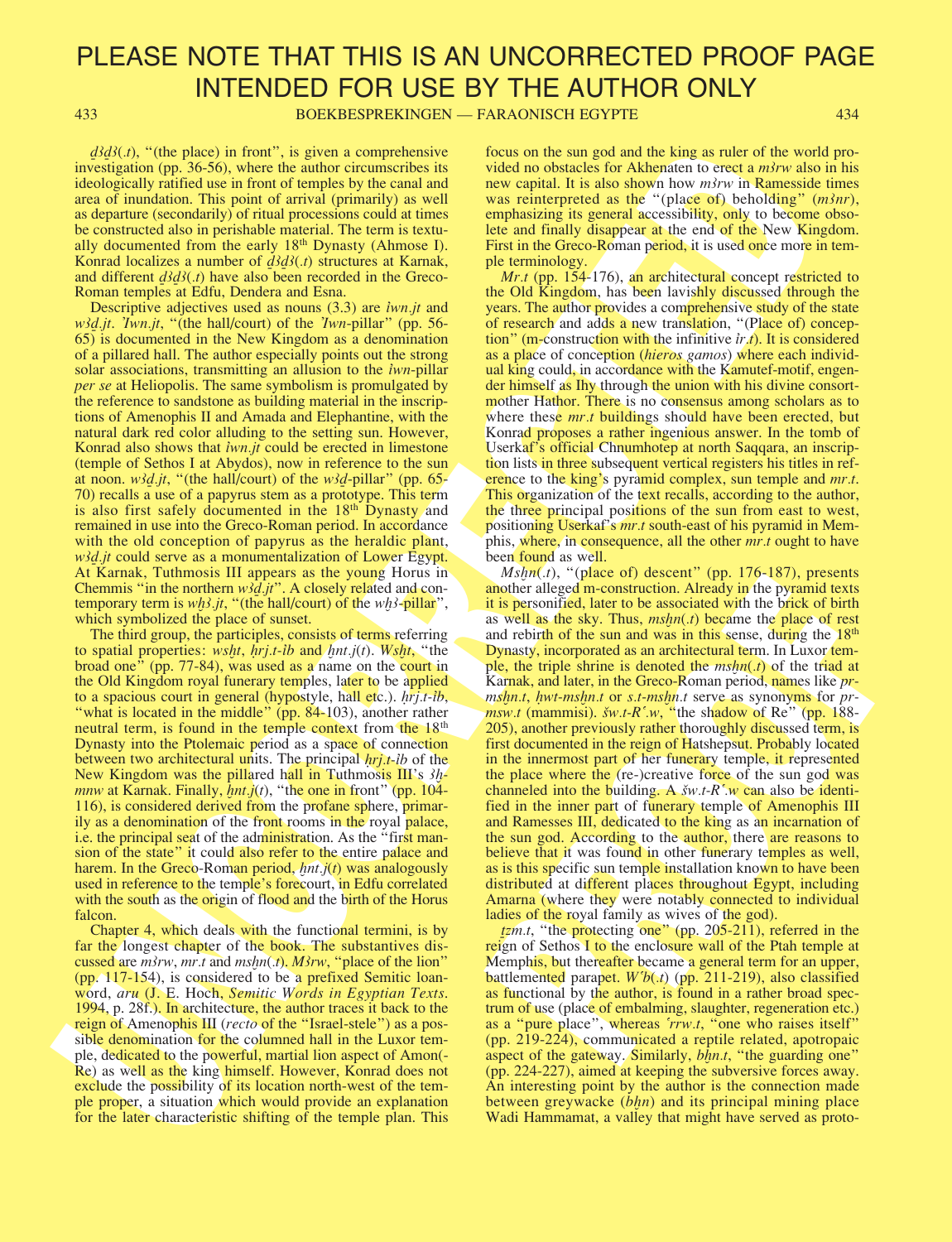433 BOEKBESPREKINGEN — FARAONISCH EGYPTE 434

*d*<sup>3</sup>*d*<sup>3</sup>(*t*), "(the place) in front", is given a comprehensive investigation (pp. 36-56), where the author circumscribes its ideologically ratified use in front of temples by the canal and area of inundation. This point of arrival (primarily) as well as departure (secondarily) of ritual processions could at times be constructed also in perishable material. The term is textually documented from the early 18th Dynasty (Ahmose I). Konrad localizes a number of **∂∂**(.t) structures at Karnak, and different **∂∂**(.t) have also been recorded in the Greco-Roman temples at Edfu, Dendera and Esna.

269 (b). "He also the control in the control interest is not as the same of the same interest is not as the same interest is not as the same interest is not as the same interest is not as the same interest is not as the Descriptive adjectives used as nouns (3.3) are *iwn.jt* and w��.jt. Twn.jt, "(the hall/court) of the Twn-pillar" (pp. 56-65) is documented in the New Kingdom as a denomination of a pillared hall. The author especially points out the strong solar associations, transmitting an allusion to the *iwn-pillar* per se at Heliopolis. The same symbolism is promulgated by the reference to sandstone as building material in the inscriptions of Amenophis II and Amada and Elephantine, with the natural dark red color alluding to the setting sun. However, Konrad also shows that *iwn.jt* could be erected in limestone (temple of Sethos I at Abydos), now in reference to the sun at noon. w**∂**.jt, "(the hall/court) of the w**∂**-pillar" (pp. 65- 70) recalls a use of a papyrus stem as a prototype. This term is also first safely documented in the 18<sup>th</sup> Dynasty and remained in use into the Greco-Roman period. In accordance with the old conception of papyrus as the heraldic plant, w*∂d.jt* could serve as a monumentalization of Lower Egypt. At Karnak, Tuthmosis III appears as the young Horus in Chemmis "in the northern w**∂**.jt". A closely related and contemporary term is wh3.jt, "(the hall/court) of the wh3-pillar", which symbolized the place of sunset.

The third group, the participles, consists of terms referring to spatial properties: wsht,  $\overline{h}$ rj.t-ib and  $\overline{h}$ nt.j(t). Wsht, "the broad one" (pp. 77-84), was used as a name on the court in the Old Kingdom royal funerary temples, later to be applied to a spacious court in general (hypostyle, hall etc.). **Ì**rj.t-íb, "what is located in the middle" (pp. 84-103), another rather neutral term, is found in the temple context from the  $18<sup>th</sup>$ Dynasty into the Ptolemaic period as a space of connection between two architectural units. The principal *hrj.t-ib* of the New Kingdom was the pillared hall in Tuthmosis III's **Ì**mnw at Karnak. Finally, *hnt.j(t)*, "the one in front" (pp. 104-116), is considered derived from the profane sphere, primarily as a denomination of the front rooms in the royal palace, i.e. the principal seat of the administration. As the "first mansion of the state" it could also refer to the entire palace and harem. In the Greco-Roman period, *hnt.j(t)* was analogously used in reference to the temple's forecourt, in Edfu correlated with the south as the origin of flood and the birth of the Horus falcon.

Chapter 4, which deals with the functional termini, is by far the longest chapter of the book. The substantives discussed are  $m\text{3}rw$ ,  $mr.t$  and  $m\text{5}hn(t)$ . M $\text{3}rw$ , "place of the lion" (pp. 117-154), is considered to be a prefixed Semitic loanword, aru (J. E. Hoch, Semitic Words in Egyptian Texts. 1994, p. 28f.). In architecture, the author traces it back to the reign of Amenophis III (recto of the "Israel-stele") as a possible denomination for the columned hall in the Luxor temple, dedicated to the powerful, martial lion aspect of Amon(- Re) as well as the king himself. However, Konrad does not exclude the possibility of its location north-west of the temple proper, a situation which would provide an explanation for the later characteristic shifting of the temple plan. This focus on the sun god and the king as ruler of the world provided no obstacles for Akhenaten to erect a  $m\lambda r$  also in his new capital. It is also shown how  $m\frac{3}{w}$  in Ramesside times was reinterpreted as the "(place of) beholding"  $(m\delta nr)$ , emphasizing its general accessibility, only to become obsolete and finally disappear at the end of the New Kingdom. First in the Greco-Roman period, it is used once more in temple terminology.

Mr.t (pp. 154-176), an architectural concept restricted to the Old Kingdom, has been lavishly discussed through the years. The author provides a comprehensive study of the state of research and adds a new translation, "(Place of) conception" (m-construction with the infinitive  $ir_1$ ). It is considered as a place of conception *(hieros gamos)* where each individual king could, in accordance with the Kamutef-motif, engender himself as Ihy through the union with his divine consortmother Hathor. There is no consensus among scholars as to where these  $mr.t$  buildings should have been erected, but Konrad proposes a rather ingenious answer. In the tomb of Userkaf's official Chnumhotep at north Saqqara, an inscription lists in three subsequent vertical registers his titles in reference to the king's pyramid complex, sun temple and *mr.t*. This organization of the text recalls, according to the author, the three principal positions of the sun from east to west, positioning Userkaf's mr.t south-east of his pyramid in Memphis, where, in consequence, all the other *mr*.t ought to have been found as well.

*magnetic*, typace or o easenable, and another alloged m-construction. Already in the pyramid texts<br>it is personified, later to be associated with the bright is the same and relative and relative the same of the same of t Mshn(.t), "(place of) descent" (pp. 176-187), presents another alleged m-construction. Already in the pyramid texts it is personified, later to be associated with the brick of birth as well as the sky. Thus,  $mshn(t)$  became the place of rest and rebirth of the sun and was in this sense, during the  $18<sup>th</sup>$ Dynasty, incorporated as an architectural term. In Luxor temple, the triple shrine is denoted the  $mshn(t)$  of the triad at Karnak, and later, in the Greco-Roman period, names like *pr*ms**Ì**n.t, **Ì**wt-ms**Ì**n.t or s.t-ms**Ì**n.t serve as synonyms for prmsw.t (mammisi). **s**w.t-R¨.w, "the shadow of Re" (pp. 188- 205), another previously rather thoroughly discussed term, is first documented in the reign of Hatshepsut. Probably located in the innermost part of her funerary temple, it represented the place where the (re-)creative force of the sun god was channeled into the building. A **s**w.t-R¨.w can also be identified in the inner part of funerary temple of Amenophis III and Ramesses III, dedicated to the king as an incarnation of the sun god. According to the author, there are reasons to believe that it was found in other funerary temples as well, as is this specific sun temple installation known to have been distributed at different places throughout Egypt, including Amarna (where they were notably connected to individual ladies of the royal family as wives of the god).

**†**zm.t, "the protecting one" (pp. 205-211), referred in the reign of Sethos I to the enclosure wall of the Ptah temple at Memphis, but thereafter became a general term for an upper, battlemented parapet.  $W<sup>'</sup>b(.)$  (pp. 211-219), also classified as functional by the author, is found in a rather broad spectrum of use (place of embalming, slaughter, regeneration etc.) as a "pure place", whereas 'rrw.t, "one who raises itself" (pp. 219-224), communicated a reptile related, apotropaic aspect of the gateway. Similarly, *bhn.t*, "the guarding one" (pp. 224-227), aimed at keeping the subversive forces away. An interesting point by the author is the connection made between greywacke (bhn) and its principal mining place Wadi Hammamat, a valley that might have served as proto-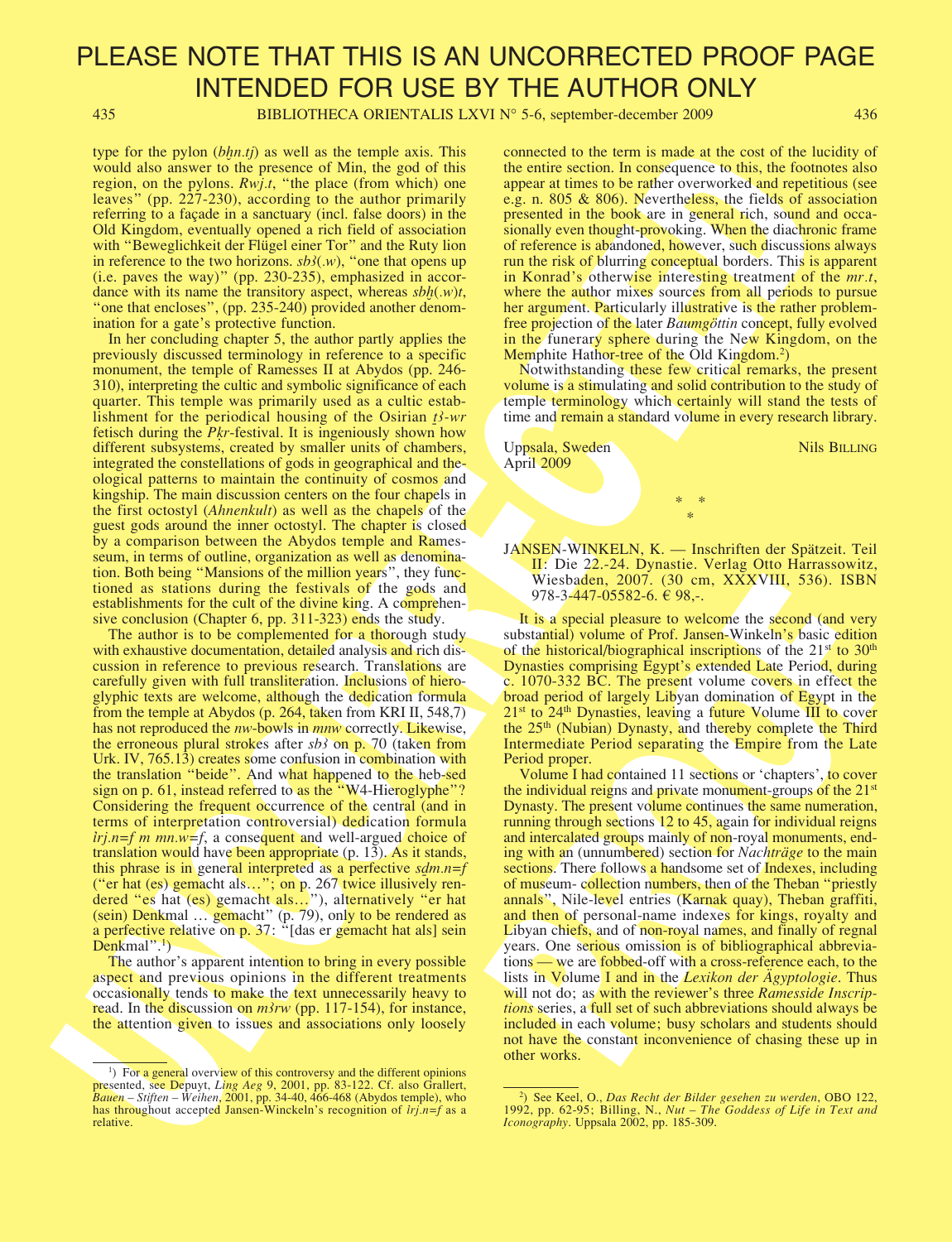435 BIBLIOTHECA ORIENTALIS LXVI N° 5-6, september-december 2009 436

type for the pylon *(bhn.tj)* as well as the temple axis. This would also answer to the presence of Min, the god of this region, on the pylons. Rwj.t, "the place (from which) one leaves" (pp. 227-230), according to the author primarily referring to a façade in a sanctuary (incl. false doors) in the Old Kingdom, eventually opened a rich field of association with "Beweglichkeit der Flügel einer Tor" and the Ruty lion in reference to the two horizons.  $s\overline{b}S(w)$ , "one that opens up (i.e. paves the way)" (pp. 230-235), emphasized in accordance with its name the transitory aspect, whereas  $sbh(w)t$ , "one that encloses", (pp. 235-240) provided another denomination for a gate's protective function.

In her concluding chapter 5, the author partly applies the previously discussed terminology in reference to a specific monument, the temple of Ramesses II at Abydos (pp. 246- 310), interpreting the cultic and symbolic significance of each quarter. This temple was primarily used as a cultic establishment for the periodical housing of the Osirian  $t$ <sup>3</sup>-wr fetisch during the *Pkr*-festival. It is ingeniously shown how different subsystems, created by smaller units of chambers, integrated the constellations of gods in geographical and theological patterns to maintain the continuity of cosmos and kingship. The main discussion centers on the four chapels in the first octostyl (Ahnenkult) as well as the chapels of the guest gods around the inner octostyl. The chapter is closed by a comparison between the Abydos temple and Ramesseum, in terms of outline, organization as well as denomination. Both being "Mansions of the million years", they functioned as stations during the festivals of the gods and establishments for the cult of the divine king. A comprehensive conclusion (Chapter 6, pp. 311-323) ends the study.

vysor for the protocol of the main and consistent of the consistent of the consistent of the main and anti-section in the main and anti-section in the main and anti-section in the main and anti-section in the main and ant The author is to be complemented for a thorough study with exhaustive documentation, detailed analysis and rich discussion in reference to previous research. Translations are carefully given with full transliteration. Inclusions of hieroglyphic texts are welcome, although the dedication formula from the temple at Abydos (p. 264, taken from KRI II, 548,7) has not reproduced the *nw*-bowls in *mnw* correctly. Likewise, the erroneous plural strokes after  $sb3$  on p. 70 (taken from Urk. IV, 765.13) creates some confusion in combination with the translation "beide". And what happened to the heb-sed sign on p. 61, instead referred to as the "W4-Hieroglyphe"? Considering the frequent occurrence of the central (and in terms of interpretation controversial) dedication formula  $irj.n=f m mn.w=f$ , a consequent and well-argued choice of translation would have been appropriate (p. 13). As it stands, this phrase is in general interpreted as a perfective *sdm.n=f* ("er hat (es) gemacht als…"; on p. 267 twice illusively rendered "es hat (es) gemacht als..."), alternatively "er hat (sein) Denkmal … gemacht" (p. 79), only to be rendered as a perfective relative on p. 37: "Idas er gemacht hat als] sein Denkmal".<sup>1</sup>)

The author's apparent intention to bring in every possible aspect and previous opinions in the different treatments occasionally tends to make the text unnecessarily heavy to read. In the discussion on  $m\lambda rw$  (pp. 117-154), for instance, the attention given to issues and associations only loosely

connected to the term is made at the cost of the lucidity of the entire section. In consequence to this, the footnotes also appear at times to be rather overworked and repetitious (see e.g. n. 805 & 806). Nevertheless, the fields of association presented in the book are in general rich, sound and occasionally even thought-provoking. When the diachronic frame of reference is abandoned, however, such discussions always run the risk of blurring conceptual borders. This is apparent in Konrad's otherwise interesting treatment of the *mr.t*, where the author mixes sources from all periods to pursue her argument. Particularly illustrative is the rather problemfree projection of the later Baumgöttin concept, fully evolved in the funerary sphere during the New Kingdom, on the Memphite Hathor-tree of the Old Kingdom.<sup>2</sup>)

Notwithstanding these few critical remarks, the present volume is a stimulating and solid contribution to the study of temple terminology which certainly will stand the tests of time and remain a standard volume in every research library.

Uppsala, Sweden Nils BILLING April 2009

JANSEN-WINKELN, K. — Inschriften der Spätzeit. Teil II: Die 22.-24. Dynastie. Verlag Otto Harrassowitz, Wiesbaden, 2007. (30 cm, XXXVIII, 536). ISBN 978-3-447-05582-6.  $\in$  98,-.

\* \* \*

It is a special pleasure to welcome the second (and very substantial) volume of Prof. Jansen-Winkeln's basic edition of the historical/biographical inscriptions of the 21<sup>st</sup> to 30<sup>th</sup> Dynasties comprising Egypt's extended Late Period, during c. 1070-332 BC. The present volume covers in effect the broad period of largely Libyan domination of Egypt in the  $21<sup>st</sup>$  to  $24<sup>th</sup>$  Dynasties, leaving a future Volume III to cover the 25<sup>th</sup> (Nubian) Dynasty, and thereby complete the Third Intermediate Period separating the Empire from the Late Period proper.

Wiesbaden, 2007. (30 cm, XXXVIII, 536). ISBN<br>978-3-447-05582-6. 698,-<br>1 is a special pleasure to welcome the second (and very<br>substantial) volume of Prof. Jansen-Winkeln's basic edition<br>of the historical/biographical insc Volume I had contained 11 sections or 'chapters', to cover the individual reigns and private monument-groups of the 21st Dynasty. The present volume continues the same numeration, running through sections 12 to 45, again for individual reigns and intercalated groups mainly of non-royal monuments, ending with an (unnumbered) section for *Nachträge* to the main sections. There follows a handsome set of Indexes, including of museum- collection numbers, then of the Theban "priestly annals", Nile-level entries (Karnak quay), Theban graffiti, and then of personal-name indexes for kings, royalty and Libyan chiefs, and of non-royal names, and finally of regnal years. One serious omission is of bibliographical abbreviations — we are fobbed-off with a cross-reference each, to the lists in Volume I and in the *Lexikon der Agyptologie*. Thus will not do; as with the reviewer's three Ramesside Inscriptions series, a full set of such abbreviations should always be included in each volume; busy scholars and students should not have the constant inconvenience of chasing these up in other works.

<sup>&</sup>lt;sup>1</sup>) For a general overview of this controversy and the different opinions presented, see Depuyt, *Ling Aeg* 9, 2001, pp. 83-122. Cf. also Grallert,  $B$ auen – Stiften – Weihen, 2001, pp. 34-40, 466-468 (Abydos temple), who has throughout accepted Jansen-Winckeln's recognition of  $iri.n=f$  as a relative.

<sup>&</sup>lt;sup>2</sup>) See Keel, O., Das Recht der Bilder gesehen zu werden, OBO 122, 1992, pp. 62-95; Billing, N., Nut – The Goddess of Life in Text and  $I$ conography. Uppsala 2002, pp. 185-309.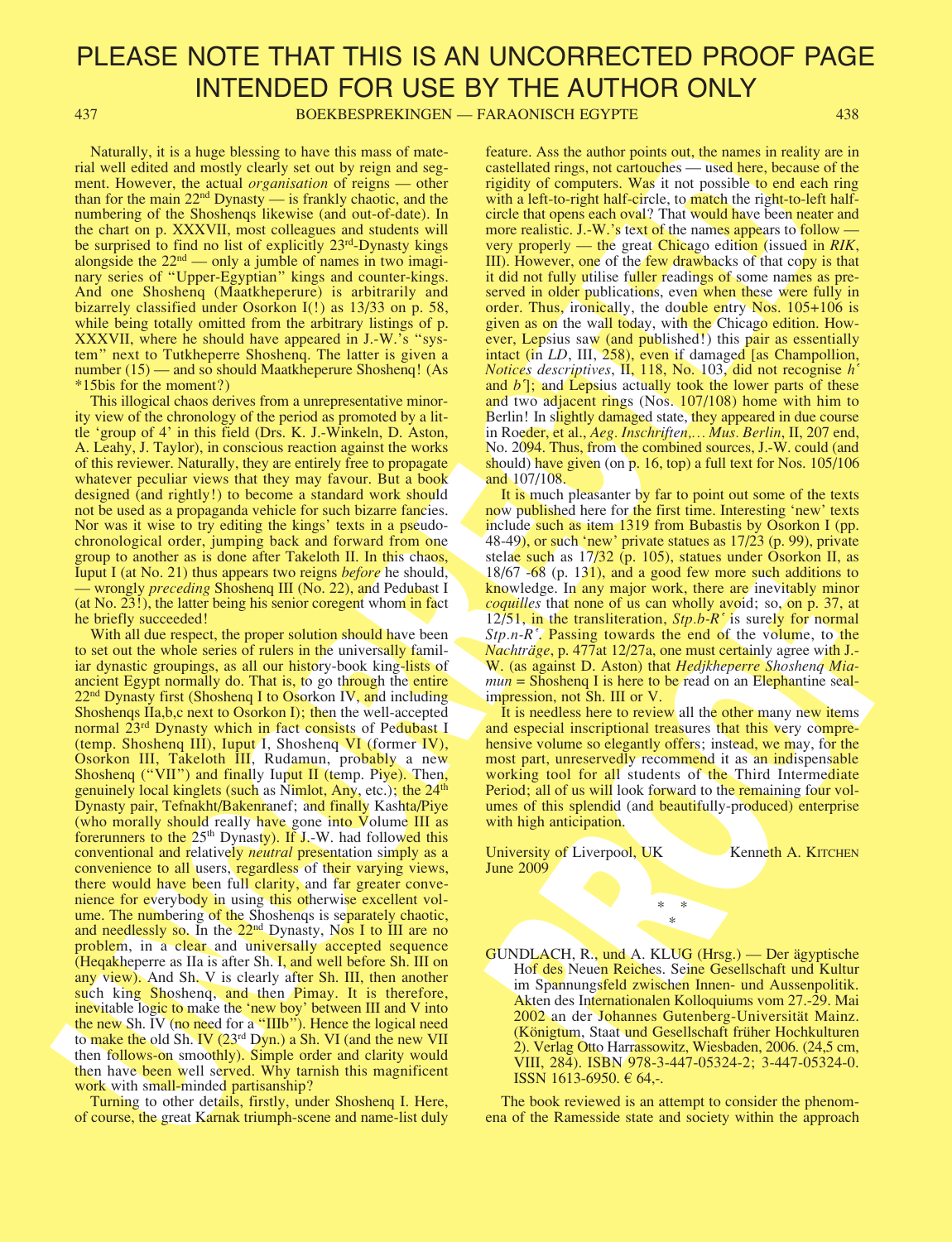437 BOEKBESPREKINGEN — FARAONISCH EGYPTE 438

Naturally, it is a huge blessing to have this mass of material well edited and mostly clearly set out by reign and segment. However, the actual *organisation* of reigns — other than for the main 22nd Dynasty — is frankly chaotic, and the numbering of the Shoshenqs likewise (and out-of-date). In the chart on p. XXXVII, most colleagues and students will be surprised to find no list of explicitly 23<sup>rd</sup>-Dynasty kings alongside the  $22<sup>nd</sup>$  — only a jumble of names in two imaginary series of "Upper-Egyptian" kings and counter-kings. And one Shoshenq (Maatkheperure) is arbitrarily and bizarrely classified under Osorkon I(!) as 13/33 on p. 58, while being totally omitted from the arbitrary listings of p. XXXVII, where he should have appeared in J.-W.'s "system" next to Tutkheperre Shoshenq. The latter is given a number (15) — and so should Maatkheperure Shoshenq! (As \*15bis for the moment?)

This illogical chaos derives from a unrepresentative minority view of the chronology of the period as promoted by a little 'group of 4' in this field (Drs. K. J.-Winkeln, D. Aston, A. Leahy, J. Taylor), in conscious reaction against the works of this reviewer. Naturally, they are entirely free to propagate whatever peculiar views that they may favour. But a book designed (and rightly!) to become a standard work should not be used as a propaganda vehicle for such bizarre fancies. Nor was it wise to try editing the kings' texts in a pseudochronological order, jumping back and forward from one group to another as is done after Takeloth II. In this chaos, Iuput I (at No. 21) thus appears two reigns before he should, — wrongly *preceding* Shoshenq III (No. 22), and Pedubast I (at No. 23!), the latter being his senior coregent whom in fact he briefly succeeded!

Notice that these blocks in the mass of notice for the mass of notice the mass of notice the mass of notice the mass of notice the mass of notice the mass of notice the mass of notice the mass of notice the mass of notice With all due respect, the proper solution should have been to set out the whole series of rulers in the universally familiar dynastic groupings, as all our history-book king-lists of ancient Egypt normally do. That is, to go through the entire  $22<sup>nd</sup>$  Dynasty first (Shoshenq I to Osorkon IV, and including Shoshenqs IIa,b,c next to Osorkon I); then the well-accepted normal 23rd Dynasty which in fact consists of Pedubast I (temp. Shoshenq III), Iuput I, Shoshenq VI (former IV), Osorkon III, Takeloth III, Rudamun, probably a new Shoshenq ("VII") and finally Iuput II (temp. Piye). Then, genuinely local kinglets (such as Nimlot, Any, etc.); the  $24<sup>th</sup>$ Dynasty pair, Tefnakht/Bakenranef; and finally Kashta/Piye (who morally should really have gone into Volume III as forerunners to the  $25<sup>th</sup>$  Dynasty). If J.-W. had followed this conventional and relatively *neutral* presentation simply as a convenience to all users, regardless of their varying views, there would have been full clarity, and far greater convenience for everybody in using this otherwise excellent volume. The numbering of the Shoshenqs is separately chaotic, and needlessly so. In the 22nd Dynasty, Nos I to III are no problem, in a clear and universally accepted sequence (Heqakheperre as IIa is after Sh. I, and well before Sh. III on any view). And Sh. V is clearly after Sh. III, then another such king Shoshenq, and then Pimay. It is therefore, inevitable logic to make the 'new boy' between III and V into the new Sh. IV (no need for a "IIIb"). Hence the logical need to make the old Sh. IV (23<sup>rd</sup> Dyn.) a Sh. VI (and the new VII then follows-on smoothly). Simple order and clarity would then have been well served. Why tarnish this magnificent work with small-minded partisanship?

Turning to other details, firstly, under Shoshenq I. Here, of course, the great Karnak triumph-scene and name-list duly feature. Ass the author points out, the names in reality are in castellated rings, not cartouches — used here, because of the rigidity of computers. Was it not possible to end each ring with a left-to-right half-circle, to match the right-to-left halfcircle that opens each oval? That would have been neater and more realistic. J.-W.'s text of the names appears to follow very properly — the great Chicago edition (issued in RIK, III). However, one of the few drawbacks of that copy is that it did not fully utilise fuller readings of some names as preserved in older publications, even when these were fully in order. Thus, ironically, the double entry Nos. 105+106 is given as on the wall today, with the Chicago edition. However, Lepsius saw (and published!) this pair as essentially intact (in LD, III, 258), even if damaged [as Champollion, Notices descriptives,  $\overline{II}$ , 118, No. 103, did not recognise h<sup>i</sup> and  $b$ <sup> $\prime$ </sup>]; and Lepsius actually took the lower parts of these and two adjacent rings (Nos. 107/108) home with him to Berlin! In slightly damaged state, they appeared in due course in Roeder, et al., Aeg. Inschriften,… Mus. Berlin, II, 207 end, No. 2094. Thus, from the combined sources, J.-W. could (and should) have given (on p. 16, top) a full text for Nos.  $105/106$ and 107/108.

1690<sup>-1</sup> and a good rew note star, and a good ready and the conditional to control and the condition of the star whole star when  $12/51$ , in the transiteration,  $5p$ , be  $As'$  is surely for normal  $2/p.n-R'$ . Bassing towards It is much pleasanter by far to point out some of the texts now published here for the first time. Interesting 'new' texts include such as item 1319 from Bubastis by Osorkon I (pp. 48-49), or such 'new' private statues as 17/23 (p. 99), private stelae such as 17/32 (p. 105), statues under Osorkon II, as 18/67 -68 (p. 131), and a good few more such additions to knowledge. In any major work, there are inevitably minor coquilles that none of us can wholly avoid; so, on p. 37, at 12/51, in the transliteration,  $Stp.b-R<sup>2</sup>$  is surely for normal  $Stp.n-R^2$ . Passing towards the end of the volume, to the Nachträge, p. 477at 12/27a, one must certainly agree with J.-W. (as against D. Aston) that Hedjkheperre Shosheng Mia $mu = Shoshenq I$  is here to be read on an Elephantine sealimpression, not Sh. III or V.

It is needless here to review all the other many new items and especial inscriptional treasures that this very comprehensive volume so elegantly offers; instead, we may, for the most part, unreservedly recommend it as an indispensable working tool for all students of the Third Intermediate Period; all of us will look forward to the remaining four volumes of this splendid (and beautifully-produced) enterprise with high anticipation.

University of Liverpool, UK Kenneth A. KITCHEN June 2009

> \* \* \*

GUNDLACH, R., und A. KLUG (Hrsg.) — Der ägyptische Hof des Neuen Reiches. Seine Gesellschaft und Kultur im Spannungsfeld zwischen Innen- und Aussenpolitik. Akten des Internationalen Kolloquiums vom 27.-29. Mai 2002 an der Johannes Gutenberg-Universität Mainz. (Königtum, Staat und Gesellschaft früher Hochkulturen 2). Verlag Otto Harrassowitz, Wiesbaden, 2006. (24,5 cm, VIII, 284). ISBN 978-3-447-05324-2; 3-447-05324-0. ISSN 1613-6950. € 64,-.

The book reviewed is an attempt to consider the phenomena of the Ramesside state and society within the approach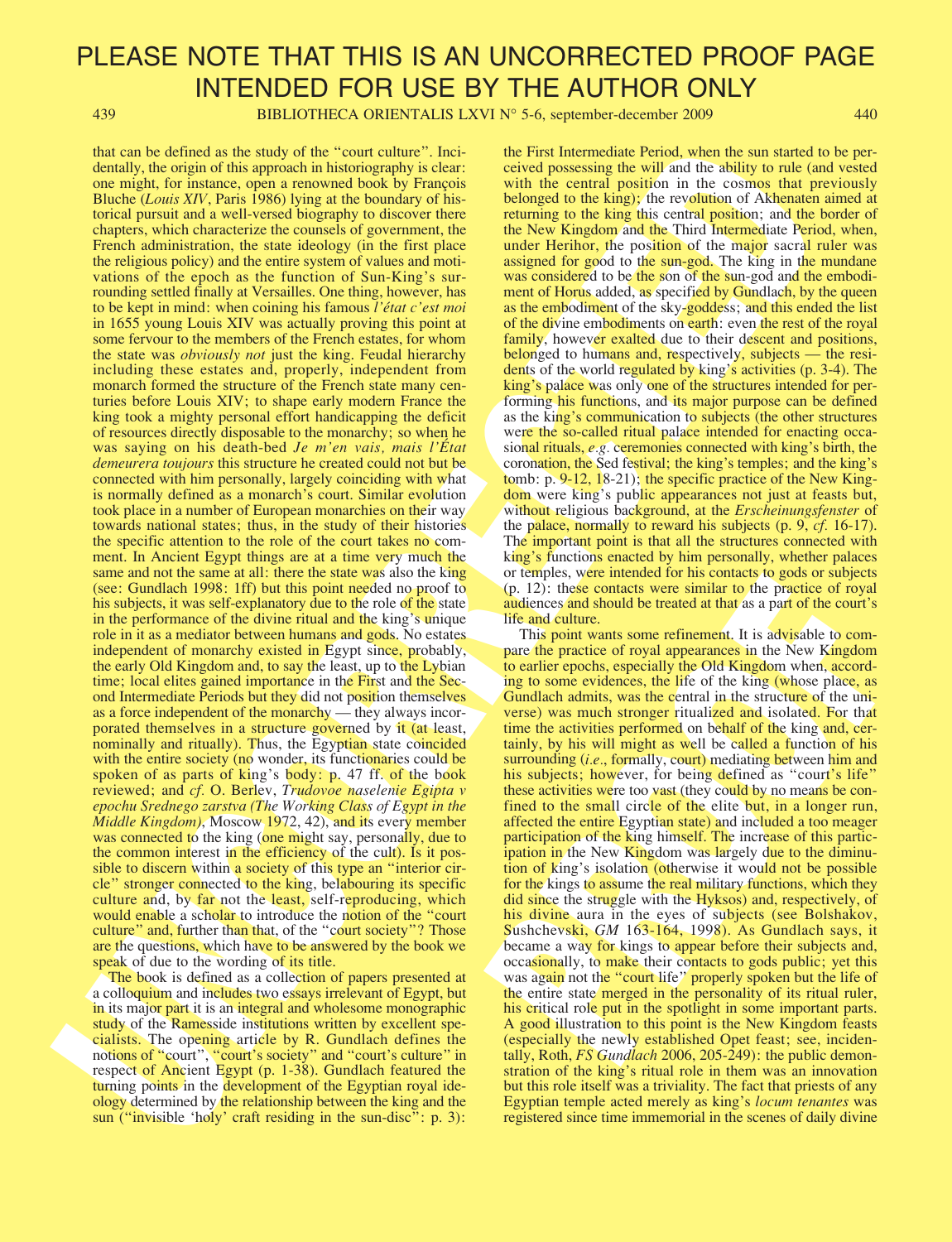439 BIBLIOTHECA ORIENTALIS LXVI N° 5-6, september-december 2009 440

duction to excite the system of the form cellule and the system between the system between the system of the system of the system of the system of the system of the system of the system of the system of the system of the that can be defined as the study of the "court culture". Incidentally, the origin of this approach in historiography is clear: one might, for instance, open a renowned book by François Bluche (Louis XIV, Paris 1986) lying at the boundary of historical pursuit and a well-versed biography to discover there chapters, which characterize the counsels of government, the French administration, the state ideology (in the first place the religious policy) and the entire system of values and motivations of the epoch as the function of Sun-King's surrounding settled finally at Versailles. One thing, however, has to be kept in mind: when coining his famous l'état c'est moi in 1655 young Louis XIV was actually proving this point at some fervour to the members of the French estates, for whom the state was *obviously not* just the king. Feudal hierarchy including these estates and, properly, independent from monarch formed the structure of the French state many centuries before Louis XIV; to shape early modern France the king took a mighty personal effort handicapping the deficit of resources directly disposable to the monarchy; so when he was saying on his death-bed Je m'en vais, mais l'État demeurera toujours this structure he created could not but be connected with him personally, largely coinciding with what is normally defined as a monarch's court. Similar evolution took place in a number of European monarchies on their way towards national states; thus, in the study of their histories the specific attention to the role of the court takes no comment. In Ancient Egypt things are at a time very much the same and not the same at all: there the state was also the king (see: Gundlach 1998: 1ff) but this point needed no proof to his subjects, it was self-explanatory due to the role of the state in the performance of the divine ritual and the king's unique role in it as a mediator between humans and gods. No estates independent of monarchy existed in Egypt since, probably, the early Old Kingdom and, to say the least, up to the Lybian time; local elites gained importance in the First and the Second Intermediate Periods but they did not position themselves as a force independent of the monarchy — they always incorporated themselves in a structure governed by it (at least, nominally and ritually). Thus, the Egyptian state coincided with the entire society (no wonder, its functionaries could be spoken of as parts of king's body: p. 47 ff. of the book reviewed; and cf. O. Berlev, Trudovoe naselenie Egipta v epochu Srednego zarstva (The Working Class of Egypt in the Middle Kingdom), Moscow 1972, 42), and its every member was connected to the king (one might say, personally, due to the common interest in the efficiency of the cult). Is it possible to discern within a society of this type an "interior circle" stronger connected to the king, belabouring its specific culture and, by far not the least, self-reproducing, which would enable a scholar to introduce the notion of the "court" culture" and, further than that, of the "court society"? Those are the questions, which have to be answered by the book we speak of due to the wording of its title.

The book is defined as a collection of papers presented at a colloquium and includes two essays irrelevant of Egypt, but in its major part it is an integral and wholesome monographic study of the Ramesside institutions written by excellent specialists. The opening article by R. Gundlach defines the notions of "court", "court's society" and "court's culture" in respect of Ancient Egypt (p. 1-38). Gundlach featured the turning points in the development of the Egyptian royal ideology determined by the relationship between the king and the sun ("invisible 'holy' craft residing in the sun-disc": p. 3): the First Intermediate Period, when the sun started to be perceived possessing the will and the ability to rule (and vested with the central position in the cosmos that previously belonged to the king); the revolution of Akhenaten aimed at returning to the king this central position; and the border of the New Kingdom and the Third Intermediate Period, when, under Herihor, the position of the major sacral ruler was assigned for good to the sun-god. The king in the mundane was considered to be the son of the sun-god and the embodiment of Horus added, as specified by Gundlach, by the queen as the embodiment of the sky-goddess; and this ended the list of the divine embodiments on earth: even the rest of the royal family, however exalted due to their descent and positions, belonged to humans and, respectively, subjects — the residents of the world regulated by king's activities (p. 3-4). The king's palace was only one of the structures intended for performing his functions, and its major purpose can be defined as the king's communication to subjects (the other structures were the so-called ritual palace intended for enacting occasional rituals, e.g. ceremonies connected with king's birth, the coronation, the Sed festival; the king's temples; and the king's tomb: p. 9-12, 18-21); the specific practice of the New Kingdom were king's public appearances not just at feasts but, without religious background, at the *Erscheinungsfenster* of the palace, normally to reward his subjects (p. 9, cf. 16-17). The important point is that all the structures connected with king's functions enacted by him personally, whether palaces or temples, were intended for his contacts to gods or subjects (p. 12): these contacts were similar to the practice of royal audiences and should be treated at that as a part of the court's life and culture.

or emphasis we membera on ins outakas to goos or sougles or<br>(p. 12): these contacts were similar to the practice of royal<br>and<br>circuses and should be treated at that as a part of the court's<br>life and culture.<br>This point wa This point wants some refinement. It is advisable to compare the practice of royal appearances in the New Kingdom to earlier epochs, especially the Old Kingdom when, according to some evidences, the life of the king (whose place, as Gundlach admits, was the central in the structure of the universe) was much stronger ritualized and isolated. For that time the activities performed on behalf of the king and, certainly, by his will might as well be called a function of his surrounding (i.e., formally, court) mediating between him and his subjects; however, for being defined as "court's life" these activities were too vast (they could by no means be confined to the small circle of the elite but, in a longer run, affected the entire Egyptian state) and included a too meager participation of the king himself. The increase of this participation in the New Kingdom was largely due to the diminution of king's isolation (otherwise it would not be possible for the kings to assume the real military functions, which they did since the struggle with the Hyksos) and, respectively, of his divine aura in the eyes of subjects (see Bolshakov, Sushchevski, GM 163-164, 1998). As Gundlach says, it became a way for kings to appear before their subjects and, occasionally, to make their contacts to gods public; yet this was again not the "court life" properly spoken but the life of the entire state merged in the personality of its ritual ruler, his critical role put in the spotlight in some important parts. A good illustration to this point is the New Kingdom feasts (especially the newly established Opet feast; see, incidentally, Roth, FS Gundlach 2006, 205-249): the public demonstration of the king's ritual role in them was an innovation but this role itself was a triviality. The fact that priests of any Egyptian temple acted merely as king's locum tenantes was registered since time immemorial in the scenes of daily divine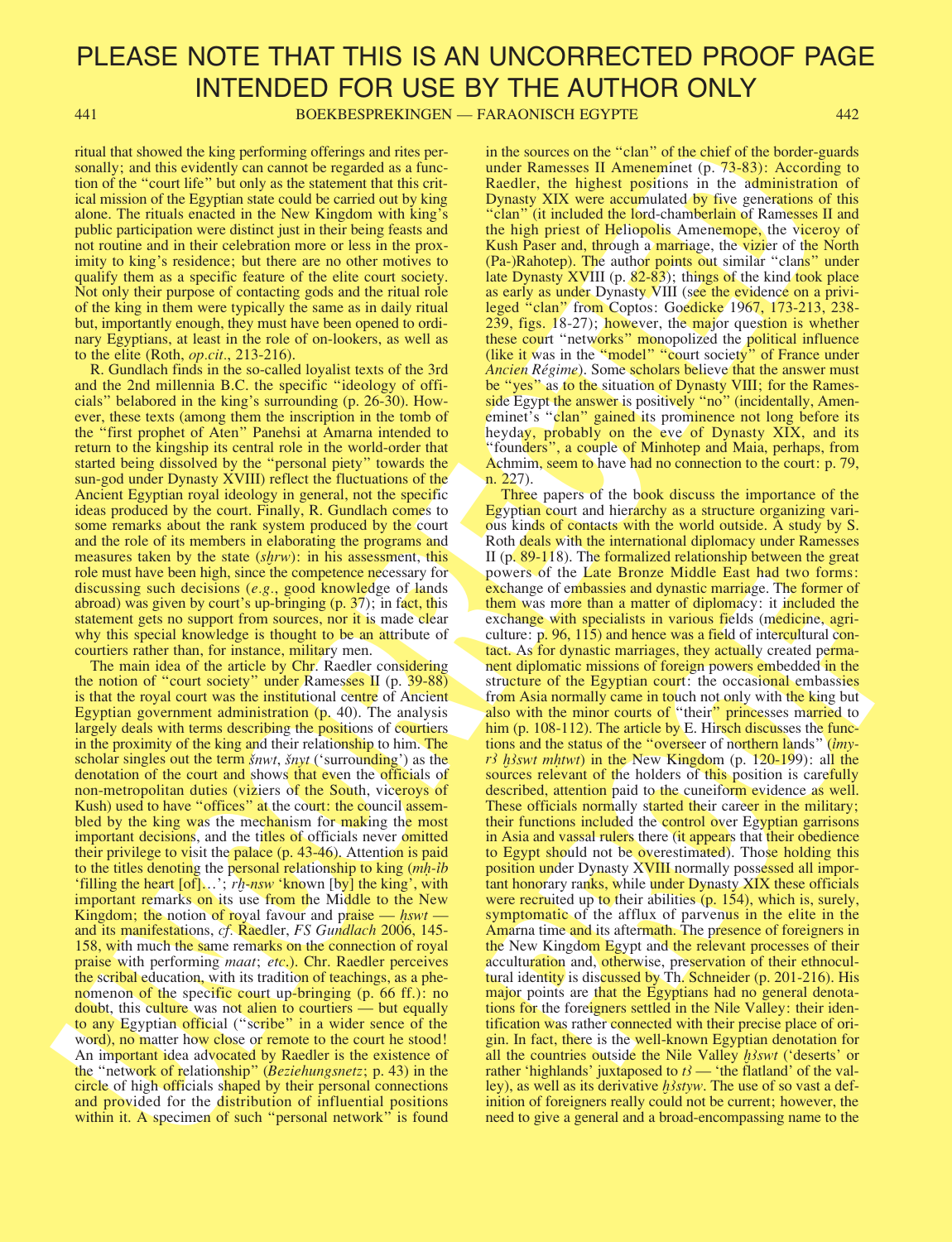441 BOEKBESPREKINGEN — FARAONISCH EGYPTE 442

ritual that showed the king performing offerings and rites personally; and this evidently can cannot be regarded as a function of the "court life" but only as the statement that this critical mission of the Egyptian state could be carried out by king alone. The rituals enacted in the New Kingdom with king's public participation were distinct just in their being feasts and not routine and in their celebration more or less in the proximity to king's residence; but there are no other motives to qualify them as a specific feature of the elite court society. Not only their purpose of contacting gods and the ritual role of the king in them were typically the same as in daily ritual but, importantly enough, they must have been opened to ordinary Egyptians, at least in the role of on-lookers, as well as to the elite (Roth, op.cit., 213-216).

R. Gundlach finds in the so-called loyalist texts of the 3rd and the 2nd millennia B.C. the specific "ideology of officials" belabored in the king's surrounding (p. 26-30). However, these texts (among them the inscription in the tomb of the "first prophet of Aten" Panehsi at Amarna intended to return to the kingship its central role in the world-order that started being dissolved by the "personal piety" towards the sun-god under Dynasty XVIII) reflect the fluctuations of the Ancient Egyptian royal ideology in general, not the specific ideas produced by the court. Finally, R. Gundlach comes to some remarks about the rank system produced by the court and the role of its members in elaborating the programs and measures taken by the state (shrw): in his assessment, this role must have been high, since the competence necessary for discussing such decisions (e.g., good knowledge of lands abroad) was given by court's up-bringing (p. 37); in fact, this statement gets no support from sources, nor it is made clear why this special knowledge is thought to be an attribute of courtiers rather than, for instance, military men.

The main idea of the article by Chr. Raedler considering the notion of "court society" under Ramesses II (p. 39-88) is that the royal court was the institutional centre of Ancient Egyptian government administration (p. 40). The analysis largely deals with terms describing the positions of courtiers in the proximity of the king and their relationship to him. The scholar singles out the term *šnwt*, *šnyt* ('surrounding') as the denotation of the court and shows that even the officials of non-metropolitan duties (viziers of the South, viceroys of Kush) used to have "offices" at the court: the council assembled by the king was the mechanism for making the most important decisions, and the titles of officials never omitted their privilege to visit the palace (p. 43-46). Attention is paid to the titles denoting the personal relationship to king (m**Ì**-íb 'filling the heart [of]...'; rh-nsw 'known [by] the king', with important remarks on its use from the Middle to the New Kingdom; the notion of royal favour and praise  $\frac{1}{s}$  hswt and its manifestations, cf. Raedler, FS Gundlach 2006, 145- 158, with much the same remarks on the connection of royal praise with performing *maat*; etc.). Chr. Raedler perceives the scribal education, with its tradition of teachings, as a phenomenon of the specific court up-bringing (p. 66 ff.): no doubt, this culture was not alien to courtiers — but equally to any Egyptian official ("scribe" in a wider sence of the word), no matter how close or remote to the court he stood! An important idea advocated by Raedler is the existence of the "network of relationship" (Beziehungsnetz; p. 43) in the circle of high officials shaped by their personal connections and provided for the distribution of influential positions within it. A specimen of such "personal network" is found in the sources on the "clan" of the chief of the border-guards under Ramesses II Ameneminet (p. 73-83): According to Raedler, the highest positions in the administration of Dynasty XIX were accumulated by five generations of this "clan" (it included the lord-chamberlain of Ramesses II and the high priest of Heliopolis Amenemope, the viceroy of Kush Paser and, through a marriage, the vizier of the North (Pa-)Rahotep). The author points out similar "clans" under late Dynasty XVIII (p. 82-83); things of the kind took place as early as under Dynasty VIII (see the evidence on a privileged "clan" from Coptos: Goedicke 1967, 173-213, 238- 239, figs. 18-27); however, the major question is whether these court "networks" monopolized the political influence (like it was in the "model" "court society" of France under Ancien Régime). Some scholars believe that the answer must be "yes" as to the situation of Dynasty VIII; for the Ramesside Egypt the answer is positively "no" (incidentally, Ameneminet's "clan" gained its prominence not long before its heyday, probably on the eve of Dynasty XIX, and its "founders", a couple of Minhotep and Maia, perhaps, from Achmim, seem to have had no connection to the court: p. 79, n. 227).

Total shares the based point in the control state in the control state in the control state in the control state in the control state in the control state in the control state in the control state in the control state is powers of the Later Botton and matter of the<br>powers of embassies and dynastic marriage. The former of<br>them was note than a matter of tiplomacy: it included the<br>exchange of embassies and dynastic marriage. The former of<br>th Three papers of the book discuss the importance of the Egyptian court and hierarchy as a structure organizing various kinds of contacts with the world outside. A study by S. Roth deals with the international diplomacy under Ramesses II (p. 89-118). The formalized relationship between the great powers of the Late Bronze Middle East had two forms: exchange of embassies and dynastic marriage. The former of them was more than a matter of diplomacy: it included the exchange with specialists in various fields (medicine, agriculture: p. 96, 115) and hence was a field of intercultural contact. As for dynastic marriages, they actually created permanent diplomatic missions of foreign powers embedded in the structure of the Egyptian court: the occasional embassies from Asia normally came in touch not only with the king but also with the minor courts of "their" princesses married to him (p. 108-112). The article by E. Hirsch discusses the functions and the status of the "overseer of northern lands" (imyr3 h3swt mhtwt) in the New Kingdom (p. 120-199): all the sources relevant of the holders of this position is carefully described, attention paid to the cuneiform evidence as well. These officials normally started their career in the military; their functions included the control over Egyptian garrisons in Asia and vassal rulers there (it appears that their obedience to Egypt should not be overestimated). Those holding this position under Dynasty XVIII normally possessed all important honorary ranks, while under Dynasty XIX these officials were recruited up to their abilities (p. 154), which is, surely, symptomatic of the afflux of parvenus in the elite in the Amarna time and its aftermath. The presence of foreigners in the New Kingdom Egypt and the relevant processes of their acculturation and, otherwise, preservation of their ethnocultural identity is discussed by Th. Schneider (p. 201-216). His major points are that the Egyptians had no general denotations for the foreigners settled in the Nile Valley: their identification was rather connected with their precise place of origin. In fact, there is the well-known Egyptian denotation for all the countries outside the Nile Valley *hswt* ('deserts' or rather 'highlands' juxtaposed to  $t$  — 'the flatland' of the valley), as well as its derivative *h<sub>3styw*</sub>. The use of so vast a definition of foreigners really could not be current; however, the need to give a general and a broad-encompassing name to the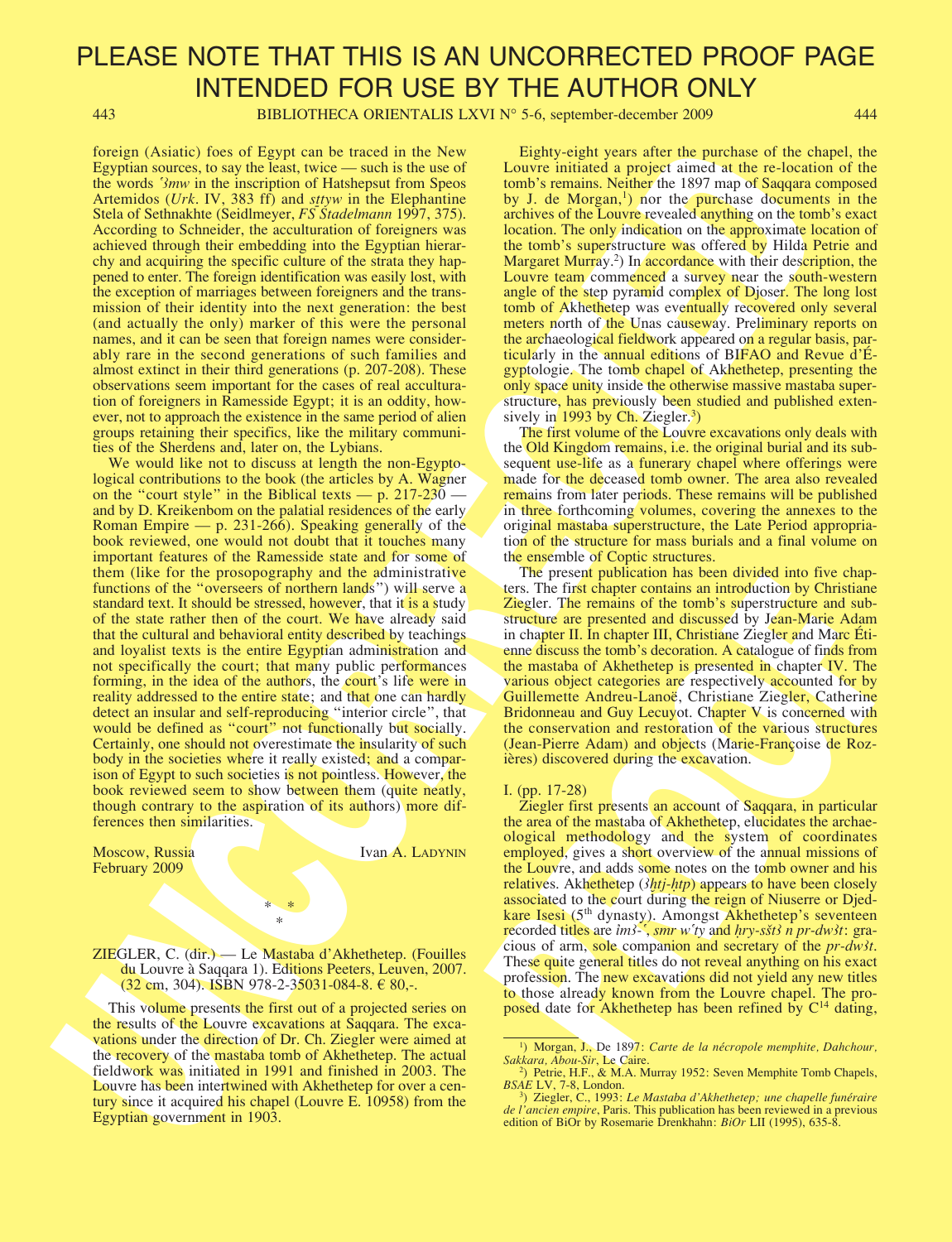443 BIBLIOTHECA ORIENTALIS LXVI N° 5-6, september-december 2009 444

foreign (Asiatic) foes of Egypt can be traced in the New Egyptian sources, to say the least, twice — such is the use of the words '3mw in the inscription of Hatshepsut from Speos Artemidos (Urk. IV, 383 ff) and sttyw in the Elephantine Stela of Sethnakhte (Seidlmeyer, FS Stadelmann 1997, 375). According to Schneider, the acculturation of foreigners was achieved through their embedding into the Egyptian hierarchy and acquiring the specific culture of the strata they happened to enter. The foreign identification was easily lost, with the exception of marriages between foreigners and the transmission of their identity into the next generation: the best (and actually the only) marker of this were the personal names, and it can be seen that foreign names were considerably rare in the second generations of such families and almost extinct in their third generations (p. 207-208). These observations seem important for the cases of real acculturation of foreigners in Ramesside Egypt; it is an oddity, however, not to approach the existence in the same period of alien groups retaining their specifics, like the military communities of the Sherdens and, later on, the Lybians.

for the same of the same based on the same  $\approx$  Equivalent value of the same of the same in the same of the same of the same of the same of the same of the same of the same of the same of the same of the same of the same We would like not to discuss at length the non-Egyptological contributions to the book (the articles by A. Wagner on the "court style" in the Biblical texts — p.  $217-230$  and by D. Kreikenbom on the palatial residences of the early Roman Empire — p. 231-266). Speaking generally of the book reviewed, one would not doubt that it touches many important features of the Ramesside state and for some of them (like for the prosopography and the administrative functions of the "overseers of northern lands") will serve a standard text. It should be stressed, however, that it is a study of the state rather then of the court. We have already said that the cultural and behavioral entity described by teachings and loyalist texts is the entire Egyptian administration and not specifically the court; that many public performances forming, in the idea of the authors, the court's life were in reality addressed to the entire state; and that one can hardly detect an insular and self-reproducing "interior circle", that would be defined as "court" not functionally but socially. Certainly, one should not overestimate the insularity of such body in the societies where it really existed; and a comparison of Egypt to such societies is not pointless. However, the book reviewed seem to show between them (quite neatly, though contrary to the aspiration of its authors) more differences then similarities.

February 2009

Moscow, Russia Ivan A. LADYNIN

ZIEGLER, C. (dir.) — Le Mastaba d'Akhethetep. (Fouilles du Louvre à Saqqara 1). Editions Peeters, Leuven, 2007.  $(32 \text{ cm}, 304)$ . ISBN 978-2-35031-084-8.  $\in$  80,-.

 $*$ \*

This volume presents the first out of a projected series on the results of the Louvre excavations at Saqqara. The excavations under the direction of Dr. Ch. Ziegler were aimed at the recovery of the mastaba tomb of Akhethetep. The actual fieldwork was initiated in 1991 and finished in 2003. The Louvre has been intertwined with Akhethetep for over a century since it acquired his chapel (Louvre E. 10958) from the Egyptian government in 1903.

Eighty-eight years after the purchase of the chapel, the Louvre initiated a project aimed at the re-location of the tomb's remains. Neither the 1897 map of Saqqara composed by J. de Morgan, $\frac{1}{1}$  nor the purchase documents in the archives of the Louvre revealed anything on the tomb's exact location. The only indication on the approximate location of the tomb's superstructure was offered by Hilda Petrie and Margaret Murray.<sup>2</sup>) In accordance with their description, the Louvre team commenced a survey near the south-western angle of the step pyramid complex of Djoser. The long lost tomb of Akhethetep was eventually recovered only several meters north of the Unas causeway. Preliminary reports on the archaeological fieldwork appeared on a regular basis, particularly in the annual editions of BIFAO and Revue d'Égyptologie. The tomb chapel of Akhethetep, presenting the only space unity inside the otherwise massive mastaba superstructure, has previously been studied and published extensively in  $1993$  by Ch. Ziegler.<sup>3</sup>)

The first volume of the Louvre excavations only deals with the Old Kingdom remains, i.e. the original burial and its subsequent use-life as a funerary chapel where offerings were made for the deceased tomb owner. The area also revealed remains from later periods. These remains will be published in three forthcoming volumes, covering the annexes to the original mastaba superstructure, the Late Period appropriation of the structure for mass burials and a final volume on the ensemble of Coptic structures.

The present publication has been divided into five chapters. The first chapter contains an introduction by Christiane Ziegler. The remains of the tomb's superstructure and substructure are presented and discussed by Jean-Marie Adam in chapter II. In chapter III, Christiane Ziegler and Marc Étienne discuss the tomb's decoration. A catalogue of finds from the mastaba of Akhethetep is presented in chapter IV. The various object categories are respectively accounted for by Guillemette Andreu-Lanoë, Christiane Ziegler, Catherine Bridonneau and Guy Lecuyot. Chapter V is concerned with the conservation and restoration of the various structures (Jean-Pierre Adam) and objects (Marie-Françoise de Rozières) discovered during the excavation.

#### I. (pp. 17-28)

Figure First chapter contains are trucked more trap-<br>
Ters. The first chapter contains an introduction by Christiane-<br>
Ziegler. The remains of the tomb's superstructure and sub-<br>
incohere are presented and discussed by Je Ziegler first presents an account of Saqqara, in particular the area of the mastaba of Akhethetep, elucidates the archaeological methodology and the system of coordinates employed, gives a short overview of the annual missions of the Louvre, and adds some notes on the tomb owner and his relatives. Akhethetep (*<i>i*htj-*htp*) appears to have been closely associated to the court during the reign of Niuserre or Djedkare Isesi (5<sup>th</sup> dynasty). Amongst Akhethetep's seventeen recorded titles are *im3*<sup>-•</sup>, *smr* w<sup>o</sup>*ty* and *hry-sšt3 n pr-dw3t*: gracious of arm, sole companion and secretary of the *pr-dw3t*. These quite general titles do not reveal anything on his exact profession. The new excavations did not yield any new titles to those already known from the Louvre chapel. The proposed date for Akhethetep has been refined by  $C^{14}$  dating,

<sup>&</sup>lt;sup>1</sup>) Morgan, J., De 1897: Carte de la nécropole memphite, Dahchour, Sakkara, Abou-Sir, Le Caire.

<sup>&</sup>lt;sup>2</sup>) Petrie, H.F., & M.A. Murray 1952: Seven Memphite Tomb Chapels, BSAE LV, 7-8, London.

<sup>&</sup>lt;sup>3</sup>) Ziegler, C., 1993: Le Mastaba d'Akhethetep; une chapelle funéraire de l'ancien empire, Paris. This publication has been reviewed in a previous edition of BiOr by Rosemarie Drenkhahn: *BiOr* LII (1995), 635-8.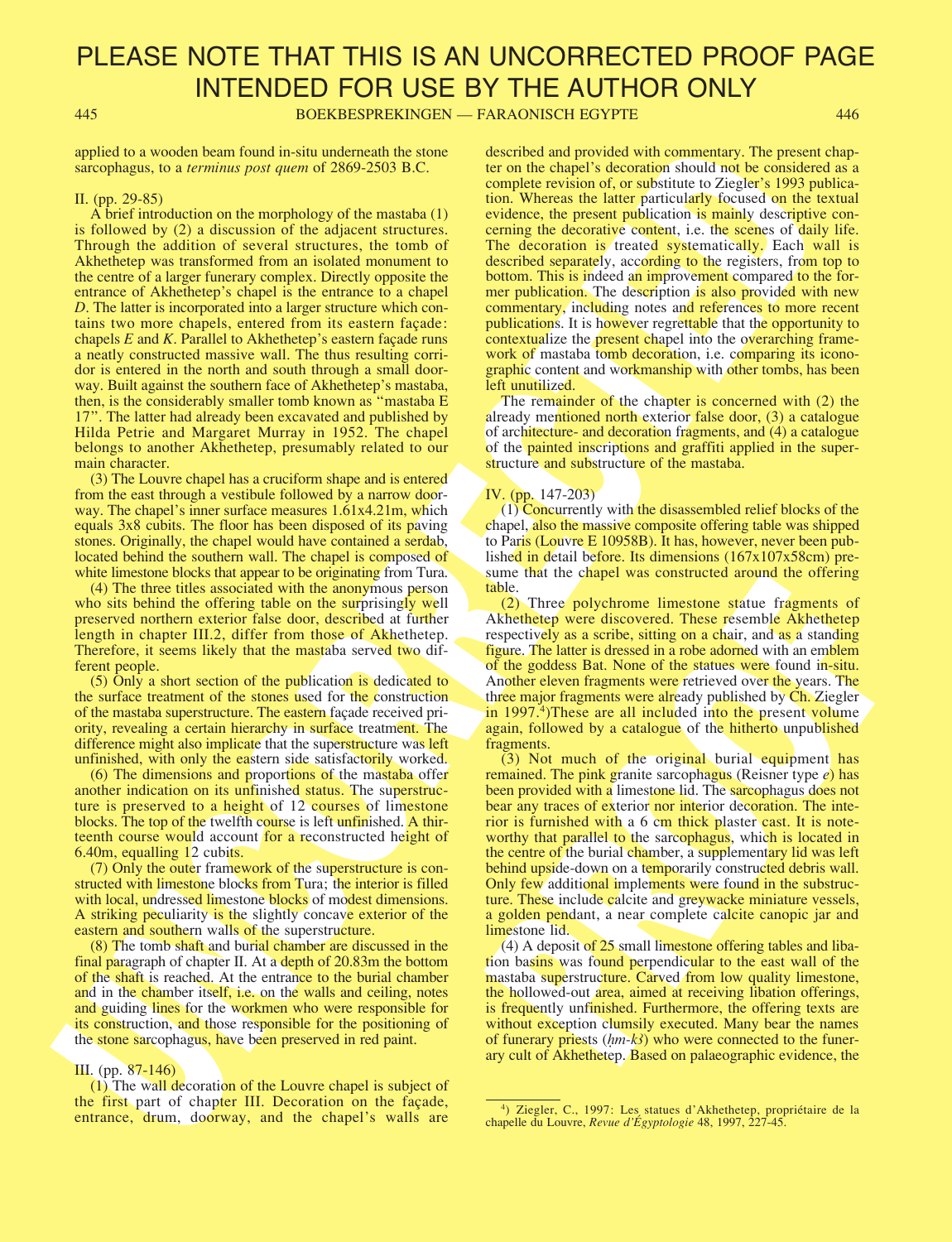445 BOEKBESPREKINGEN — FARAONISCH EGYPTE 446

applied to a wooden beam found in-situ underneath the stone sarcophagus, to a *terminus post quem* of 2869-2503 B.C.

### II. (pp. 29-85)

appled to a vector beat four distance and the signific on the contribution of the present of the signific on the signific on the signific on the signific on the signific on the signific on the signific on the signific on A brief introduction on the morphology of the mastaba (1) is followed by (2) a discussion of the adjacent structures. Through the addition of several structures, the tomb of Akhethetep was transformed from an isolated monument to the centre of a larger funerary complex. Directly opposite the entrance of Akhethetep's chapel is the entrance to a chapel D. The latter is incorporated into a larger structure which contains two more chapels, entered from its eastern façade: chapels E and K. Parallel to Akhethetep's eastern façade runs a neatly constructed massive wall. The thus resulting corridor is entered in the north and south through a small doorway. Built against the southern face of Akhethetep's mastaba, then, is the considerably smaller tomb known as "mastaba E 17". The latter had already been excavated and published by Hilda Petrie and Margaret Murray in 1952. The chapel belongs to another Akhethetep, presumably related to our main character.

(3) The Louvre chapel has a cruciform shape and is entered from the east through a vestibule followed by a narrow doorway. The chapel's inner surface measures 1.61x4.21m, which equals 3x8 cubits. The floor has been disposed of its paving stones. Originally, the chapel would have contained a serdab, located behind the southern wall. The chapel is composed of white limestone blocks that appear to be originating from Tura.

(4) The three titles associated with the anonymous person who sits behind the offering table on the surprisingly well preserved northern exterior false door, described at further length in chapter III.2, differ from those of Akhethetep. Therefore, it seems likely that the mastaba served two different people.

(5) Only a short section of the publication is dedicated to the surface treatment of the stones used for the construction of the mastaba superstructure. The eastern façade received priority, revealing a certain hierarchy in surface treatment. The difference might also implicate that the superstructure was left unfinished, with only the eastern side satisfactorily worked.

(6) The dimensions and proportions of the mastaba offer another indication on its unfinished status. The superstructure is preserved to a height of 12 courses of limestone blocks. The top of the twelfth course is left unfinished. A thirteenth course would account for a reconstructed height of 6.40m, equalling 12 cubits.

(7) Only the outer framework of the superstructure is constructed with limestone blocks from Tura; the interior is filled with local, undressed limestone blocks of modest dimensions. A striking peculiarity is the slightly concave exterior of the eastern and southern walls of the superstructure.

(8) The tomb shaft and burial chamber are discussed in the final paragraph of chapter II. At a depth of 20.83m the bottom of the shaft is reached. At the entrance to the burial chamber and in the chamber itself, i.e. on the walls and ceiling, notes and guiding lines for the workmen who were responsible for its construction, and those responsible for the positioning of the stone sarcophagus, have been preserved in red paint.

III. (pp. 87-146)

(1) The wall decoration of the Louvre chapel is subject of the first part of chapter III. Decoration on the façade, entrance, drum, doorway, and the chapel's walls are described and provided with commentary. The present chapter on the chapel's decoration should not be considered as a complete revision of, or substitute to Ziegler's 1993 publication. Whereas the latter particularly focused on the textual evidence, the present publication is mainly descriptive concerning the decorative content, i.e. the scenes of daily life. The decoration is treated systematically. Each wall is described separately, according to the registers, from top to bottom. This is indeed an improvement compared to the former publication. The description is also provided with new commentary, including notes and references to more recent publications. It is however regrettable that the opportunity to contextualize the present chapel into the overarching framework of mastaba tomb decoration, i.e. comparing its iconographic content and workmanship with other tombs, has been left unutilized.

The remainder of the chapter is concerned with (2) the already mentioned north exterior false door, (3) a catalogue of architecture- and decoration fragments, and (4) a catalogue of the painted inscriptions and graffiti applied in the superstructure and substructure of the mastaba.

#### IV. (pp. 147-203)

(1) Concurrently with the disassembled relief blocks of the chapel, also the massive composite offering table was shipped to Paris (Louvre E 10958B). It has, however, never been published in detail before. Its dimensions (167x107x58cm) presume that the chapel was constructed around the offering table.

(2) Three polychrome limestone statue fragments of Akhethetep were discovered. These resemble Akhethetep respectively as a scribe, sitting on a chair, and as a standing figure. The latter is dressed in a robe adorned with an emblem of the goddess Bat. None of the statues were found in-situ. Another eleven fragments were retrieved over the years. The three major fragments were already published by Ch. Ziegler in 1997.<sup>4</sup>)These are all included into the present volume again, followed by a catalogue of the hitherto unpublished fragments.

sime that the Chapter was constructed around the othering<br>
(2) Three polychrome linestone statue fragments of<br>
(Akhethetep were discovered. These resemble Akhethetep<br>
respectively as a scribe, sitting on a chair, and as a (3) Not much of the original burial equipment has remained. The pink granite sarcophagus (Reisner type  $e$ ) has been provided with a limestone lid. The sarcophagus does not bear any traces of exterior nor interior decoration. The interior is furnished with a 6 cm thick plaster cast. It is noteworthy that parallel to the sarcophagus, which is located in the centre of the burial chamber, a supplementary lid was left behind upside-down on a temporarily constructed debris wall. Only few additional implements were found in the substructure. These include calcite and greywacke miniature vessels, a golden pendant, a near complete calcite canopic jar and limestone lid.

(4) A deposit of 25 small limestone offering tables and libation basins was found perpendicular to the east wall of the mastaba superstructure. Carved from low quality limestone, the hollowed-out area, aimed at receiving libation offerings, is frequently unfinished. Furthermore, the offering texts are without exception clumsily executed. Many bear the names of funerary priests (hm-k) who were connected to the funerary cult of Akhethetep. Based on palaeographic evidence, the

<sup>&</sup>lt;sup>4</sup>) Ziegler, C., 1997: Les statues d'Akhethetep, propriétaire de la chapelle du Louvre, Revue d'Égyptologie 48, 1997, 227-45.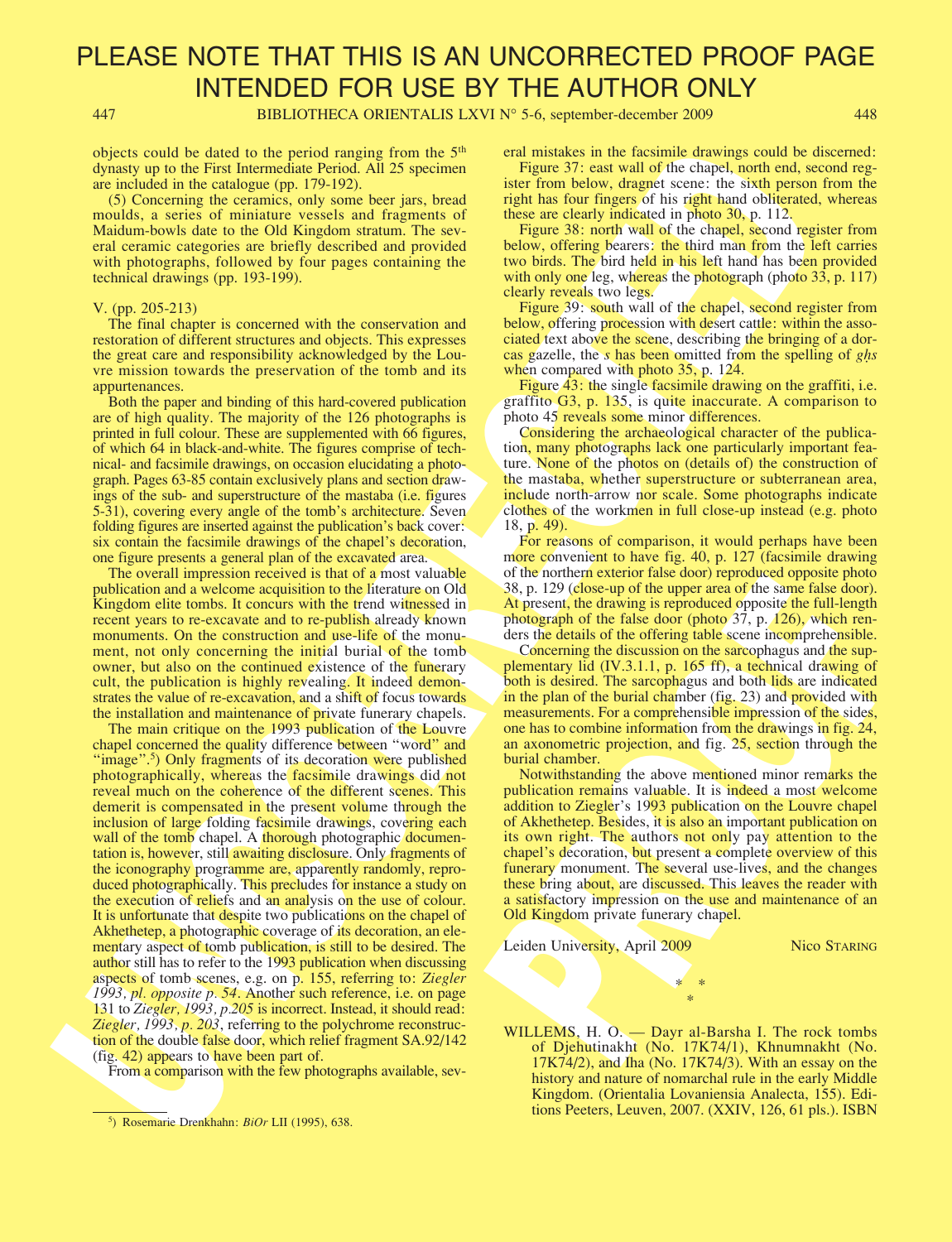447 BIBLIOTHECA ORIENTALIS LXVI N° 5-6, september-december 2009 448

objects could be dated to the period ranging from the  $5<sup>th</sup>$ dynasty up to the First Intermediate Period. All 25 specimen are included in the catalogue (pp. 179-192).

(5) Concerning the ceramics, only some beer jars, bread moulds, a series of miniature vessels and fragments of Maidum-bowls date to the Old Kingdom stratum. The several ceramic categories are briefly described and provided with photographs, followed by four pages containing the technical drawings (pp. 193-199).

#### V. (pp. 205-213)

The final chapter is concerned with the conservation and restoration of different structures and objects. This expresses the great care and responsibility acknowledged by the Louvre mission towards the preservation of the tomb and its appurtenances.

Both the paper and binding of this hard-covered publication are of high quality. The majority of the 126 photographs is printed in full colour. These are supplemented with 66 figures, of which 64 in black-and-white. The figures comprise of technical- and facsimile drawings, on occasion elucidating a photograph. Pages 63-85 contain exclusively plans and section drawings of the sub- and superstructure of the mastaba (i.e. figures 5-31), covering every angle of the tomb's architecture. Seven folding figures are inserted against the publication's back cover: six contain the facsimile drawings of the chapel's decoration, one figure presents a general plan of the excavated area.

The overall impression received is that of a most valuable publication and a welcome acquisition to the literature on Old Kingdom elite tombs. It concurs with the trend witnessed in recent years to re-excavate and to re-publish already known monuments. On the construction and use-life of the monument, not only concerning the initial burial of the tomb owner, but also on the continued existence of the funerary cult, the publication is highly revealing. It indeed demonstrates the value of re-excavation, and a shift of focus towards the installation and maintenance of private funerary chapels.

objects could be also to the later the method in the 15 th containers in the formula density of the method in the could be a could be a could be a could be a could be a could be a could be a could be a could be a could The main critique on the 1993 publication of the Louvre chapel concerned the quality difference between "word" and "image".<sup>5</sup>) Only fragments of its decoration were published photographically, whereas the facsimile drawings did not reveal much on the coherence of the different scenes. This demerit is compensated in the present volume through the inclusion of large folding facsimile drawings, covering each wall of the tomb chapel. A thorough photographic documentation is, however, still awaiting disclosure. Only fragments of the iconography programme are, apparently randomly, reproduced photographically. This precludes for instance a study on the execution of reliefs and an analysis on the use of colour. It is unfortunate that despite two publications on the chapel of Akhethetep, a photographic coverage of its decoration, an elementary aspect of tomb publication, is still to be desired. The author still has to refer to the 1993 publication when discussing aspects of tomb scenes, e.g. on p. 155, referring to: Ziegler 1993, pl. opposite p. 54. Another such reference, i.e. on page 131 to Ziegler, 1993, p.205 is incorrect. Instead, it should read: Ziegler, 1993, p. 203, referring to the polychrome reconstruction of the double false door, which relief fragment SA.92/142 (fig. 42) appears to have been part of.

From a comparison with the few photographs available, sev-

eral mistakes in the facsimile drawings could be discerned:

Figure 37: east wall of the chapel, north end, second register from below, dragnet scene: the sixth person from the right has four fingers of his right hand obliterated, whereas these are clearly indicated in photo 30, p. 112.

Figure 38: north wall of the chapel, second register from below, offering bearers: the third man from the left carries two birds. The bird held in his left hand has been provided with only one leg, whereas the photograph (photo 33, p. 117) clearly reveals two legs.

Figure 39: south wall of the chapel, second register from below, offering procession with desert cattle: within the associated text above the scene, describing the bringing of a dorcas gazelle, the s has been omitted from the spelling of g**Ì**s when compared with photo 35, p. 124.

Figure 43: the single facsimile drawing on the graffiti, i.e. graffito G3, p. 135, is quite inaccurate. A comparison to photo 45 reveals some minor differences.

Considering the archaeological character of the publication, many photographs lack one particularly important feature. None of the photos on (details of) the construction of the mastaba, whether superstructure or subterranean area, include north-arrow nor scale. Some photographs indicate clothes of the workmen in full close-up instead (e.g. photo 18, p. 49).

For reasons of comparison, it would perhaps have been more convenient to have fig. 40, p. 127 (facsimile drawing of the northern exterior false door) reproduced opposite photo 38, p. 129 (close-up of the upper area of the same false door). At present, the drawing is reproduced opposite the full-length photograph of the false door (photo 37, p. 126), which renders the details of the offering table scene incomprehensible.

Concerning the discussion on the sarcophagus and the supplementary lid (IV.3.1.1, p. 165 ff), a technical drawing of both is desired. The sarcophagus and both lids are indicated in the plan of the burial chamber (fig. 23) and provided with measurements. For a comprehensible impression of the sides, one has to combine information from the drawings in fig. 24, an axonometric projection, and fig. 25, section through the burial chamber.

or in notinal catentia as door) reproduced opposite into<br>38, p. 129 (dose-up of the upper area of the same false door).<br>At present, the drawing is reproduced opposite the full-length<br>obergaph of the false door (photo 37, p Notwithstanding the above mentioned minor remarks the publication remains valuable. It is indeed a most welcome addition to Ziegler's 1993 publication on the Louvre chapel of Akhethetep. Besides, it is also an important publication on its own right. The authors not only pay attention to the chapel's decoration, but present a complete overview of this funerary monument. The several use-lives, and the changes these bring about, are discussed. This leaves the reader with a satisfactory impression on the use and maintenance of an Old Kingdom private funerary chapel.

Leiden University, April 2009 Nico STARING

WILLEMS, H. O. — Dayr al-Barsha I. The rock tombs of Djehutinakht (No. 17K74/1), Khnumnakht (No. 17K74/2), and Iha (No. 17K74/3). With an essay on the history and nature of nomarchal rule in the early Middle Kingdom. (Orientalia Lovaniensia Analecta, 155). Editions Peeters, Leuven, 2007. (XXIV, 126, 61 pls.). ISBN

\* \* \*

<sup>&</sup>lt;sup>5</sup>) Rosemarie Drenkhahn: *BiOr LII* (1995), 638.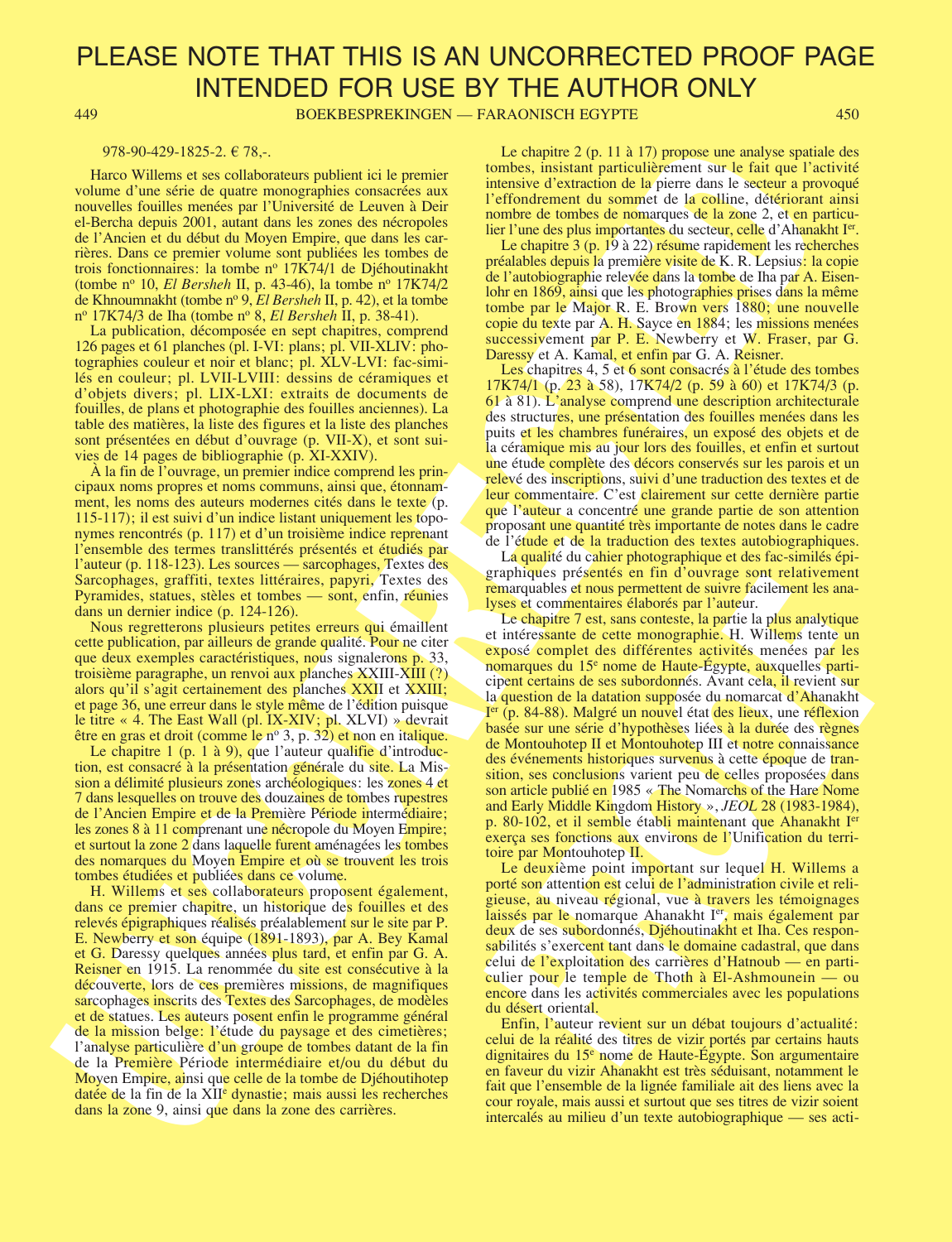449 BOEKBESPREKINGEN — FARAONISCH EGYPTE 450

#### 978-90-429-1825-2.  $\in$  78,-.

Harco Willems et ses collaborateurs publient ici le premier volume d'une série de quatre monographies consacrées aux nouvelles fouilles menées par l'Université de Leuven à Deir el-Bercha depuis 2001, autant dans les zones des nécropoles de l'Ancien et du début du Moyen Empire, que dans les carrières. Dans ce premier volume sont publiées les tombes de trois fonctionnaires: la tombe nº 17K74/1 de Djéhoutinakht (tombe nº 10, *El Bersheh* II, p. 43-46), la tombe nº 17K74/2 de Khnoumnakht (tombe nº 9, El Bersheh II, p. 42), et la tombe nº 17K74/3 de Iha (tombe nº 8, El Bersheh II, p. 38-41).

La publication, décomposée en sept chapitres, comprend 126 pages et 61 planches (pl. I-VI: plans; pl. VII-XLIV: photographies couleur et noir et blanc; pl. XLV-LVI: fac-similés en couleur; pl. LVII-LVIII: dessins de céramiques et d'objets divers; pl. LIX-LXI: extraits de documents de fouilles, de plans et photographie des fouilles anciennes). La table des matières, la liste des figures et la liste des planches sont présentées en début d'ouvrage (p. VII-X), et sont suivies de 14 pages de bibliographie (p. XI-XXIV).

À la fin de l'ouvrage, un premier indice comprend les principaux noms propres et noms communs, ainsi que, étonnamment, les noms des auteurs modernes cités dans le texte (p. 115-117); il est suivi d'un indice listant uniquement les toponymes rencontrés (p. 117) et d'un troisième indice reprenant l'ensemble des termes translittérés présentés et étudiés par l'auteur (p. 118-123). Les sources — sarcophages, Textes des Sarcophages, graffiti, textes littéraires, papyri, Textes des Pyramides, statues, stèles et tombes — sont, enfin, réunies dans un dernier indice (p. 124-126).

Nous regretterons plusieurs petites erreurs qui émaillent cette publication, par ailleurs de grande qualité. Pour ne citer que deux exemples caractéristiques, nous signalerons p. 33, troisième paragraphe, un renvoi aux planches XXIII-XIII (?) alors qu'il s'agit certainement des planches XXII et XXIII; et page 36, une erreur dans le style même de l'édition puisque le titre « 4. The East Wall (pl. IX-XIV; pl. XLVI) » devrait être en gras et droit (comme le  $n^{\circ}$  3, p. 32) et non en italique.

Le chapitre 1 (p. 1 à 9), que l'auteur qualifie d'introduction, est consacré à la présentation générale du site. La Mission a délimité plusieurs zones archéologiques: les zones 4 et 7 dans lesquelles on trouve des douzaines de tombes rupestres de l'Ancien Empire et de la Première Période intermédiaire; les zones 8 à 11 comprenant une nécropole du Moyen Empire; et surtout la zone 2 dans laquelle furent aménagées les tombes des nomarques du Moyen Empire et où se trouvent les trois tombes étudiées et publiées dans ce volume.

The state of the state state and the prime is a choice of 11.1 Propose of a method in the state of the state of the state of the state of the state of the state of the state of the state of the state of the state of the s H. Willems et ses collaborateurs proposent également, dans ce premier chapitre, un historique des fouilles et des relevés épigraphiques réalisés préalablement sur le site par P. E. Newberry et son équipe (1891-1893), par A. Bey Kamal et G. Daressy quelques années plus tard, et enfin par G. A. Reisner en 1915. La renommée du site est consécutive à la découverte, lors de ces premières missions, de magnifiques sarcophages inscrits des Textes des Sarcophages, de modèles et de statues. Les auteurs posent enfin le programme général de la mission belge: l'étude du paysage et des cimetières; l'analyse particulière d'un groupe de tombes datant de la fin de la Première Période intermédiaire et/ou du début du Moyen Empire, ainsi que celle de la tombe de Djéhoutihotep datée de la fin de la XII<sup>e</sup> dynastie; mais aussi les recherches dans la zone 9, ainsi que dans la zone des carrières.

Le chapitre 2 (p. 11 à 17) propose une analyse spatiale des tombes, insistant particulièrement sur le fait que l'activité intensive d'extraction de la pierre dans le secteur a provoqué l'effondrement du sommet de la colline, détériorant ainsi nombre de tombes de nomarques de la zone 2, et en particulier l'une des plus importantes du secteur, celle d'Ahanakht I<sup>er</sup>.

Le chapitre 3 (p. 19 à 22) résume rapidement les recherches préalables depuis la première visite de K. R. Lepsius: la copie de l'autobiographie relevée dans la tombe de Iha par A. Eisenlohr en 1869, ainsi que les photographies prises dans la même tombe par le Major R. E. Brown vers 1880; une nouvelle copie du texte par A. H. Sayce en 1884; les missions menées successivement par P. E. Newberry et W. Fraser, par G. Daressy et A. Kamal, et enfin par G. A. Reisner.

Les chapitres 4, 5 et 6 sont consacrés à l'étude des tombes 17K74/1 (p. 23 à 58), 17K74/2 (p. 59 à 60) et 17K74/3 (p. 61 à 81). L'analyse comprend une description architecturale des structures, une présentation des fouilles menées dans les puits et les chambres funéraires, un exposé des objets et de la céramique mis au jour lors des fouilles, et enfin et surtout une étude complète des décors conservés sur les parois et un relevé des inscriptions, suivi d'une traduction des textes et de leur commentaire. C'est clairement sur cette dernière partie que l'auteur a concentré une grande partie de son attention proposant une quantité très importante de notes dans le cadre de l'étude et de la traduction des textes autobiographiques.

La qualité du cahier photographique et des fac-similés épigraphiques présentés en fin d'ouvrage sont relativement remarquables et nous permettent de suivre facilement les analyses et commentaires élaborés par l'auteur.

graphiques presentes en mui ou avaige sont reiativement<br>remarquables et nous permettent de suivre facilement les ana-<br>lyses et compensatives charges ar l'auteur.<br>Le chapitre 7 est, sans conteste, la partie la plus analytiq Le chapitre 7 est, sans conteste, la partie la plus analytique et intéressante de cette monographie. H. Willems tente un exposé complet des différentes activités menées par les nomarques du 15e nome de Haute-Égypte, auxquelles participent certains de ses subordonnés. Avant cela, il revient sur la question de la datation supposée du nomarcat d'Ahanakht Ier (p. 84-88). Malgré un nouvel état des lieux, une réflexion basée sur une série d'hypothèses liées à la durée des règnes de Montouhotep II et Montouhotep III et notre connaissance des événements historiques survenus à cette époque de transition, ses conclusions varient peu de celles proposées dans son article publié en 1985 « The Nomarchs of the Hare Nome and Early Middle Kingdom History », JEOL 28 (1983-1984), p. 80-102, et il semble établi maintenant que Ahanakht Ier exerça ses fonctions aux environs de l'Unification du territoire par Montouhotep II.

Le deuxième point important sur lequel H. Willems a porté son attention est celui de l'administration civile et religieuse, au niveau régional, vue à travers les témoignages laissés par le nomarque Ahanakht I<sup>er</sup>, mais également par deux de ses subordonnés, Djéhoutinakht et Iha. Ces responsabilités s'exercent tant dans le domaine cadastral, que dans celui de l'exploitation des carrières d'Hatnoub — en particulier pour le temple de Thoth à El-Ashmounein — ou encore dans les activités commerciales avec les populations du désert oriental.

Enfin, l'auteur revient sur un débat toujours d'actualité: celui de la réalité des titres de vizir portés par certains hauts dignitaires du 15e nome de Haute-Égypte. Son argumentaire en faveur du vizir Ahanakht est très séduisant, notamment le fait que l'ensemble de la lignée familiale ait des liens avec la cour royale, mais aussi et surtout que ses titres de vizir soient intercalés au milieu d'un texte autobiographique — ses acti-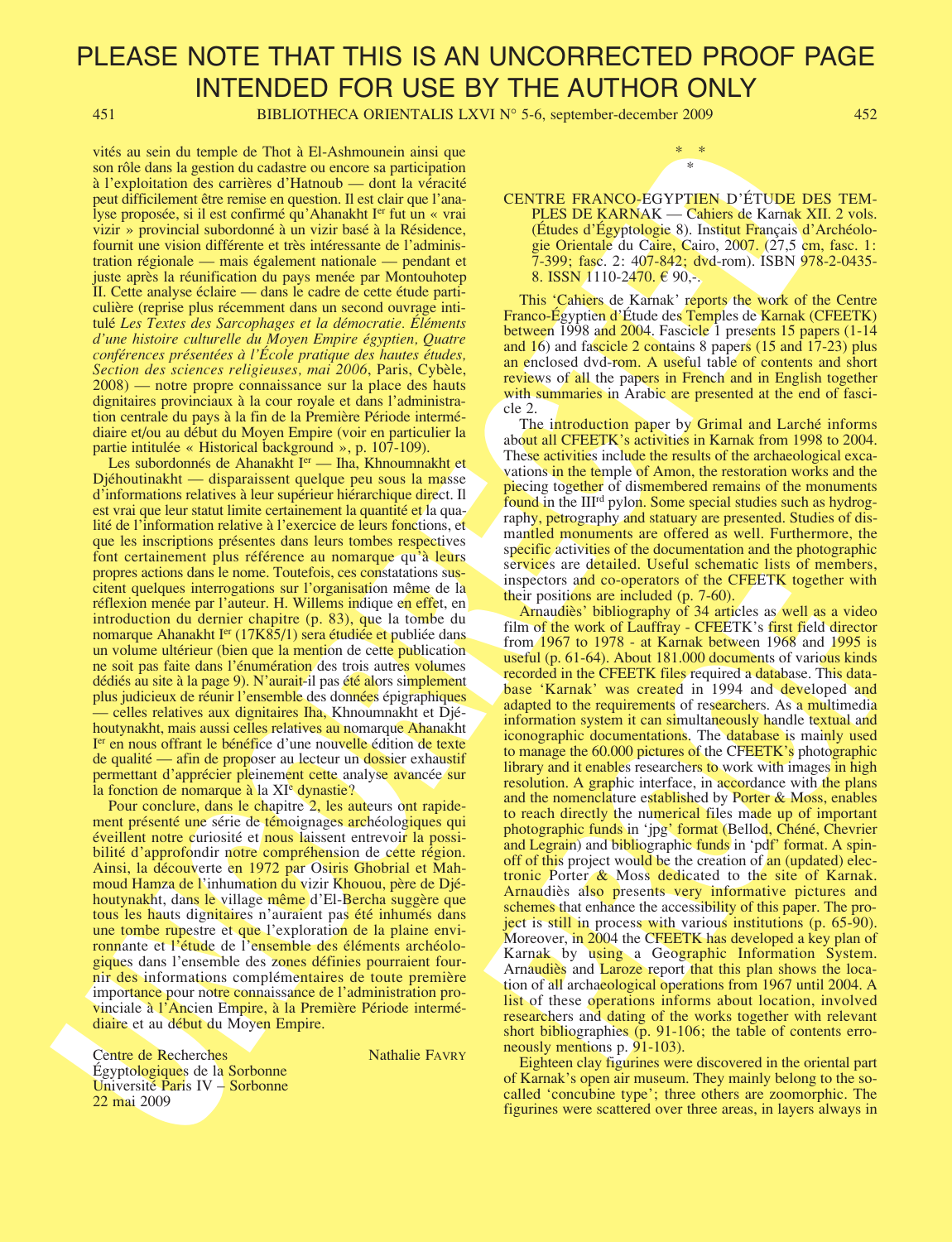451 BIBLIOTHECA ORIENTALIS LXVI N° 5-6, september-december 2009 452

vités au sein du temple de Thot à El-Ashmounein ainsi que son rôle dans la gestion du cadastre ou encore sa participation à l'exploitation des carrières d'Hatnoub — dont la véracité peut difficilement être remise en question. Il est clair que l'analyse proposée, si il est confirmé qu'Ahanakht I<sup>er</sup> fut un « vrai vizir » provincial subordonné à un vizir basé à la Résidence, fournit une vision différente et très intéressante de l'administration régionale — mais également nationale — pendant et juste après la réunification du pays menée par Montouhotep II. Cette analyse éclaire — dans le cadre de cette étude particulière (reprise plus récemment dans un second ouvrage intitulé Les Textes des Sarcophages et la démocratie. Éléments d'une histoire culturelle du Moyen Empire égyptien, Quatre conférences présentées à l'École pratique des hautes études, Section des sciences religieuses, mai 2006, Paris, Cybèle, 2008) — notre propre connaissance sur la place des hauts dignitaires provinciaux à la cour royale et dans l'administration centrale du pays à la fin de la Première Période intermédiaire et/ou au début du Moyen Empire (voir en particulier la partie intitulée « Historical background », p. 107-109).

Les subordonnés de Ahanakht I<sup>er</sup> — Iha, Khnoumnakht et Djéhoutinakht — disparaissent quelque peu sous la masse d'informations relatives à leur supérieur hiérarchique direct. Il est vrai que leur statut limite certainement la quantité et la qualité de l'information relative à l'exercice de leurs fonctions, et que les inscriptions présentes dans leurs tombes respectives font certainement plus référence au nomarque qu'à leurs propres actions dans le nome. Toutefois, ces constatations suscitent quelques interrogations sur l'organisation même de la réflexion menée par l'auteur. H. Willems indique en effet, en introduction du dernier chapitre (p. 83), que la tombe du nomarque Ahanakht I<sup>er</sup> (17K85/1) sera étudiée et publiée dans un volume ultérieur (bien que la mention de cette publication ne soit pas faite dans l'énumération des trois autres volumes dédiés au site à la page 9). N'aurait-il pas été alors simplement plus judicieux de réunir l'ensemble des données épigraphiques — celles relatives aux dignitaires Iha, Khnoumnakht et Djéhoutynakht, mais aussi celles relatives au nomarque Ahanakht I<sup>er</sup> en nous offrant le bénéfice d'une nouvelle édition de texte de qualité — afin de proposer au lecteur un dossier exhaustif permettant d'apprécier pleinement cette analyse avancée sur la fonction de nomarque à la XI<sup>e</sup> dynastie?

Pour conclure, dans le chapitre 2, les auteurs ont rapidement présenté une série de témoignages archéologiques qui éveillent notre curiosité et nous laissent entrevoir la possibilité d'approfondir notre compréhension de cette région. Ainsi, la découverte en 1972 par Osiris Ghobrial et Mahmoud Hamza de l'inhumation du vizir Khouou, père de Djéhoutynakht, dans le village même d'El-Bercha suggère que tous les hauts dignitaires n'auraient pas été inhumés dans une tombe rupestre et que l'exploration de la plaine environnante et l'étude de l'ensemble des éléments archéologiques dans l'ensemble des zones définies pourraient fournir des informations complémentaires de toute première importance pour notre connaissance de l'administration provinciale à l'Ancien Empire, à la Première Période intermédiaire et au début du Moyen Empire.

Centre de Recherches Nathalie FAVRY Égyptologiques de la Sorbonne Université Paris IV – Sorbonne 22 mai 2009



PLES DE KARNAK — Cahiers de Karnak XII. 2 vols. (Études d'Égyptologie 8). Institut Français d'Archéologie Orientale du Caire, Cairo, 2007. (27,5 cm, fasc. 1: 7-399; fasc. 2: 407-842; dvd-rom). ISBN 978-2-0435- 8. ISSN 1110-2470.  $\in$  90,-.

This 'Cahiers de Karnak' reports the work of the Centre Franco-Égyptien d'Étude des Temples de Karnak (CFEETK) between 1998 and 2004. Fascicle 1 presents 15 papers (1-14) and 16) and fascicle 2 contains 8 papers (15 and 17-23) plus an enclosed dvd-rom. A useful table of contents and short reviews of all the papers in French and in English together with summaries in Arabic are presented at the end of fascicle 2.

The introduction paper by Grimal and Larché informs about all CFEETK's activities in Karnak from 1998 to 2004. These activities include the results of the archaeological excavations in the temple of Amon, the restoration works and the piecing together of dismembered remains of the monuments found in the III<sup>rd</sup> pylon. Some special studies such as hydrography, petrography and statuary are presented. Studies of dismantled monuments are offered as well. Furthermore, the specific activities of the documentation and the photographic services are detailed. Useful schematic lists of members, inspectors and co-operators of the CFEETK together with their positions are included (p. 7-60).

victor as also tropic of The Moderation and the specific transmission and the CFIRE RANGELEY (1892) and the CFIRE RANGELEY (1893) and the CFIRE RANGELEY (1893) and the CFIRE RANGELEY (1893) and the CFIRE RANGELEY (1893) a inspectors and co-operators of the CFEETK together with<br>their positions are included (p. 7-60).<br>Amaudies' bibliography of 34 articles as well as a video<br>film of the work of Laufriay - CFEETK's first field director<br>from 19 Arnaudiès' bibliography of 34 articles as well as a video film of the work of Lauffray - CFEETK's first field director from 1967 to 1978 - at Karnak between 1968 and 1995 is useful (p. 61-64). About 181.000 documents of various kinds recorded in the CFEETK files required a database. This database 'Karnak' was created in 1994 and developed and adapted to the requirements of researchers. As a multimedia information system it can simultaneously handle textual and iconographic documentations. The database is mainly used to manage the 60.000 pictures of the CFEETK's photographic library and it enables researchers to work with images in high resolution. A graphic interface, in accordance with the plans and the nomenclature established by Porter & Moss, enables to reach directly the numerical files made up of important photographic funds in 'jpg' format (Bellod, Chéné, Chevrier and Legrain) and bibliographic funds in 'pdf' format. A spinoff of this project would be the creation of an (updated) electronic Porter & Moss dedicated to the site of Karnak. Arnaudiès also presents very informative pictures and schemes that enhance the accessibility of this paper. The project is still in process with various institutions (p. 65-90). Moreover, in 2004 the CFEETK has developed a key plan of Karnak by using a Geographic Information System. Arnaudiès and Laroze report that this plan shows the location of all archaeological operations from 1967 until 2004. A list of these operations informs about location, involved researchers and dating of the works together with relevant short bibliographies (p. 91-106; the table of contents erroneously mentions p. 91-103).

Eighteen clay figurines were discovered in the oriental part of Karnak's open air museum. They mainly belong to the socalled 'concubine type'; three others are zoomorphic. The figurines were scattered over three areas, in layers always in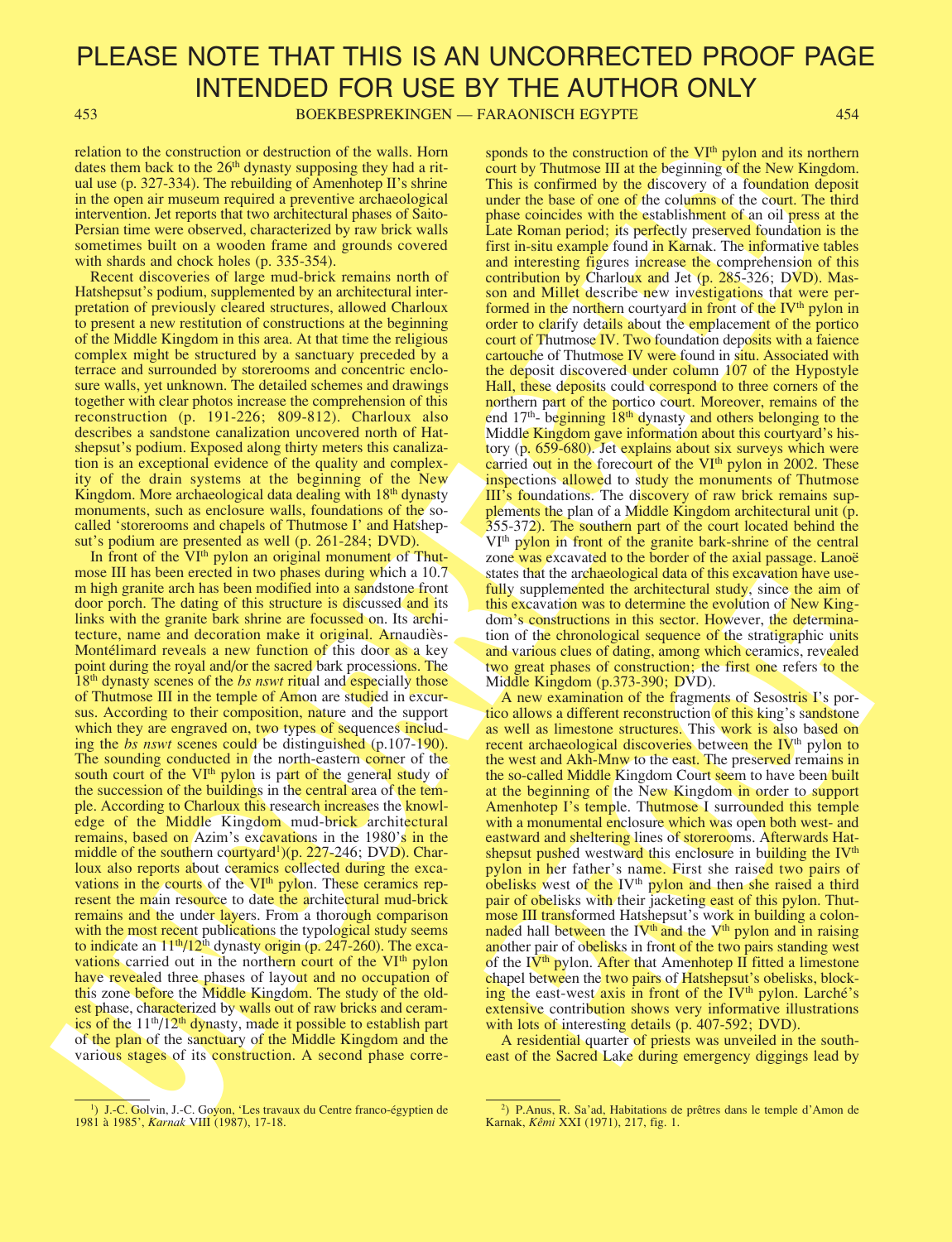453 BOEKBESPREKINGEN — FARAONISCH EGYPTE 454

relation to the construction or destruction of the walls. Horn dates them back to the  $26<sup>th</sup>$  dynasty supposing they had a ritual use (p. 327-334). The rebuilding of Amenhotep II's shrine in the open air museum required a preventive archaeological intervention. Jet reports that two architectural phases of Saito-Persian time were observed, characterized by raw brick walls sometimes built on a wooden frame and grounds covered with shards and chock holes (p. 335-354).

Recent discoveries of large mud-brick remains north of Hatshepsut's podium, supplemented by an architectural interpretation of previously cleared structures, allowed Charloux to present a new restitution of constructions at the beginning of the Middle Kingdom in this area. At that time the religious complex might be structured by a sanctuary preceded by a terrace and surrounded by storerooms and concentric enclosure walls, yet unknown. The detailed schemes and drawings together with clear photos increase the comprehension of this reconstruction (p. 191-226; 809-812). Charloux also describes a sandstone canalization uncovered north of Hatshepsut's podium. Exposed along thirty meters this canalization is an exceptional evidence of the quality and complexity of the drain systems at the beginning of the New Kingdom. More archaeological data dealing with 18<sup>th</sup> dynasty monuments, such as enclosure walls, foundations of the socalled 'storerooms and chapels of Thutmose I' and Hatshepsut's podium are presented as well (p. 261-284; DVD).

ration of a constraint of original constraint of the sail. However, we also have the same station of the same station of the same station of the same station of the same station of the same station of the same station of In front of the VI<sup>th</sup> pylon an original monument of Thutmose III has been erected in two phases during which a 10.7 m high granite arch has been modified into a sandstone front door porch. The dating of this structure is discussed and its links with the granite bark shrine are focussed on. Its architecture, name and decoration make it original. Arnaudiès-Montélimard reveals a new function of this door as a key point during the royal and/or the sacred bark processions. The  $18<sup>th</sup>$  dynasty scenes of the *bs nswt* ritual and especially those of Thutmose III in the temple of Amon are studied in excursus. According to their composition, nature and the support which they are engraved on, two types of sequences including the *bs nswt* scenes could be distinguished (p.107-190). The sounding conducted in the north-eastern corner of the south court of the VI<sup>th</sup> pylon is part of the general study of the succession of the buildings in the central area of the temple. According to Charloux this research increases the knowledge of the Middle Kingdom mud-brick architectural remains, based on Azim's excavations in the 1980's in the middle of the southern courtyard<sup>1</sup>)(p. 227-246; DVD). Charloux also reports about ceramics collected during the excavations in the courts of the VI<sup>th</sup> pylon. These ceramics represent the main resource to date the architectural mud-brick remains and the under layers. From a thorough comparison with the most recent publications the typological study seems to indicate an  $11<sup>th</sup>/12<sup>th</sup>$  dynasty origin (p. 247-260). The excavations carried out in the northern court of the VI<sup>th</sup> pylon have revealed three phases of layout and no occupation of this zone before the Middle Kingdom. The study of the oldest phase, characterized by walls out of raw bricks and ceramics of the 11<sup>th</sup>/12<sup>th</sup> dynasty, made it possible to establish part of the plan of the sanctuary of the Middle Kingdom and the various stages of its construction. A second phase corre-

sponds to the construction of the VI<sup>th</sup> pylon and its northern court by Thutmose III at the beginning of the New Kingdom. This is confirmed by the discovery of a foundation deposit under the base of one of the columns of the court. The third phase coincides with the establishment of an oil press at the Late Roman period; its perfectly preserved foundation is the first in-situ example found in Karnak. The informative tables and interesting figures increase the comprehension of this contribution by Charloux and Jet (p. 285-326; DVD). Masson and Millet describe new investigations that were performed in the northern courtyard in front of the IV<sup>th</sup> pylon in order to clarify details about the emplacement of the portico court of Thutmose IV. Two foundation deposits with a faience cartouche of Thutmose IV were found in situ. Associated with the deposit discovered under column 107 of the Hypostyle Hall, these deposits could correspond to three corners of the northern part of the portico court. Moreover, remains of the end  $17<sup>th</sup>$ - beginning  $18<sup>th</sup>$  dynasty and others belonging to the Middle Kingdom gave information about this courtyard's history (p. 659-680). Jet explains about six surveys which were carried out in the forecourt of the VI<sup>th</sup> pylon in 2002. These inspections allowed to study the monuments of Thutmose III's foundations. The discovery of raw brick remains supplements the plan of a Middle Kingdom architectural unit (p. 355-372). The southern part of the court located behind the VIth pylon in front of the granite bark-shrine of the central zone was excavated to the border of the axial passage. Lanoë states that the archaeological data of this excavation have usefully supplemented the architectural study, since the aim of this excavation was to determine the evolution of New Kingdom's constructions in this sector. However, the determination of the chronological sequence of the stratigraphic units and various clues of dating, among which ceramics, revealed two great phases of construction; the first one refers to the Middle Kingdom (p.373-390; DVD).

states that the acchiedorytal data of uns excevation have use-<br>fully supplemented the architectural study, since the aim of<br>this excavation was to determine the evolution of New King-<br>dom's constructions in this sector. H A new examination of the fragments of Sesostris I's portico allows a different reconstruction of this king's sandstone as well as limestone structures. This work is also based on recent archaeological discoveries between the IV<sup>th</sup> pylon to the west and Akh-Mnw to the east. The preserved remains in the so-called Middle Kingdom Court seem to have been built at the beginning of the New Kingdom in order to support Amenhotep I's temple. Thutmose I surrounded this temple with a monumental enclosure which was open both west- and eastward and sheltering lines of storerooms. Afterwards Hatshepsut pushed westward this enclosure in building the IV<sup>th</sup> pylon in her father's name. First she raised two pairs of obelisks west of the IV<sup>th</sup> pylon and then she raised a third pair of obelisks with their jacketing east of this pylon. Thutmose III transformed Hatshepsut's work in building a colonnaded hall between the  $IV<sup>th</sup>$  and the  $V<sup>th</sup>$  pylon and in raising another pair of obelisks in front of the two pairs standing west of the IV<sup>th</sup> pylon. After that Amenhotep II fitted a limestone chapel between the two pairs of Hatshepsut's obelisks, blocking the east-west axis in front of the IV<sup>th</sup> pylon. Larché's extensive contribution shows very informative illustrations with lots of interesting details (p. 407-592; DVD).

A residential quarter of priests was unveiled in the southeast of the Sacred Lake during emergency diggings lead by

<sup>&</sup>lt;sup>1</sup>) J.-C. Golvin, J.-C. Govon, 'Les travaux du Centre franco-égyptien de 1981 à 1985', Karnak VIII (1987), 17-18.

<sup>&</sup>lt;sup>2</sup>) P.Anus, R. Sa'ad, Habitations de prêtres dans le temple d'Amon de Karnak, Kêmi XXI (1971), 217, fig. 1.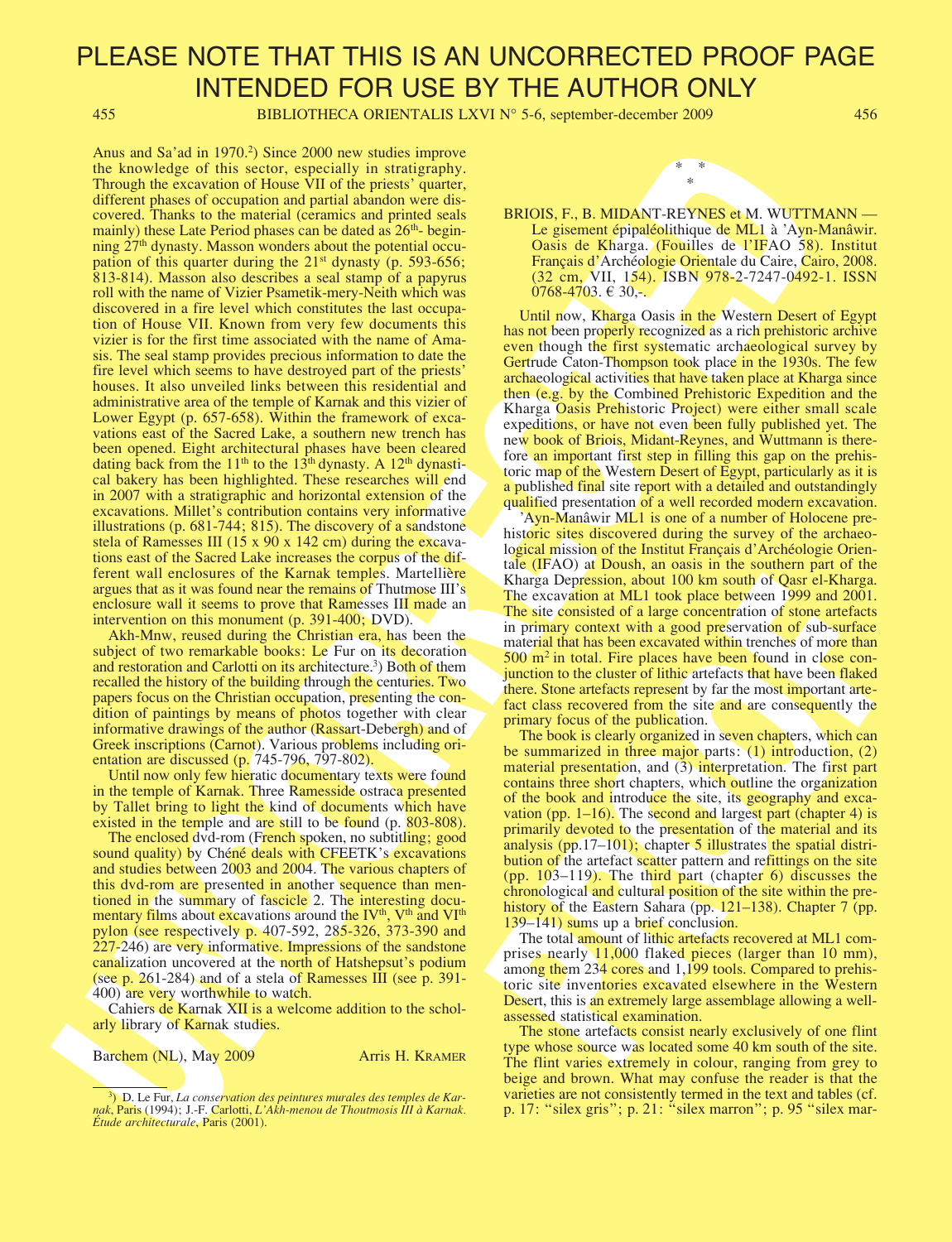455 BIBLIOTHECA ORIENTALIS LXVI N° 5-6, september-december 2009 456

Anna may be a my torus and solid interest of measures and the set of the set of the set of the set of the set of the set of the set of the set of the set of the set of the set of the set of the set of the set of the set o Anus and Sa'ad in 1970.<sup>2</sup>) Since 2000 new studies improve the knowledge of this sector, especially in stratigraphy. Through the excavation of House VII of the priests' quarter, different phases of occupation and partial abandon were discovered. Thanks to the material (ceramics and printed seals mainly) these Late Period phases can be dated as  $26<sup>th</sup>$ - beginning 27<sup>th</sup> dynasty. Masson wonders about the potential occupation of this quarter during the  $21<sup>st</sup>$  dynasty (p. 593-656; 813-814). Masson also describes a seal stamp of a papyrus roll with the name of Vizier Psametik-mery-Neith which was discovered in a fire level which constitutes the last occupation of House VII. Known from very few documents this vizier is for the first time associated with the name of Amasis. The seal stamp provides precious information to date the fire level which seems to have destroyed part of the priests' houses. It also unveiled links between this residential and administrative area of the temple of Karnak and this vizier of Lower Egypt (p. 657-658). Within the framework of excavations east of the Sacred Lake, a southern new trench has been opened. Eight architectural phases have been cleared dating back from the 11<sup>th</sup> to the 13<sup>th</sup> dynasty. A 12<sup>th</sup> dynastical bakery has been highlighted. These researches will end in 2007 with a stratigraphic and horizontal extension of the excavations. Millet's contribution contains very informative illustrations (p. 681-744; 815). The discovery of a sandstone stela of Ramesses III (15 x 90 x 142 cm) during the excavations east of the Sacred Lake increases the corpus of the different wall enclosures of the Karnak temples. Martellière argues that as it was found near the remains of Thutmose III's enclosure wall it seems to prove that Ramesses III made an intervention on this monument (p. 391-400; DVD).

Akh-Mnw, reused during the Christian era, has been the subject of two remarkable books: Le Fur on its decoration and restoration and Carlotti on its architecture.<sup>3</sup>) Both of them recalled the history of the building through the centuries. Two papers focus on the Christian occupation, presenting the condition of paintings by means of photos together with clear informative drawings of the author (Rassart-Debergh) and of Greek inscriptions (Carnot). Various problems including orientation are discussed (p. 745-796, 797-802).

Until now only few hieratic documentary texts were found in the temple of Karnak. Three Ramesside ostraca presented by Tallet bring to light the kind of documents which have existed in the temple and are still to be found (p. 803-808).

The enclosed dvd-rom (French spoken, no subtitling; good sound quality) by Chéné deals with CFEETK's excavations and studies between 2003 and 2004. The various chapters of this dvd-rom are presented in another sequence than mentioned in the summary of fascicle 2. The interesting documentary films about excavations around the  $IV<sup>th</sup>$ ,  $V<sup>th</sup>$  and  $VI<sup>th</sup>$ pylon (see respectively p. 407-592, 285-326, 373-390 and 227-246) are very informative. Impressions of the sandstone canalization uncovered at the north of Hatshepsut's podium (see p. 261-284) and of a stela of Ramesses III (see p. 391- 400) are very worthwhile to watch.

Cahiers de Karnak XII is a welcome addition to the scholarly library of Karnak studies.

Barchem (NL), May 2009 Arris H. KRAMER



\* \*

Until now, Kharga Oasis in the Western Desert of Egypt has not been properly recognized as a rich prehistoric archive even though the first systematic archaeological survey by Gertrude Caton-Thompson took place in the 1930s. The few archaeological activities that have taken place at Kharga since then (e.g. by the Combined Prehistoric Expedition and the Kharga Oasis Prehistoric Project) were either small scale expeditions, or have not even been fully published yet. The new book of Briois, Midant-Reynes, and Wuttmann is therefore an important first step in filling this gap on the prehistoric map of the Western Desert of Egypt, particularly as it is a published final site report with a detailed and outstandingly qualified presentation of a well recorded modern excavation.

'Ayn-Manâwir ML1 is one of a number of Holocene prehistoric sites discovered during the survey of the archaeological mission of the Institut Français d'Archéologie Orientale (IFAO) at Doush, an oasis in the southern part of the Kharga Depression, about 100 km south of Qasr el-Kharga. The excavation at ML1 took place between 1999 and 2001. The site consisted of a large concentration of stone artefacts in primary context with a good preservation of sub-surface material that has been excavated within trenches of more than  $500 \text{ m}^2$  in total. Fire places have been found in close conjunction to the cluster of lithic artefacts that have been flaked there. Stone artefacts represent by far the most important artefact class recovered from the site and are consequently the primary focus of the publication.

Kharga Depression, about 100 km south of Qasr el-Kharga.<br>The excavation at ML1 took place between 1999 and 2001.<br>The site consisted of a large concentration of stone arefacts<br>in primary context with a good preservation of The book is clearly organized in seven chapters, which can be summarized in three major parts:  $(1)$  introduction,  $(2)$ material presentation, and (3) interpretation. The first part contains three short chapters, which outline the organization of the book and introduce the site, its geography and excavation (pp. 1–16). The second and largest part (chapter 4) is primarily devoted to the presentation of the material and its analysis (pp.17–101); chapter 5 illustrates the spatial distribution of the artefact scatter pattern and refittings on the site (pp. 103–119). The third part (chapter 6) discusses the chronological and cultural position of the site within the prehistory of the Eastern Sahara (pp. 121–138). Chapter 7 (pp. 139–141) sums up a brief conclusion.

The total amount of lithic artefacts recovered at ML1 comprises nearly 11,000 flaked pieces (larger than 10 mm), among them 234 cores and 1,199 tools. Compared to prehistoric site inventories excavated elsewhere in the Western Desert, this is an extremely large assemblage allowing a wellassessed statistical examination.

The stone artefacts consist nearly exclusively of one flint type whose source was located some 40 km south of the site. The flint varies extremely in colour, ranging from grey to beige and brown. What may confuse the reader is that the varieties are not consistently termed in the text and tables (cf. p. 17: "silex gris"; p. 21: "silex marron"; p. 95 "silex mar-

<sup>&</sup>lt;sup>3</sup>) D. Le Fur, *La conservation des peintures murales des temples de Kar*nak, Paris (1994); J.-F. Carlotti, L'Akh-menou de Thoutmosis III à Karnak. Étude architecturale, Paris (2001).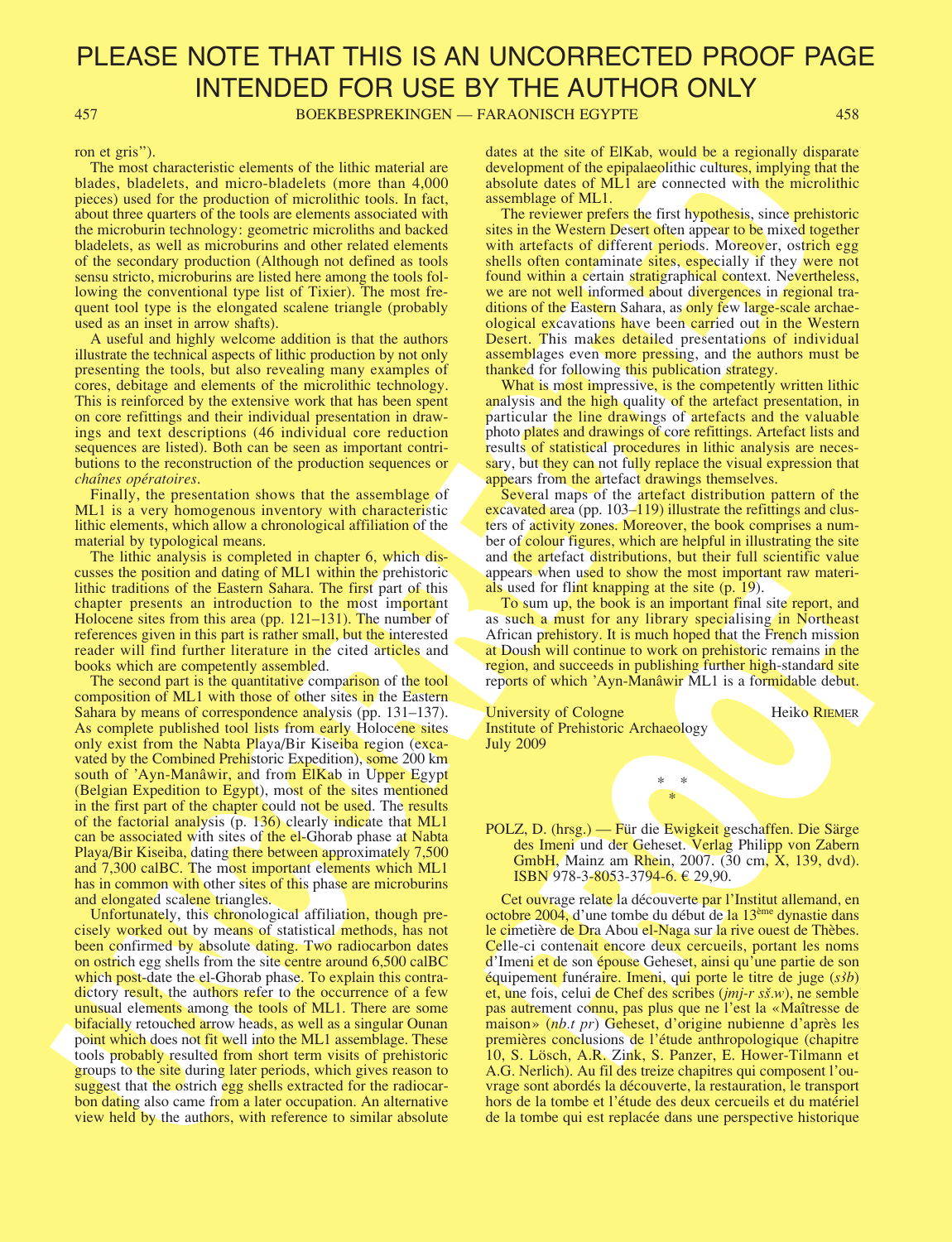457 BOEKBESPREKINGEN — FARAONISCH EGYPTE 458

ron et gris").

The most characteristic elements of the lithic material are blades, bladelets, and micro-bladelets (more than 4,000 pieces) used for the production of microlithic tools. In fact, about three quarters of the tools are elements associated with the microburin technology: geometric microliths and backed bladelets, as well as microburins and other related elements of the secondary production (Although not defined as tools sensu stricto, microburins are listed here among the tools following the conventional type list of Tixier). The most frequent tool type is the elongated scalene triangle (probably used as an inset in arrow shafts).

A useful and highly welcome addition is that the authors illustrate the technical aspects of lithic production by not only presenting the tools, but also revealing many examples of cores, debitage and elements of the microlithic technology. This is reinforced by the extensive work that has been spent on core refittings and their individual presentation in drawings and text descriptions (46 individual core reduction sequences are listed). Both can be seen as important contributions to the reconstruction of the production sequences or chaînes opératoires.

Finally, the presentation shows that the assemblage of ML1 is a very homogenous inventory with characteristic lithic elements, which allow a chronological affiliation of the material by typological means.

The lithic analysis is completed in chapter 6, which discusses the position and dating of ML1 within the prehistoric lithic traditions of the Eastern Sahara. The first part of this chapter presents an introduction to the most important Holocene sites from this area (pp. 121–131). The number of references given in this part is rather small, but the interested reader will find further literature in the cited articles and books which are competently assembled.

For the sixten, and the sixten states of the sixten states of ERA, which we can consider the sixten states of ERA, which we can consider the sixten states of ERA states of ERA states of ERA states of ERA states of ERA sta The second part is the quantitative comparison of the tool composition of ML1 with those of other sites in the Eastern Sahara by means of correspondence analysis (pp. 131–137). As complete published tool lists from early Holocene sites only exist from the Nabta Playa/Bir Kiseiba region (excavated by the Combined Prehistoric Expedition), some 200 km south of 'Ayn-Manâwir, and from ElKab in Upper Egypt (Belgian Expedition to Egypt), most of the sites mentioned in the first part of the chapter could not be used. The results of the factorial analysis (p. 136) clearly indicate that ML1 can be associated with sites of the el-Ghorab phase at Nabta Playa/Bir Kiseiba, dating there between approximately 7,500 and 7,300 calBC. The most important elements which ML1 has in common with other sites of this phase are microburins and elongated scalene triangles.

Unfortunately, this chronological affiliation, though precisely worked out by means of statistical methods, has not been confirmed by absolute dating. Two radiocarbon dates on ostrich egg shells from the site centre around 6,500 calBC which post-date the el-Ghorab phase. To explain this contradictory result, the authors refer to the occurrence of a few unusual elements among the tools of ML1. There are some bifacially retouched arrow heads, as well as a singular Ounan point which does not fit well into the ML1 assemblage. These tools probably resulted from short term visits of prehistoric groups to the site during later periods, which gives reason to suggest that the ostrich egg shells extracted for the radiocarbon dating also came from a later occupation. An alternative view held by the authors, with reference to similar absolute

dates at the site of ElKab, would be a regionally disparate development of the epipalaeolithic cultures, implying that the absolute dates of ML1 are connected with the microlithic assemblage of ML1.

The reviewer prefers the first hypothesis, since prehistoric sites in the Western Desert often appear to be mixed together with artefacts of different periods. Moreover, ostrich egg shells often contaminate sites, especially if they were not found within a certain stratigraphical context. Nevertheless, we are not well informed about divergences in regional traditions of the Eastern Sahara, as only few large-scale archaeological excavations have been carried out in the Western Desert. This makes detailed presentations of individual assemblages even more pressing, and the authors must be thanked for following this publication strategy.

What is most impressive, is the competently written lithic analysis and the high quality of the artefact presentation, in particular the line drawings of artefacts and the valuable photo plates and drawings of core refittings. Artefact lists and results of statistical procedures in lithic analysis are necessary, but they can not fully replace the visual expression that appears from the artefact drawings themselves.

Several maps of the artefact distribution pattern of the excavated area (pp. 103–119) illustrate the refittings and clusters of activity zones. Moreover, the book comprises a number of colour figures, which are helpful in illustrating the site and the artefact distributions, but their full scientific value appears when used to show the most important raw materials used for flint knapping at the site (p. 19).

To sum up, the book is an important final site report, and as such a must for any library specialising in Northeast African prehistory. It is much hoped that the French mission at Doush will continue to work on prehistoric remains in the region, and succeeds in publishing further high-standard site reports of which 'Ayn-Manâwir ML1 is a formidable debut.

| University of Cologne                                           |  | <b>Heiko RIEMER</b> |
|-----------------------------------------------------------------|--|---------------------|
| <b>Institute of Prehistoric Archaeology</b><br><b>July 2009</b> |  |                     |
|                                                                 |  |                     |

\* \* \*

POLZ, D. (hrsg.) — Für die Ewigkeit geschaffen. Die Särge des Imeni und der Geheset. Verlag Philipp von Zabern GmbH, Mainz am Rhein, 2007. (30 cm, X, 139, dvd). **ISBN** 978-3-8053-3794-6. € 29,90.

als used for flight knowled in the site (p. 19).<br>
To sum up, the book is an important final site report, and<br>
as such a must for a mythend final site report, and<br>
as such a must for any library specialising in Northeast<br> Cet ouvrage relate la découverte par l'Institut allemand, en octobre 2004, d'une tombe du début de la 13<sup>ème</sup> dynastie dans le cimetière de Dra Abou el-Naga sur la rive ouest de Thèbes. Celle-ci contenait encore deux cercueils, portant les noms d'Imeni et de son épouse Geheset, ainsi qu'une partie de son équipement funéraire. Imeni, qui porte le titre de juge  $(s3b)$ et, une fois, celui de Chef des scribes (jmj-r s**s**.w), ne semble pas autrement connu, pas plus que ne l'est la «Maîtresse de maison» (nb.t pr) Geheset, d'origine nubienne d'après les premières conclusions de l'étude anthropologique (chapitre 10, S. Lösch, A.R. Zink, S. Panzer, E. Hower-Tilmann et A.G. Nerlich). Au fil des treize chapitres qui composent l'ouvrage sont abordés la découverte, la restauration, le transport hors de la tombe et l'étude des deux cercueils et du matériel de la tombe qui est replacée dans une perspective historique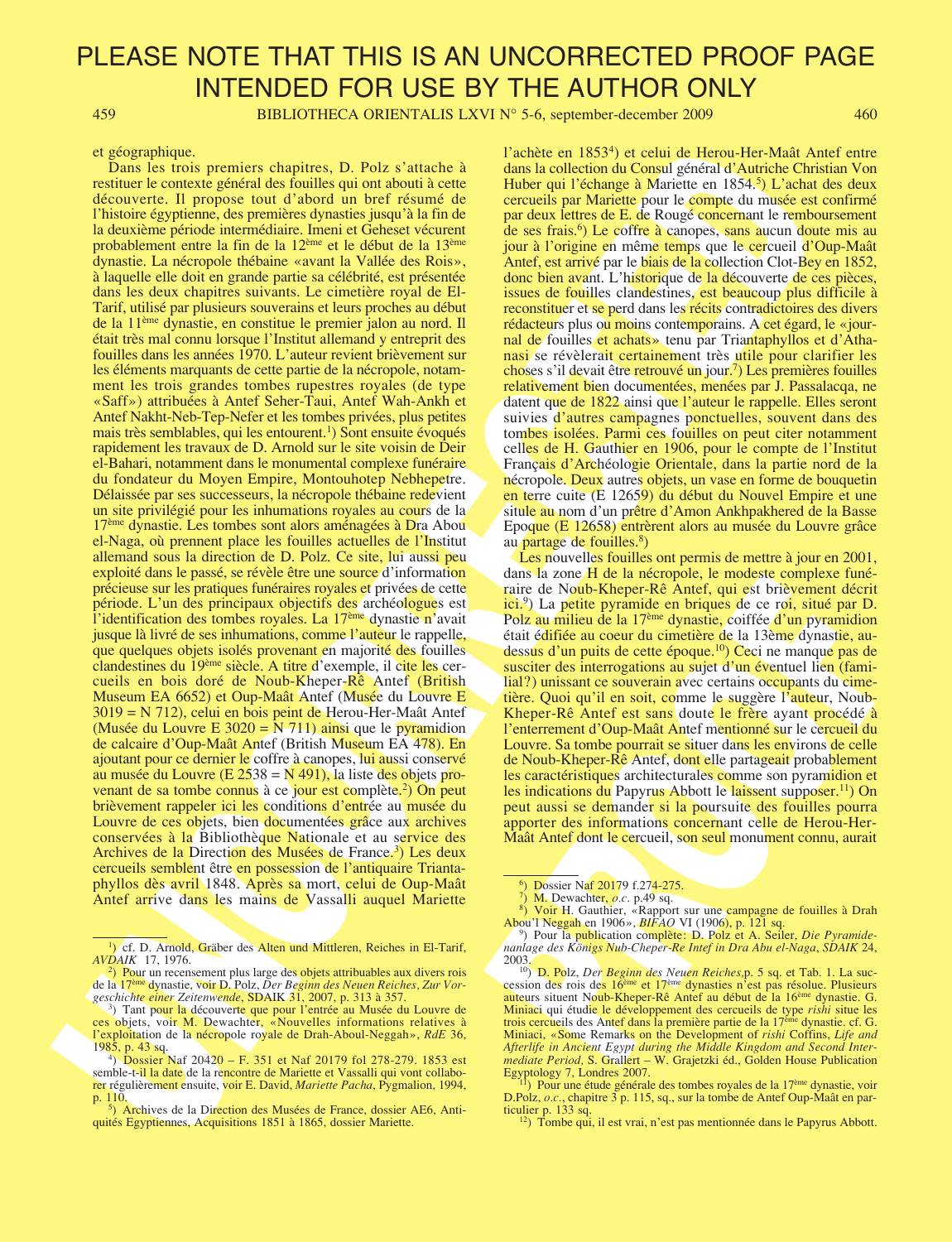459 BIBLIOTHECA ORIENTALIS LXVI N° 5-6, september-december 2009 460

### et géographique.

C ASSEMBATION. The main constraints of the state of the state of the state of the state of the state of the state of the state of the state of the state of the state of the state of the state of the state of the state of Dans les trois premiers chapitres, D. Polz s'attache à restituer le contexte général des fouilles qui ont abouti à cette découverte. Il propose tout d'abord un bref résumé de l'histoire égyptienne, des premières dynasties jusqu'à la fin de la deuxième période intermédiaire. Imeni et Geheset vécurent probablement entre la fin de la 12ème et le début de la 13ème dynastie. La nécropole thébaine «avant la Vallée des Rois», à laquelle elle doit en grande partie sa célébrité, est présentée dans les deux chapitres suivants. Le cimetière royal de El-Tarif, utilisé par plusieurs souverains et leurs proches au début de la 11ème dynastie, en constitue le premier jalon au nord. Il était très mal connu lorsque l'Institut allemand y entreprit des fouilles dans les années 1970. L'auteur revient brièvement sur les éléments marquants de cette partie de la nécropole, notamment les trois grandes tombes rupestres royales (de type «Saff») attribuées à Antef Seher-Taui, Antef Wah-Ankh et Antef Nakht-Neb-Tep-Nefer et les tombes privées, plus petites mais très semblables, qui les entourent.<sup>1</sup>) Sont ensuite évoqués rapidement les travaux de D. Arnold sur le site voisin de Deir el-Bahari, notamment dans le monumental complexe funéraire du fondateur du Moyen Empire, Montouhotep Nebhepetre. Délaissée par ses successeurs, la nécropole thébaine redevient un site privilégié pour les inhumations royales au cours de la 17ème dynastie. Les tombes sont alors aménagées à Dra Abou el-Naga, où prennent place les fouilles actuelles de l'Institut allemand sous la direction de D. Polz. Ce site, lui aussi peu exploité dans le passé, se révèle être une source d'information précieuse sur les pratiques funéraires royales et privées de cette période. L'un des principaux objectifs des archéologues est l'identification des tombes royales. La 17<sup>ème</sup> dynastie n'avait jusque là livré de ses inhumations, comme l'auteur le rappelle, que quelques objets isolés provenant en majorité des fouilles clandestines du 19ème siècle. A titre d'exemple, il cite les cercueils en bois doré de Noub-Kheper-Rê Antef (British Museum EA 6652) et Oup-Maât Antef (Musée du Louvre E 3019 = N 712), celui en bois peint de Herou-Her-Maât Antef (Musée du Louvre E  $3020 = N 711$ ) ainsi que le pyramidion de calcaire d'Oup-Maât Antef (British Museum EA 478). En ajoutant pour ce dernier le coffre à canopes, lui aussi conservé au musée du Louvre (E 2538 = N 491), la liste des objets provenant de sa tombe connus à ce jour est complète.<sup>2</sup>) On peut brièvement rappeler ici les conditions d'entrée au musée du Louvre de ces objets, bien documentées grâce aux archives conservées à la Bibliothèque Nationale et au service des Archives de la Direction des Musées de France.<sup>3</sup>) Les deux cercueils semblent être en possession de l'antiquaire Triantaphyllos dès avril 1848. Après sa mort, celui de Oup-Maât Antef arrive dans les mains de Vassalli auquel Mariette

l'achète en 1853<sup>4</sup>) et celui de Herou-Her-Maât Antef entre dans la collection du Consul général d'Autriche Christian Von Huber qui l'échange à Mariette en 1854.<sup>5</sup>) L'achat des deux cercueils par Mariette pour le compte du musée est confirmé par deux lettres de E. de Rougé concernant le remboursement de ses frais.<sup>6</sup>) Le coffre à canopes, sans aucun doute mis au jour à l'origine en même temps que le cercueil d'Oup-Maât Antef, est arrivé par le biais de la collection Clot-Bey en 1852, donc bien avant. L'historique de la découverte de ces pièces, issues de fouilles clandestines, est beaucoup plus difficile à reconstituer et se perd dans les récits contradictoires des divers rédacteurs plus ou moins contemporains. A cet égard, le «journal de fouilles et achats» tenu par Triantaphyllos et d'Athanasi se révèlerait certainement très utile pour clarifier les choses s'il devait être retrouvé un jour.<sup>7</sup>) Les premières fouilles relativement bien documentées, menées par J. Passalacqa, ne datent que de 1822 ainsi que l'auteur le rappelle. Elles seront suivies d'autres campagnes ponctuelles, souvent dans des tombes isolées. Parmi ces fouilles on peut citer notamment celles de H. Gauthier en 1906, pour le compte de l'Institut Français d'Archéologie Orientale, dans la partie nord de la nécropole. Deux autres objets, un vase en forme de bouquetin en terre cuite (E 12659) du début du Nouvel Empire et une situle au nom d'un prêtre d'Amon Ankhpakhered de la Basse Epoque (E 12658) entrèrent alors au musée du Louvre grâce au partage de fouilles.<sup>8</sup>)

dats a Zone rue al activipolog, te into explore times<br>
raire de Noub-Kheper-Rê Antef, qui est brièvement décrit<br>
raire de Noub-Kheper-Rê Antef, qui est brièvement décrit<br>
relie du T<sup>7</sup>me dynastie, coiffée d'un pyramidion<br> Les nouvelles fouilles ont permis de mettre à jour en 2001, dans la zone H de la nécropole, le modeste complexe funéraire de Noub-Kheper-Rê Antef, qui est brièvement décrit ici.<sup>9</sup>) La petite pyramide en briques de ce roi, situé par D. Polz au milieu de la 17ème dynastie, coiffée d'un pyramidion était édifiée au coeur du cimetière de la 13ème dynastie, audessus d'un puits de cette époque.10) Ceci ne manque pas de susciter des interrogations au sujet d'un éventuel lien (familial?) unissant ce souverain avec certains occupants du cimetière. Quoi qu'il en soit, comme le suggère l'auteur, Noub-Kheper-Rê Antef est sans doute le frère ayant procédé à l'enterrement d'Oup-Maât Antef mentionné sur le cercueil du Louvre. Sa tombe pourrait se situer dans les environs de celle de Noub-Kheper-Rê Antef, dont elle partageait probablement les caractéristiques architecturales comme son pyramidion et les indications du Papyrus Abbott le laissent supposer.<sup>11</sup>) On peut aussi se demander si la poursuite des fouilles pourra apporter des informations concernant celle de Herou-Her-Maât Antef dont le cercueil, son seul monument connu, aurait

<sup>7</sup>) M. Dewachter, *o.c.* p.49 sq. 8) Voir H. Gauthier, «Rapport sur une campagne de fouilles à Drah Abou'l Neggah en 1906»,  $BIFAO$  VI (1906), p. 121 sq.

<sup>&</sup>lt;sup>1</sup>) cf. D. Arnold, Gräber des Alten und Mittleren, Reiches in El-Tarif, AVDAIK 17, 1976.

<sup>&</sup>lt;sup>2</sup>) Pour un recensement plus large des objets attribuables aux divers rois de la 17<sup>ème</sup> dynastie, voir D. Polz, Der Beginn des Neuen Reiches, Zur Vorgeschichte einer Zeitenwende, SDAIK 31, 2007, p. 313 à 357.

<sup>3</sup> ) Tant pour la découverte que pour l'entrée au Musée du Louvre de ces objets, voir M. Dewachter, «Nouvelles informations relatives à l'exploitation de la nécropole royale de Drah-Aboul-Neggah», RdE 36, 1985, p. 43 sq.

<sup>&</sup>lt;sup>4</sup>) Dossier Naf 20420 – F. 351 et Naf 20179 fol 278-279. 1853 est semble-t-il la date de la rencontre de Mariette et Vassalli qui vont collaborer régulièrement ensuite, voir E. David, Mariette Pacha, Pygmalion, 1994, p. 110.<br><sup>5</sup>) Archives de la Direction des Musées de France, dossier AE6, Anti-

quités Egyptiennes, Acquisitions 1851 à 1865, dossier Mariette.

<sup>&</sup>lt;sup>6</sup>) Dossier Naf 20179 f.274-275.

<sup>&</sup>lt;sup>9</sup>) Pour la publication complète: D. Polz et A. Seiler, *Die Pyramide*nanlage des Königs Nub-Cheper-Re Intef in Dra Abu el-Naga, SDAIK 24, 2003.

 $10$ ) D. Polz, Der Beginn des Neuen Reiches, p. 5 sq. et Tab. 1. La succession des rois des 16<sup>ème</sup> et 17<sup>ème</sup> dynasties n'est pas résolue. Plusieurs auteurs situent Noub-Kheper-Rê Antef au début de la 16ème dynastie. G. Miniaci qui étudie le développement des cercueils de type *rishi* situe les trois cercueils des Antef dans la première partie de la  $17<sup>ěme</sup>$  dynastie, cf. G. Miniaci, «Some Remarks on the Development of *rishi* Coffins, Life and Afterlife in Ancient Egypt during the Middle Kingdom and Second Intermediate Period, S. Grallert - W. Grajetzki éd., Golden House Publication

Egyptology 7, Londres 2007. <sup>11</sup>) Pour une étude générale des tombes royales de la  $17<sup>eme</sup>$  dynastie, voir D.Polz, o.c., chapitre 3 p. 115, sq., sur la tombe de Antef Oup-Maât en particulier p. 133 sq.

<sup>&</sup>lt;sup>12</sup>) Tombe qui, il est vrai, n'est pas mentionnée dans le Papyrus Abbott.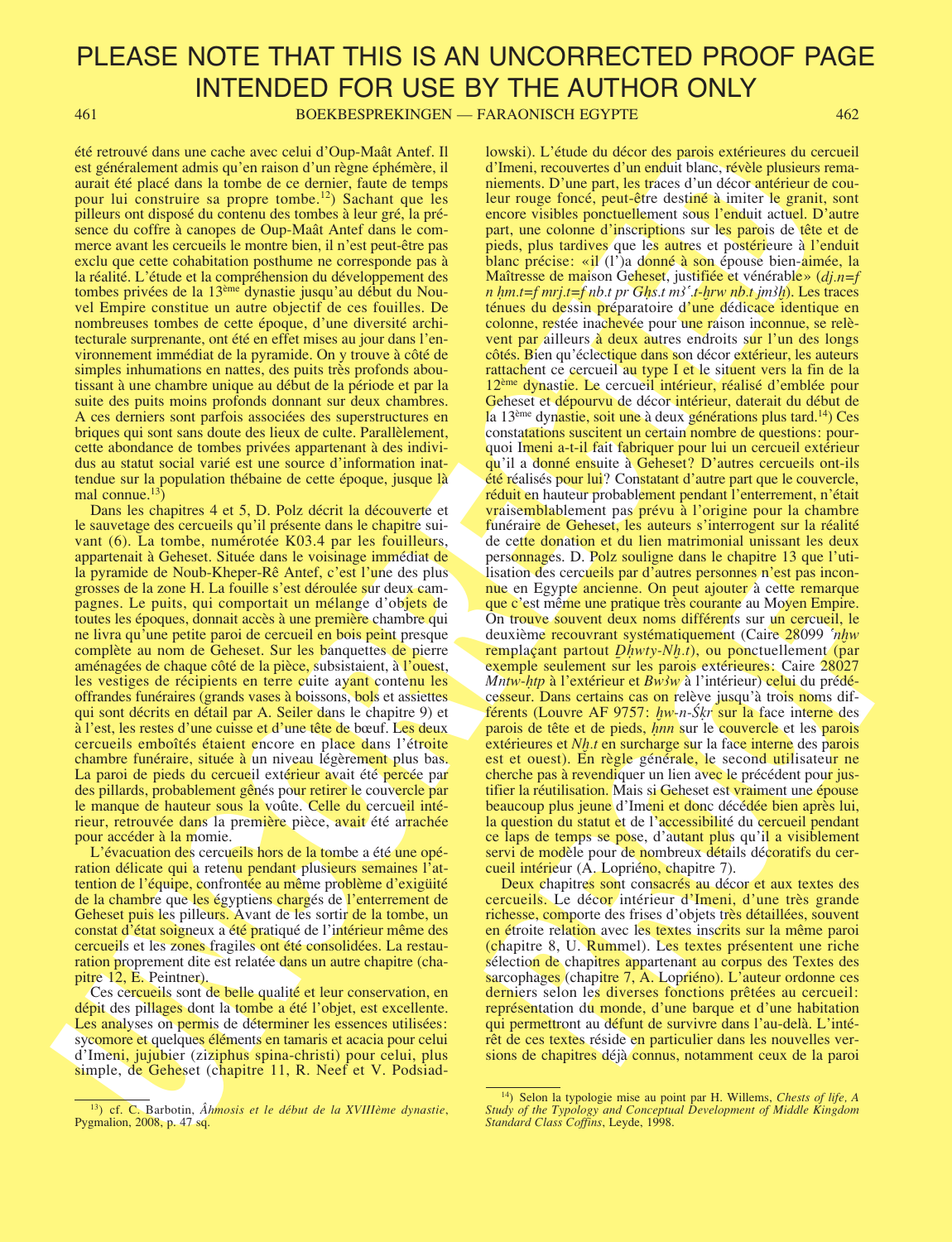461 BOEKBESPREKINGEN — FARAONISCH EGYPTE 462

été retrouvé dans une cache avec celui d'Oup-Maât Antef. Il est généralement admis qu'en raison d'un règne éphémère, il aurait été placé dans la tombe de ce dernier, faute de temps pour lui construire sa propre tombe.12) Sachant que les pilleurs ont disposé du contenu des tombes à leur gré, la présence du coffre à canopes de Oup-Maât Antef dans le commerce avant les cercueils le montre bien, il n'est peut-être pas exclu que cette cohabitation posthume ne corresponde pas à la réalité. L'étude et la compréhension du développement des tombes privées de la 13ème dynastie jusqu'au début du Nouvel Empire constitue un autre objectif de ces fouilles. De nombreuses tombes de cette époque, d'une diversité architecturale surprenante, ont été en effet mises au jour dans l'environnement immédiat de la pyramide. On y trouve à côté de simples inhumations en nattes, des puits très profonds aboutissant à une chambre unique au début de la période et par la suite des puits moins profonds donnant sur deux chambres. A ces derniers sont parfois associées des superstructures en briques qui sont sans doute des lieux de culte. Parallèlement, cette abondance de tombes privées appartenant à des individus au statut social varié est une source d'information inattendue sur la population thébaine de cette époque, jusque là mal connue.<sup>13</sup>)

Dans les chapitres 4 et 5, D. Polz décrit la découverte et le sauvetage des cercueils qu'il présente dans le chapitre suivant (6). La tombe, numérotée K03.4 par les fouilleurs, appartenait à Geheset. Située dans le voisinage immédiat de la pyramide de Noub-Kheper-Rê Antef, c'est l'une des plus grosses de la zone H. La fouille s'est déroulée sur deux campagnes. Le puits, qui comportait un mélange d'objets de toutes les époques, donnait accès à une première chambre qui ne livra qu'une petite paroi de cercueil en bois peint presque complète au nom de Geheset. Sur les banquettes de pierre aménagées de chaque côté de la pièce, subsistaient, à l'ouest, les vestiges de récipients en terre cuite ayant contenu les offrandes funéraires (grands vases à boissons, bols et assiettes qui sont décrits en détail par A. Seiler dans le chapitre 9) et à l'est, les restes d'une cuisse et d'une tête de bœuf. Les deux cercueils emboîtés étaient encore en place dans l'étroite chambre funéraire, située à un niveau légèrement plus bas. La paroi de pieds du cercueil extérieur avait été percée par des pillards, probablement gênés pour retirer le couvercle par le manque de hauteur sous la voûte. Celle du cercueil intérieur, retrouvée dans la première pièce, avait été arrachée pour accéder à la momie.

L'évacuation des cercueils hors de la tombe a été une opération délicate qui a retenu pendant plusieurs semaines l'attention de l'équipe, confrontée au même problème d'exigüité de la chambre que les égyptiens chargés de l'enterrement de Geheset puis les pilleurs. Avant de les sortir de la tombe, un constat d'état soigneux a été pratiqué de l'intérieur même des cercueils et les zones fragiles ont été consolidées. La restauration proprement dite est relatée dans un autre chapitre (chapitre 12, E. Peintner).

Ces cercueils sont de belle qualité et leur conservation, en dépit des pillages dont la tombe a été l'objet, est excellente. Les analyses on permis de déterminer les essences utilisées: sycomore et quelques éléments en tamaris et acacia pour celui d'Imeni, jujubier (ziziphus spina-christi) pour celui, plus simple, de Geheset (chapitre 11, R. Neef et V. Podsiad-

Se retrono dan no consideration on the point of the said in the said in the same set for the same set of the same set of the same set of the same set of the same set of the same set of the same set of the same set of the nsaton des eccleurs par a values pessonnes a est pas momento me en Egypte anciene. On peut ajouter à cette remarque que c'est même une pratique de al momento de momento de de momento de de momento de devicine eccleurs de lowski). L'étude du décor des parois extérieures du cercueil d'Imeni, recouvertes d'un enduit blanc, révèle plusieurs remaniements. D'une part, les traces d'un décor antérieur de couleur rouge foncé, peut-être destiné à imiter le granit, sont encore visibles ponctuellement sous l'enduit actuel. D'autre part, une colonne d'inscriptions sur les parois de tête et de pieds, plus tardives que les autres et postérieure à l'enduit blanc précise: «il (l')a donné à son épouse bien-aimée, la Maîtresse de maison Geheset, justifiée et vénérable» (dj.n=f n **Ì**m.t=f mrj.t=f nb.t pr G**Ì**s.t m¨.t-**Ì**rw nb.t jm**Ì**). Les traces ténues du dessin préparatoire d'une dédicace identique en colonne, restée inachevée pour une raison inconnue, se relèvent par ailleurs à deux autres endroits sur l'un des longs côtés. Bien qu'éclectique dans son décor extérieur, les auteurs rattachent ce cercueil au type I et le situent vers la fin de la 12ème dynastie. Le cercueil intérieur, réalisé d'emblée pour Geheset et dépourvu de décor intérieur, daterait du début de la 13<sup>ème</sup> dynastie, soit une à deux générations plus tard.<sup>14</sup>) Ces constatations suscitent un certain nombre de questions: pourquoi Imeni a-t-il fait fabriquer pour lui un cercueil extérieur qu'il a donné ensuite à Geheset? D'autres cercueils ont-ils été réalisés pour lui? Constatant d'autre part que le couvercle, réduit en hauteur probablement pendant l'enterrement, n'était vraisemblablement pas prévu à l'origine pour la chambre funéraire de Geheset, les auteurs s'interrogent sur la réalité de cette donation et du lien matrimonial unissant les deux personnages. D. Polz souligne dans le chapitre 13 que l'utilisation des cercueils par d'autres personnes n'est pas inconnue en Egypte ancienne. On peut ajouter à cette remarque que c'est même une pratique très courante au Moyen Empire. On trouve souvent deux noms différents sur un cercueil, le deuxième recouvrant systématiquement (Caire 28099 ¨n**Ì**w remplaçant partout **∆Ì**wty-N**Ì**.t), ou ponctuellement (par exemple seulement sur les parois extérieures: Caire 28027 *Mntw-htp* à l'extérieur et *Bw3w* à l'intérieur) celui du prédécesseur. Dans certains cas on relève jusqu'à trois noms différents (Louvre AF 9757: **Ì**w-n-**SÈ**r sur la face interne des parois de tête et de pieds, *hnn* sur le couvercle et les parois extérieures et Nh.t en surcharge sur la face interne des parois est et ouest). En règle générale, le second utilisateur ne cherche pas à revendiquer un lien avec le précédent pour justifier la réutilisation. Mais si Geheset est vraiment une épouse beaucoup plus jeune d'Imeni et donc décédée bien après lui, la question du statut et de l'accessibilité du cercueil pendant ce laps de temps se pose, d'autant plus qu'il a visiblement servi de modèle pour de nombreux détails décoratifs du cercueil intérieur (A. Lopriéno, chapitre 7).

Deux chapitres sont consacrés au décor et aux textes des cercueils. Le décor intérieur d'Imeni, d'une très grande richesse, comporte des frises d'objets très détaillées, souvent en étroite relation avec les textes inscrits sur la même paroi (chapitre 8, U. Rummel). Les textes présentent une riche sélection de chapitres appartenant au corpus des Textes des sarcophages (chapitre 7, A. Lopriéno). L'auteur ordonne ces derniers selon les diverses fonctions prêtées au cercueil: représentation du monde, d'une barque et d'une habitation qui permettront au défunt de survivre dans l'au-delà. L'intérêt de ces textes réside en particulier dans les nouvelles versions de chapitres déjà connus, notamment ceux de la paroi

<sup>&</sup>lt;sup>13</sup>) cf. C. Barbotin,  $\hat{A}$ *hmosis et le début de la XVIIIème dynastie*, Pygmalion, 2008, p. 47 sq.

<sup>14)</sup> Selon la typologie mise au point par H. Willems, Chests of life, A Study of the Typology and Conceptual Development of Middle Kingdom Standard Class Coffins, Leyde, 1998.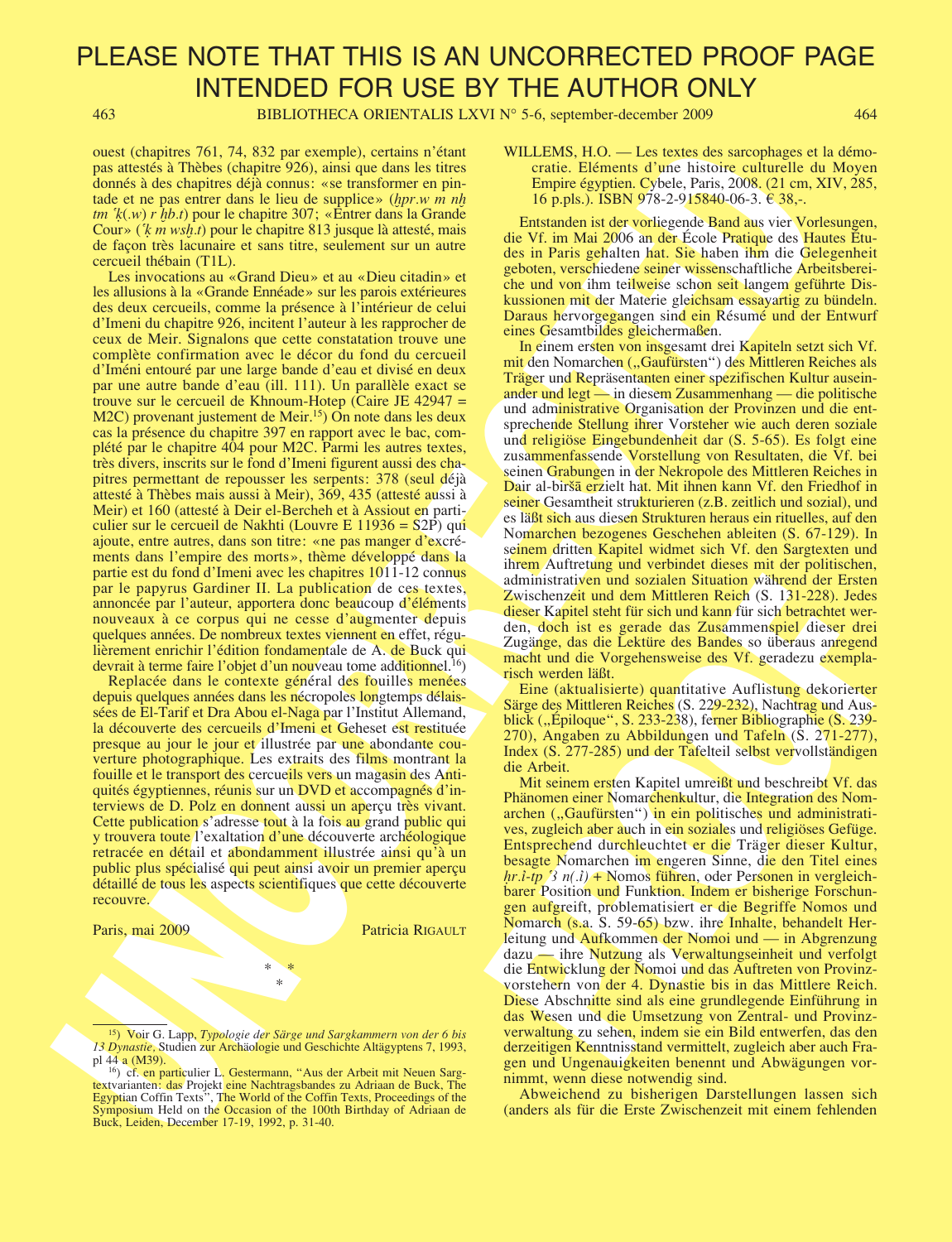463 BIBLIOTHECA ORIENTALIS LXVI N° 5-6, september-december 2009 464

ouest (chapitres 761, 74, 832 par exemple), certains n'étant pas attestés à Thèbes (chapitre 926), ainsi que dans les titres donnés à des chapitres déjà connus: «se transformer en pintade et ne pas entrer dans le lieu de supplice» (**Ì**pr.w m n**Ì** tm ¨**È**(.w) r **Ì**b.t) pour le chapitre 307; «Entrer dans la Grande Cour» (¨**È** m ws**Ì**.t) pour le chapitre 813 jusque là attesté, mais de façon très lacunaire et sans titre, seulement sur un autre cercueil thébain (T1L).

one of the<br>priori 200, 14, 32 per complex for each and the time Rosent of the December of the Rosent of the Rosent of the Rosent of the Rosent of the Rosent of the Rosent of the Rosent of the Rosent of the Rosent of the R Les invocations au «Grand Dieu» et au «Dieu citadin» et les allusions à la «Grande Ennéade» sur les parois extérieures des deux cercueils, comme la présence à l'intérieur de celui d'Imeni du chapitre 926, incitent l'auteur à les rapprocher de ceux de Meir. Signalons que cette constatation trouve une complète confirmation avec le décor du fond du cercueil d'Iméni entouré par une large bande d'eau et divisé en deux par une autre bande d'eau (ill. 111). Un parallèle exact se trouve sur le cercueil de Khnoum-Hotep (Caire JE 42947 = M2C) provenant justement de Meir.<sup>15</sup> On note dans les deux cas la présence du chapitre 397 en rapport avec le bac, complété par le chapitre 404 pour M2C. Parmi les autres textes, très divers, inscrits sur le fond d'Imeni figurent aussi des chapitres permettant de repousser les serpents: 378 (seul déjà attesté à Thèbes mais aussi à Meir), 369, 435 (attesté aussi à Meir) et 160 (attesté à Deir el-Bercheh et à Assiout en particulier sur le cercueil de Nakhti (Louvre E 11936 = S2P) qui ajoute, entre autres, dans son titre: «ne pas manger d'excréments dans l'empire des morts», thème développé dans la partie est du fond d'Imeni avec les chapitres 1011-12 connus par le papyrus Gardiner II. La publication de ces textes, annoncée par l'auteur, apportera donc beaucoup d'éléments nouveaux à ce corpus qui ne cesse d'augmenter depuis quelques années. De nombreux textes viennent en effet, régulièrement enrichir l'édition fondamentale de A. de Buck qui devrait à terme faire l'objet d'un nouveau tome additionnel.<sup>16</sup>)

Replacée dans le contexte général des fouilles menées depuis quelques années dans les nécropoles longtemps délaissées de El-Tarif et Dra Abou el-Naga par l'Institut Allemand, la découverte des cercueils d'Imeni et Geheset est restituée presque au jour le jour et illustrée par une abondante couverture photographique. Les extraits des films montrant la fouille et le transport des cercueils vers un magasin des Antiquités égyptiennes, réunis sur un DVD et accompagnés d'interviews de D. Polz en donnent aussi un aperçu très vivant. Cette publication s'adresse tout à la fois au grand public qui y trouvera toute l'exaltation d'une découverte archéologique retracée en détail et abondamment illustrée ainsi qu'à un public plus spécialisé qui peut ainsi avoir un premier aperçu détaillé de tous les aspects scientifiques que cette découverte recouvre.

#### Paris, mai 2009 Patricia RIGAULT

\* \* \*

WILLEMS, H.O. — Les textes des sarcophages et la démocratie. Eléments d'une histoire culturelle du Moyen Empire égyptien. Cybele, Paris, 2008. (21 cm, XIV, 285, 16 p.pls.). ISBN 978-2-915840-06-3.  $\epsilon$  38,-.

Entstanden ist der vorliegende Band aus vier Vorlesungen, die Vf. im Mai 2006 an der École Pratique des Hautes Études in Paris gehalten hat. Sie haben ihm die Gelegenheit geboten, verschiedene seiner wissenschaftliche Arbeitsbereiche und von ihm teilweise schon seit langem geführte Diskussionen mit der Materie gleichsam essayartig zu bündeln. Daraus hervorgegangen sind ein Résumé und der Entwurf eines Gesamtbildes gleichermaßen.

In einem ersten von insgesamt drei Kapiteln setzt sich Vf. mit den Nomarchen ("Gaufürsten") des Mittleren Reiches als Träger und Repräsentanten einer spezifischen Kultur auseinander und legt — in diesem Zusammenhang — die politische und administrative Organisation der Provinzen und die entsprechende Stellung ihrer Vorsteher wie auch deren soziale und religiöse Eingebundenheit dar (S. 5-65). Es folgt eine zusammenfassende Vorstellung von Resultaten, die Vf. bei seinen Grabungen in der Nekropole des Mittleren Reiches in Dair al-birš<del>ā erz</del>ielt hat. Mit ihnen kann Vf. den Friedhof in seiner Gesamtheit strukturieren (z.B. zeitlich und sozial), und es läßt sich aus diesen Strukturen heraus ein rituelles, auf den Nomarchen bezogenes Geschehen ableiten (S. 67-129). In seinem dritten Kapitel widmet sich Vf. den Sargtexten und ihrem Auftretung und verbindet dieses mit der politischen, administrativen und sozialen Situation während der Ersten Zwischenzeit und dem Mittleren Reich (S. 131-228). Jedes dieser Kapitel steht für sich und kann für sich betrachtet werden, doch ist es gerade das Zusammenspiel dieser drei Zugänge, das die Lektüre des Bandes so überaus anregend macht und die Vorgehensweise des Vf. geradezu exemplarisch werden läßt.

Eine (aktualisierte) quantitative Auflistung dekorierter Särge des Mittleren Reiches (S. 229-232), Nachtrag und Ausblick ("Epiloque", S. 233-238), ferner Bibliographie (S. 239-270), Angaben zu Abbildungen und Tafeln (S. 271-277), Index (S. 277-285) und der Tafelteil selbst vervollständigen die Arbeit.

administrativen und sozialen Situation während der Ersten<br>
Zwischenzeit und dem Mittleren Reich (S. 131-228). Jedes<br>
dieser Kapitel steht für sich und kann für sich berrachtet ver-<br>
den, doch ist es gerade das Zusammenspi Mit seinem ersten Kapitel umreißt und beschreibt Vf. das Phänomen einer Nomarchenkultur, die Integration des Nomarchen ("Gaufürsten") in ein politisches und administratives, zugleich aber auch in ein soziales und religiöses Gefüge. Entsprechend durchleuchtet er die Träger dieser Kultur, besagte Nomarchen im engeren Sinne, die den Titel eines *hr.i-tp*  $\hat{i}$  n(.*i*) + Nomos führen, oder Personen in vergleichbarer Position und Funktion. Indem er bisherige Forschungen aufgreift, problematisiert er die Begriffe Nomos und Nomarch (s.a. S. 59-65) bzw. ihre Inhalte, behandelt Herleitung und Aufkommen der Nomoi und — in Abgrenzung dazu — ihre Nutzung als Verwaltungseinheit und verfolgt die Entwicklung der Nomoi und das Auftreten von Provinzvorstehern von der 4. Dynastie bis in das Mittlere Reich. Diese Abschnitte sind als eine grundlegende Einführung in das Wesen und die Umsetzung von Zentral- und Provinzverwaltung zu sehen, indem sie ein Bild entwerfen, das den derzeitigen Kenntnisstand vermittelt, zugleich aber auch Fragen und Ungenauigkeiten benennt und Abwägungen vornimmt, wenn diese notwendig sind.

Abweichend zu bisherigen Darstellungen lassen sich (anders als für die Erste Zwischenzeit mit einem fehlenden

<sup>&</sup>lt;sup>15</sup>) Voir G. Lapp, Typologie der Särge und Sargkammern von der 6 bis 13 Dynastie, Studien zur Archäologie und Geschichte Altägyptens 7, 1993, pl 44 a (M39).

<sup>&</sup>lt;sup>16</sup>) cf. en particulier L. Gestermann, "Aus der Arbeit mit Neuen Sargtextvarianten: das Projekt eine Nachtragsbandes zu Adriaan de Buck, The Egyptian Coffin Texts", The World of the Coffin Texts, Proceedings of the Symposium Held on the Occasion of the 100th Birthday of Adriaan de Buck, Leiden, December 17-19, 1992, p. 31-40.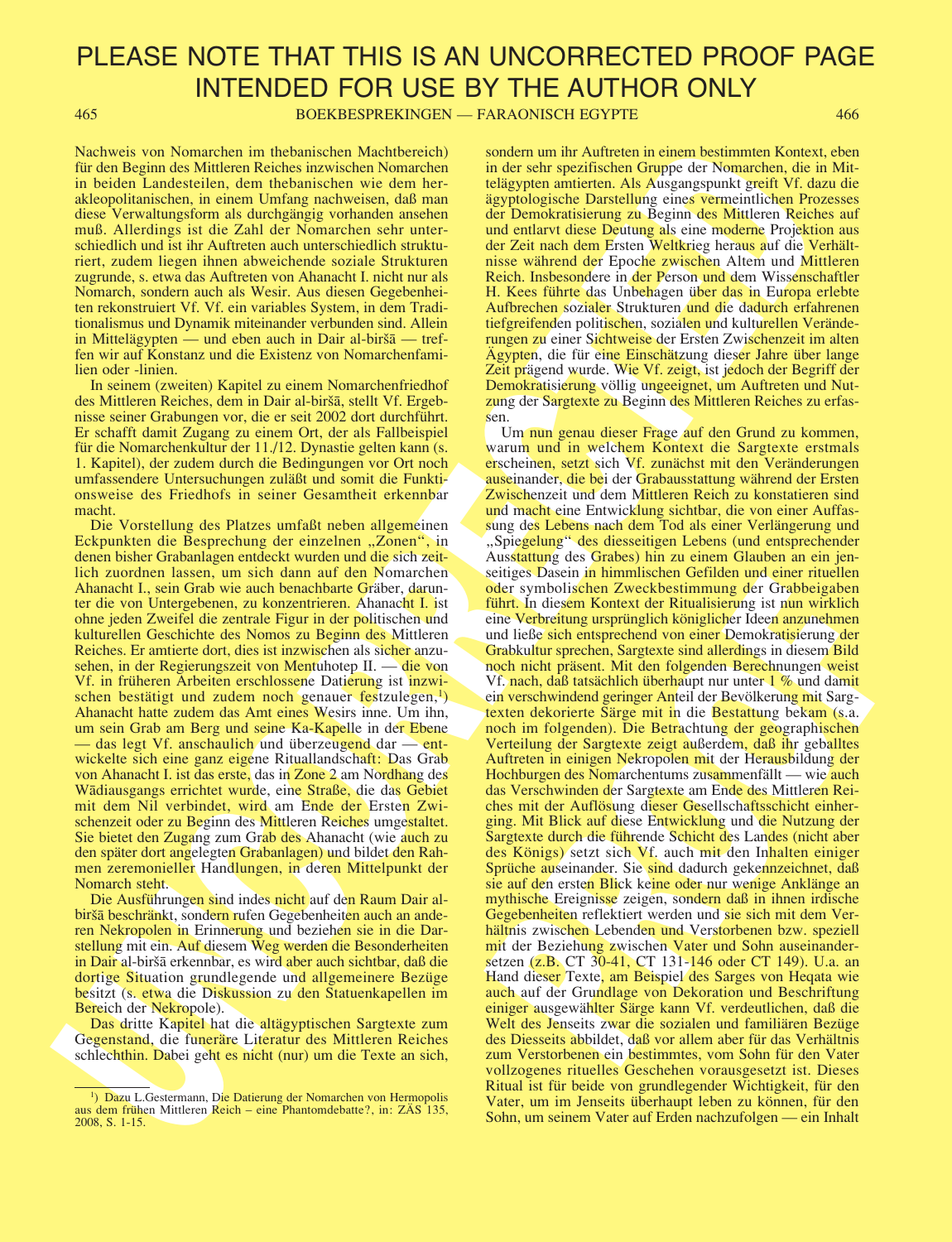465 BOEKBESPREKINGEN — FARAONISCH EGYPTE 466

Nachweis von Nomarchen im thebanischen Machtbereich) für den Beginn des Mittleren Reiches inzwischen Nomarchen in beiden Landesteilen, dem thebanischen wie dem herakleopolitanischen, in einem Umfang nachweisen, daß man diese Verwaltungsform als durchgängig vorhanden ansehen muß. Allerdings ist die Zahl der Nomarchen sehr unterschiedlich und ist ihr Auftreten auch unterschiedlich strukturiert, zudem liegen ihnen abweichende soziale Strukturen zugrunde, s. etwa das Auftreten von Ahanacht I. nicht nur als Nomarch, sondern auch als Wesir. Aus diesen Gegebenheiten rekonstruiert Vf. Vf. ein variables System, in dem Traditionalismus und Dynamik miteinander verbunden sind. Allein in Mittelägypten — und eben auch in Dair al-biršā — treffen wir auf Konstanz und die Existenz von Nomarchenfamilien oder -linien.

In seinem (zweiten) Kapitel zu einem Nomarchenfriedhof des Mittleren Reiches, dem in Dair al-birsa, stellt Vf. Ergebnisse seiner Grabungen vor, die er seit 2002 dort durchführt. Er schafft damit Zugang zu einem Ort, der als Fallbeispiel für die Nomarchenkultur der 11./12. Dynastie gelten kann (s. 1. Kapitel), der zudem durch die Bedingungen vor Ort noch umfassendere Untersuchungen zuläßt und somit die Funktionsweise des Friedhofs in seiner Gesamtheit erkennbar macht.

Die Vorstellung des Platzes umfaßt neben allgemeinen Eckpunkten die Besprechung der einzelnen "Zonen", in denen bisher Grabanlagen entdeckt wurden und die sich zeitlich zuordnen lassen, um sich dann auf den Nomarchen Ahanacht I., sein Grab wie auch benachbarte Gräber, darunter die von Untergebenen, zu konzentrieren. Ahanacht I. ist ohne jeden Zweifel die zentrale Figur in der politischen und kulturellen Geschichte des Nomos zu Beginn des Mittleren Reiches. Er amtierte dort, dies ist inzwischen als sicher anzusehen, in der Regierungszeit von Mentuhotep II. — die von Vf. in früheren Arbeiten erschlossene Datierung ist inzwischen bestätigt und zudem noch genauer festzulegen, $\frac{1}{2}$ Ahanacht hatte zudem das Amt eines Wesirs inne. Um ihn, um sein Grab am Berg und seine Ka-Kapelle in der Ebene — das legt Vf. anschaulich und überzeugend dar — entwickelte sich eine ganz eigene Rituallandschaft: Das Grab von Ahanacht I. ist das erste, das in Zone 2 am Nordhang des Wadiausgangs errichtet wurde, eine Straße, die das Gebiet mit dem Nil verbindet, wird am Ende der Ersten Zwischenzeit oder zu Beginn des Mittleren Reiches umgestaltet. Sie bietet den Zugang zum Grab des Ahanacht (wie auch zu den später dort angelegten Grabanlagen) und bildet den Rahmen zeremonieller Handlungen, in deren Mittelpunkt der Nomarch steht.

Die Ausführungen sind indes nicht auf den Raum Dair albiršā beschränkt, sondern rufen Gegebenheiten auch an anderen Nekropolen in Erinnerung und beziehen sie in die Darstellung mit ein. Auf diesem Weg werden die Besonderheiten in Dair al-biršā erkennbar, es wird aber auch sichtbar, daß die dortige Situation grundlegende und allgemeinere Bezüge besitzt (s. etwa die Diskussion zu den Statuenkapellen im Bereich der Nekropole).

Das dritte Kapitel hat die altägyptischen Sargtexte zum Gegenstand, die funeräre Literatur des Mittleren Reiches schlechthin. Dabei geht es nicht (nur) um die Texte an sich, sondern um ihr Auftreten in einem bestimmten Kontext, eben in der sehr spezifischen Gruppe der Nomarchen, die in Mittelägypten amtierten. Als Ausgangspunkt greift Vf. dazu die ägyptologische Darstellung eines vermeintlichen Prozesses der Demokratisierung zu Beginn des Mittleren Reiches auf und entlarvt diese Deutung als eine moderne Projektion aus der Zeit nach dem Ersten Weltkrieg heraus auf die Verhältnisse während der Epoche zwischen Altem und Mittleren Reich. Insbesondere in der Person und dem Wissenschaftler H. Kees führte das Unbehagen über das in Europa erlebte Aufbrechen sozialer Strukturen und die dadurch erfahrenen tiefgreifenden politischen, sozialen und kulturellen Veränderungen zu einer Sichtweise der Ersten Zwischenzeit im alten Ägypten, die für eine Einschätzung dieser Jahre über lange Zeit prägend wurde. Wie Vf. zeigt, ist jedoch der Begriff der Demokratisierung völlig ungeeignet, um Auftreten und Nutzung der Sargtexte zu Beginn des Mittleren Reiches zu erfassen.

Network von Monten times and the basis and the same of the same of the same of the same of the same of the same of the same of the same of the same of the same of the same of the same of the same of the same of the same o seuers Dassein in immissionen der der meinstenen das der symbolischen Zweckbeitminung der Grabbeigaben führt. In diesem Kontext der kitualisierung ist nun wirklich einer Verbreitung verprünglich königlicher Ideen anzumehne Um nun genau dieser Frage auf den Grund zu kommen, warum und in welchem Kontext die Sargtexte erstmals erscheinen, setzt sich Vf. zunächst mit den Veränderungen auseinander, die bei der Grabausstattung während der Ersten Zwischenzeit und dem Mittleren Reich zu konstatieren sind und macht eine Entwicklung sichtbar, die von einer Auffassung des Lebens nach dem Tod als einer Verlängerung und "Spiegelung" des diesseitigen Lebens (und entsprechender Ausstattung des Grabes) hin zu einem Glauben an ein jenseitiges Dasein in himmlischen Gefilden und einer rituellen oder symbolischen Zweckbestimmung der Grabbeigaben führt. In diesem Kontext der Ritualisierung ist nun wirklich eine Verbreitung ursprünglich königlicher Ideen anzunehmen und ließe sich entsprechend von einer Demokratisierung der Grabkultur sprechen, Sargtexte sind allerdings in diesem Bild noch nicht präsent. Mit den folgenden Berechnungen weist Vf. nach, daß tatsächlich überhaupt nur unter 1 % und damit ein verschwindend geringer Anteil der Bevölkerung mit Sargtexten dekorierte Särge mit in die Bestattung bekam (s.a. noch im folgenden). Die Betrachtung der geographischen Verteilung der Sargtexte zeigt außerdem, daß ihr geballtes Auftreten in einigen Nekropolen mit der Herausbildung der Hochburgen des Nomarchentums zusammenfällt — wie auch das Verschwinden der Sargtexte am Ende des Mittleren Reiches mit der Auflösung dieser Gesellschaftsschicht einherging. Mit Blick auf diese Entwicklung und die Nutzung der Sargtexte durch die führende Schicht des Landes (nicht aber des Königs) setzt sich Vf. auch mit den Inhalten einiger Sprüche auseinander. Sie sind dadurch gekennzeichnet, daß sie auf den ersten Blick keine oder nur wenige Anklänge an mythische Ereignisse zeigen, sondern daß in ihnen irdische Gegebenheiten reflektiert werden und sie sich mit dem Verhältnis zwischen Lebenden und Verstorbenen bzw. speziell mit der Beziehung zwischen Vater und Sohn auseinandersetzen (z.B. CT 30-41, CT 131-146 oder CT 149). U.a. an Hand dieser Texte, am Beispiel des Sarges von Heqata wie auch auf der Grundlage von Dekoration und Beschriftung einiger ausgewählter Särge kann Vf. verdeutlichen, daß die Welt des Jenseits zwar die sozialen und familiären Bezüge des Diesseits abbildet, daß vor allem aber für das Verhältnis zum Verstorbenen ein bestimmtes, vom Sohn für den Vater vollzogenes rituelles Geschehen vorausgesetzt ist. Dieses Ritual ist für beide von grundlegender Wichtigkeit, für den Vater, um im Jenseits überhaupt leben zu können, für den Sohn, um seinem Vater auf Erden nachzufolgen — ein Inhalt

<sup>&</sup>lt;sup>1</sup>) Dazu L.Gestermann, Die Datierung der Nomarchen von Hermopolis aus dem frühen Mittleren Reich – eine Phantomdebatte?, in: ZÄS 135, 2008, S. 1-15.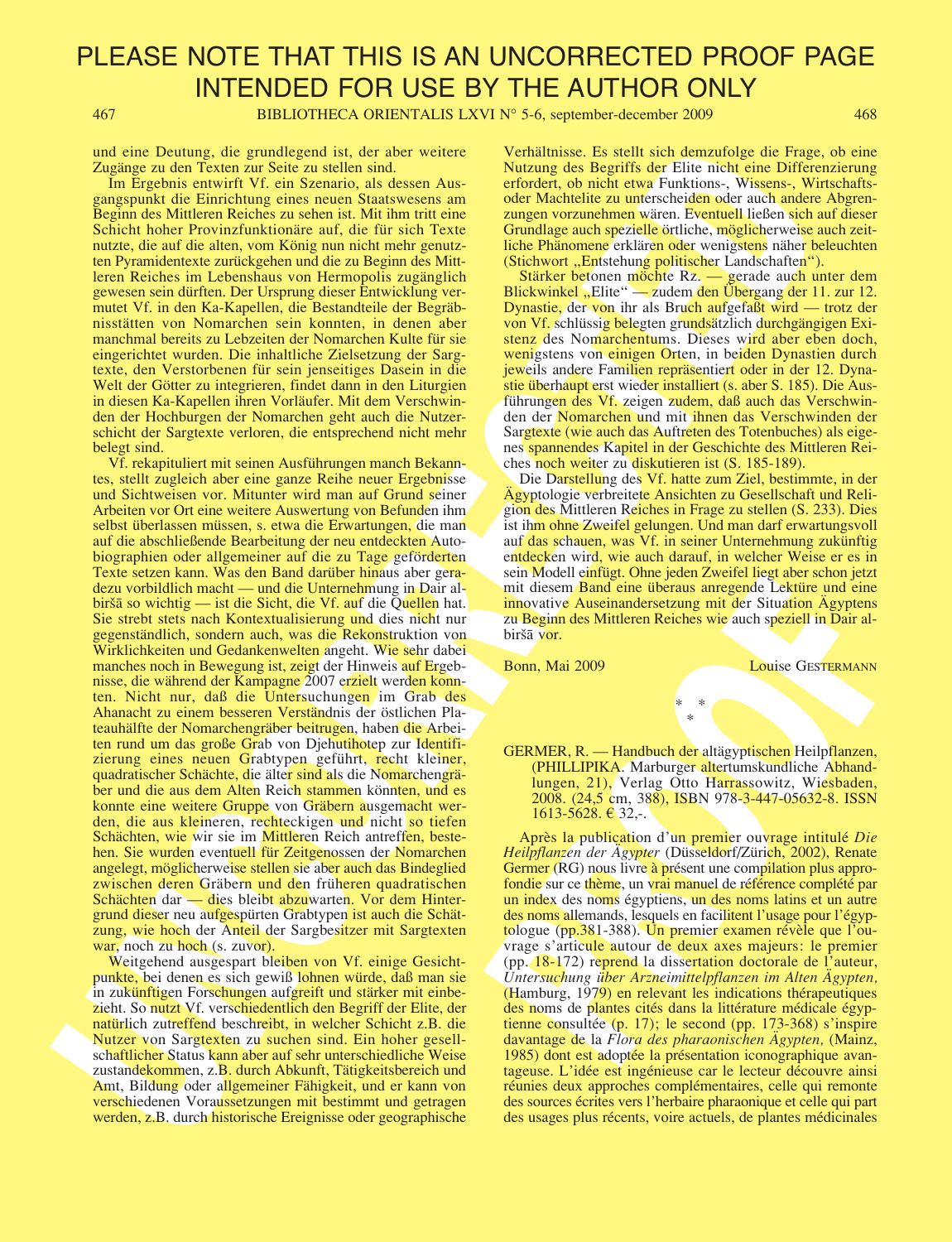467 BIBLIOTHECA ORIENTALIS LXVI N° 5-6, september-december 2009 468

und eine Deutung, die grundlegend ist, der aber weitere Zugänge zu den Texten zur Seite zu stellen sind.

Im Ergebnis entwirft Vf. ein Szenario, als dessen Ausgangspunkt die Einrichtung eines neuen Staatswesens am Beginn des Mittleren Reiches zu sehen ist. Mit ihm tritt eine Schicht hoher Provinzfunktionäre auf, die für sich Texte nutzte, die auf die alten, vom König nun nicht mehr genutzten Pyramidentexte zurückgehen und die zu Beginn des Mittleren Reiches im Lebenshaus von Hermopolis zugänglich gewesen sein dürften. Der Ursprung dieser Entwicklung vermutet Vf. in den Ka-Kapellen, die Bestandteile der Begräbnisstätten von Nomarchen sein konnten, in denen aber manchmal bereits zu Lebzeiten der Nomarchen Kulte für sie eingerichtet wurden. Die inhaltliche Zielsetzung der Sargtexte, den Verstorbenen für sein jenseitiges Dasein in die Welt der Götter zu integrieren, findet dann in den Liturgien in diesen Ka-Kapellen ihren Vorläufer. Mit dem Verschwinden der Hochburgen der Nomarchen geht auch die Nutzerschicht der Sargtexte verloren, die entsprechend nicht mehr belegt sind.

The Research of Remain control is at the state. We also that we have a statistically controlled in the state of Remain controlled in the state of Remain controlled in the state of Remain controlled in the state of Remain Vf. rekapituliert mit seinen Ausführungen manch Bekanntes, stellt zugleich aber eine ganze Reihe neuer Ergebnisse und Sichtweisen vor. Mitunter wird man auf Grund seiner Arbeiten vor Ort eine weitere Auswertung von Befunden ihm selbst überlassen müssen, s. etwa die Erwartungen, die man auf die abschließende Bearbeitung der neu entdeckten Autobiographien oder allgemeiner auf die zu Tage geförderten Texte setzen kann. Was den Band darüber hinaus aber geradezu vorbildlich macht — und die Unternehmung in Dair albiršā so wichtig — ist die Sicht, die Vf. auf die Quellen hat. Sie strebt stets nach Kontextualisierung und dies nicht nur gegenständlich, sondern auch, was die Rekonstruktion von Wirklichkeiten und Gedankenwelten angeht. Wie sehr dabei manches noch in Bewegung ist, zeigt der Hinweis auf Ergebnisse, die während der Kampagne 2007 erzielt werden konnten. Nicht nur, daß die Untersuchungen im Grab des Ahanacht zu einem besseren Verständnis der östlichen Plateauhälfte der Nomarchengräber beitrugen, haben die Arbeiten rund um das große Grab von Djehutihotep zur Identifizierung eines neuen Grabtypen geführt, recht kleiner, quadratischer Schächte, die älter sind als die Nomarchengräber und die aus dem Alten Reich stammen könnten, und es konnte eine weitere Gruppe von Gräbern ausgemacht werden, die aus kleineren, rechteckigen und nicht so tiefen Schächten, wie wir sie im Mittleren Reich antreffen, bestehen. Sie wurden eventuell für Zeitgenossen der Nomarchen angelegt, möglicherweise stellen sie aber auch das Bindeglied zwischen deren Gräbern und den früheren quadratischen Schächten dar — dies bleibt abzuwarten. Vor dem Hintergrund dieser neu aufgespürten Grabtypen ist auch die Schätzung, wie hoch der Anteil der Sargbesitzer mit Sargtexten war, noch zu hoch (s. zuvor).

Weitgehend ausgespart bleiben von Vf. einige Gesichtpunkte, bei denen es sich gewiß lohnen würde, daß man sie in zukünftigen Forschungen aufgreift und stärker mit einbezieht. So nutzt Vf. verschiedentlich den Begriff der Elite, der natürlich zutreffend beschreibt, in welcher Schicht z.B. die Nutzer von Sargtexten zu suchen sind. Ein hoher gesellschaftlicher Status kann aber auf sehr unterschiedliche Weise zustandekommen, z.B. durch Abkunft, Tätigkeitsbereich und Amt, Bildung oder allgemeiner Fähigkeit, und er kann von verschiedenen Voraussetzungen mit bestimmt und getragen werden, z.B. durch historische Ereignisse oder geographische

Verhältnisse. Es stellt sich demzufolge die Frage, ob eine Nutzung des Begriffs der Elite nicht eine Differenzierung erfordert, ob nicht etwa Funktions-, Wissens-, Wirtschaftsoder Machtelite zu unterscheiden oder auch andere Abgrenzungen vorzunehmen wären. Eventuell ließen sich auf dieser Grundlage auch spezielle örtliche, möglicherweise auch zeitliche Phänomene erklären oder wenigstens näher beleuchten (Stichwort "Entstehung politischer Landschaften").

Stärker betonen möchte Rz. — gerade auch unter dem Blickwinkel "Elite" — zudem den Übergang der 11. zur 12. Dynastie, der von ihr als Bruch aufgefaßt wird — trotz der von Vf. schlüssig belegten grundsätzlich durchgängigen Existenz des Nomarchentums. Dieses wird aber eben doch, wenigstens von einigen Orten, in beiden Dynastien durch jeweils andere Familien repräsentiert oder in der 12. Dynastie überhaupt erst wieder installiert (s. aber S. 185). Die Ausführungen des Vf. zeigen zudem, daß auch das Verschwinden der Nomarchen und mit ihnen das Verschwinden der Sargtexte (wie auch das Auftreten des Totenbuches) als eigenes spannendes Kapitel in der Geschichte des Mittleren Reiches noch weiter zu diskutieren ist (S. 185-189).

Die Darstellung des Vf. hatte zum Ziel, bestimmte, in der Ägyptologie verbreitete Ansichten zu Gesellschaft und Religion des Mittleren Reiches in Frage zu stellen (S. 233). Dies ist ihm ohne Zweifel gelungen. Und man darf erwartungsvoll auf das schauen, was Vf. in seiner Unternehmung zukünftig entdecken wird, wie auch darauf, in welcher Weise er es in sein Modell einfügt. Ohne jeden Zweifel liegt aber schon jetzt mit diesem Band eine überaus anregende Lektüre und eine innovative Auseinandersetzung mit der Situation Ägyptens zu Beginn des Mittleren Reiches wie auch speziell in Dair albiršā vor.

Bonn, Mai 2009 Louise GESTERMANN

GERMER, R. — Handbuch der altägyptischen Heilpflanzen, (PHILLIPIKA. Marburger altertumskundliche Abhandlungen, 21), Verlag Otto Harrassowitz, Wiesbaden, 2008. (24,5 cm, 388), ISBN 978-3-447-05632-8. ISSN 1613-5628. € 32,-.

\* \* \*

sent wooden Band eine Uberaus antegende Lektüre und eine innovative Auseinandersetzung mit der Situation Ägyptens zu Beginn des Mittleren Reiches wie auch speziell in Dair al-<br>
zu Beginn des Mittleren Reiches wie auch spe Après la publication d'un premier ouvrage intitulé Die Heilpflanzen der Ägypter (Düsseldorf/Zürich, 2002), Renate Germer (RG) nous livre à présent une compilation plus approfondie sur ce thème, un vrai manuel de référence complété par un index des noms égyptiens, un des noms latins et un autre des noms allemands, lesquels en facilitent l'usage pour l'égyptologue (pp.381-388). Un premier examen révèle que l'ouvrage s'articule autour de deux axes majeurs: le premier (pp. 18-172) reprend la dissertation doctorale de l'auteur, Untersuchung über Arzneimittelpflanzen im Alten Ägypten, (Hamburg, 1979) en relevant les indications thérapeutiques des noms de plantes cités dans la littérature médicale égyptienne consultée (p. 17); le second (pp. 173-368) s'inspire davantage de la Flora des pharaonischen Ägypten, (Mainz, 1985) dont est adoptée la présentation iconographique avantageuse. L'idée est ingénieuse car le lecteur découvre ainsi réunies deux approches complémentaires, celle qui remonte des sources écrites vers l'herbaire pharaonique et celle qui part des usages plus récents, voire actuels, de plantes médicinales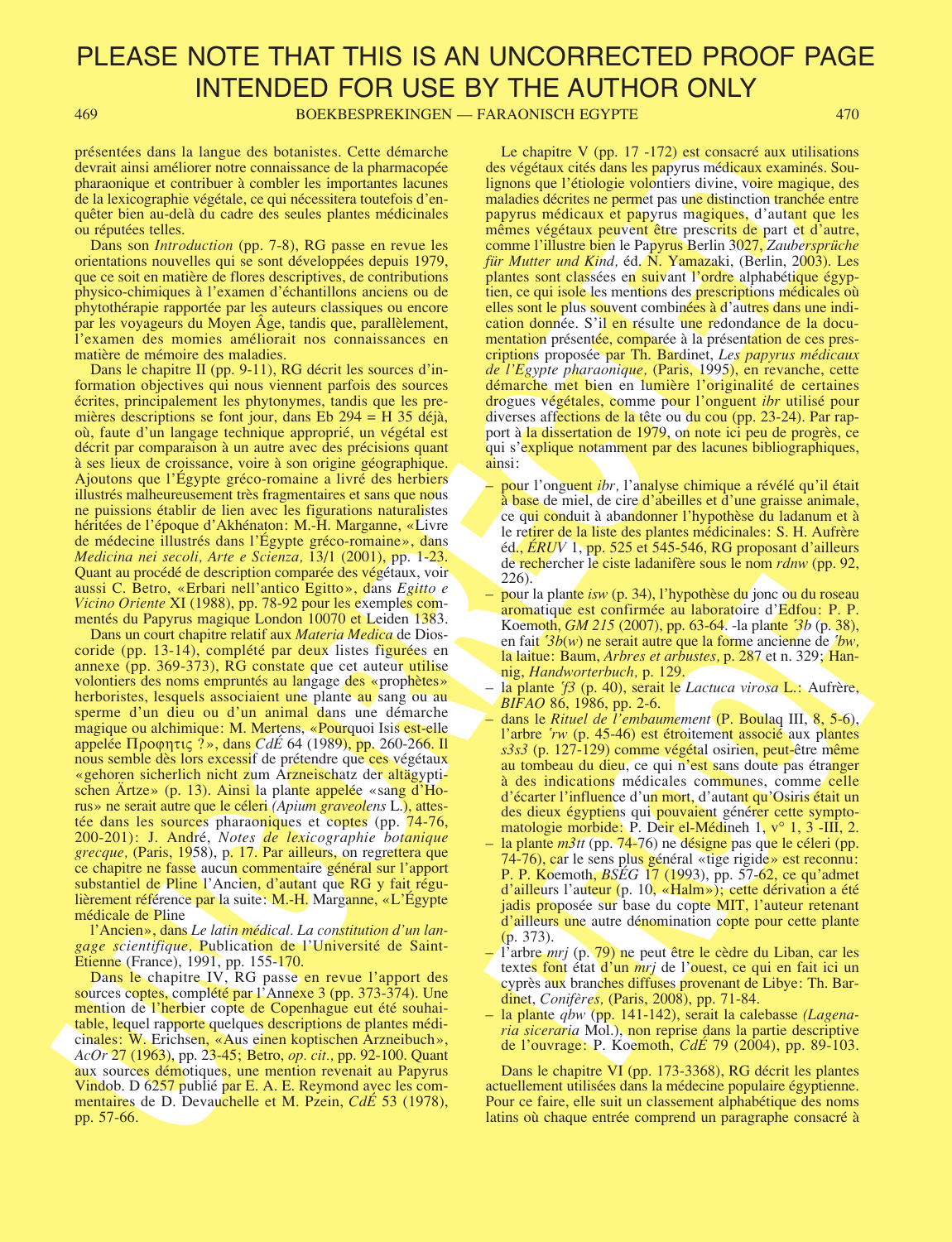469 BOEKBESPREKINGEN — FARAONISCH EGYPTE 470

présentées dans la langue des botanistes. Cette démarche devrait ainsi améliorer notre connaissance de la pharmacopée pharaonique et contribuer à combler les importantes lacunes de la lexicographie végétale, ce qui nécessitera toutefois d'enquêter bien au-delà du cadre des seules plantes médicinales ou réputées telles.

Dans son Introduction (pp. 7-8), RG passe en revue les orientations nouvelles qui se sont développées depuis 1979, que ce soit en matière de flores descriptives, de contributions physico-chimiques à l'examen d'échantillons anciens ou de phytothérapie rapportée par les auteurs classiques ou encore par les voyageurs du Moyen Âge, tandis que, parallèlement, l'examen des momies améliorait nos connaissances en matière de mémoire des maladies.

Dans le chapitre II (pp. 9-11), RG décrit les sources d'information objectives qui nous viennent parfois des sources écrites, principalement les phytonymes, tandis que les premières descriptions se font jour, dans Eb 294 = H 35 déjà, où, faute d'un langage technique approprié, un végétal est décrit par comparaison à un autre avec des précisions quant à ses lieux de croissance, voire à son origine géographique. Ajoutons que l'Égypte gréco-romaine a livré des herbiers illustrés malheureusement très fragmentaires et sans que nous ne puissions établir de lien avec les figurations naturalistes héritées de l'époque d'Akhénaton: M.-H. Marganne, «Livre de médecine illustrés dans l'Égypte gréco-romaine», dans Medicina nei secoli, Arte e Scienza, 13/1 (2001), pp. 1-23. Quant au procédé de description comparée des végétaux, voir aussi C. Betro, «Erbari nell'antico Egitto», dans Egitto e Vicino Oriente XI (1988), pp. 78-92 pour les exemples commentés du Papyrus magique London 10070 et Leiden 1383.

procedure distinguishes, control and the species of the control and the species of the species of the species of the species of the species of the species of the species of the species of the species of the species of the Dans un court chapitre relatif aux Materia Medica de Dioscoride (pp. 13-14), complété par deux listes figurées en annexe (pp. 369-373), RG constate que cet auteur utilise volontiers des noms empruntés au langage des «prophètes» herboristes, lesquels associaient une plante au sang ou au sperme d'un dieu ou d'un animal dans une démarche magique ou alchimique: M. Mertens, «Pourquoi Isis est-elle appelée  $\Pi$ ροφητις ?», dans CdE 64 (1989), pp. 260-266. Il nous semble dès lors excessif de prétendre que ces végétaux «gehoren sicherlich nicht zum Arzneischatz der altägyptischen Ärtze» (p. 13). Ainsi la plante appelée «sang d'Horus» ne serait autre que le céleri (Apium graveolens L.), attestée dans les sources pharaoniques et coptes (pp. 74-76, 200-201): J. André, Notes de lexicographie botanique grecque, (Paris, 1958), p. 17. Par ailleurs, on regrettera que ce chapitre ne fasse aucun commentaire général sur l'apport substantiel de Pline l'Ancien, d'autant que RG y fait régulièrement référence par la suite: M.-H. Marganne, «L'Égypte médicale de Pline

l'Ancien», dans Le latin médical. La constitution d'un langage scientifique, Publication de l'Université de Saint-Etienne (France), 1991, pp. 155-170.

Dans le chapitre IV, RG passe en revue l'apport des sources coptes, complété par l'Annexe 3 (pp. 373-374). Une mention de l'herbier copte de Copenhague eut été souhaitable, lequel rapporte quelques descriptions de plantes médicinales: W. Erichsen, «Aus einen koptischen Arzneibuch», AcOr 27 (1963), pp. 23-45; Betro, op. cit., pp. 92-100. Quant aux sources démotiques, une mention revenait au Papyrus Vindob. D 6257 publié par E. A. E. Reymond avec les commentaires de D. Devauchelle et M. Pzein, CdE 53 (1978), pp. 57-66.

Le chapitre V (pp. 17 -172) est consacré aux utilisations des végétaux cités dans les papyrus médicaux examinés. Soulignons que l'étiologie volontiers divine, voire magique, des maladies décrites ne permet pas une distinction tranchée entre papyrus médicaux et papyrus magiques, d'autant que les mêmes végétaux peuvent être prescrits de part et d'autre, comme l'illustre bien le Papyrus Berlin 3027, Zaubersprüche für Mutter und Kind, éd. N. Yamazaki, (Berlin, 2003). Les plantes sont classées en suivant l'ordre alphabétique égyptien, ce qui isole les mentions des prescriptions médicales où elles sont le plus souvent combinées à d'autres dans une indication donnée. S'il en résulte une redondance de la documentation présentée, comparée à la présentation de ces prescriptions proposée par Th. Bardinet, Les papyrus médicaux de l'Egypte pharaonique, (Paris, 1995), en revanche, cette démarche met bien en lumière l'originalité de certaines drogues végétales, comme pour l'onguent ibr utilisé pour diverses affections de la tête ou du cou (pp. 23-24). Par rapport à la dissertation de 1979, on note ici peu de progrès, ce qui s'explique notamment par des lacunes bibliographiques, ainsi:

- pour l'onguent *ibr*, l'analyse chimique a révélé qu'il était à base de miel, de cire d'abeilles et d'une graisse animale, ce qui conduit à abandonner l'hypothèse du ladanum et à le retirer de la liste des plantes médicinales: S. H. Aufrère éd.,  $\angle$ *ERUV* 1, pp. 525 et 545-546, RG proposant d'ailleurs de rechercher le ciste ladanifère sous le nom rdnw (pp. 92, 226).
- pour la plante isw (p. 34), l'hypothèse du jonc ou du roseau aromatique est confirmée au laboratoire d'Edfou: P. P. Koemoth, *GM 215* (2007), pp. 63-64. -la plante <sup>3</sup>b (p. 38), en fait  $3b(w)$  ne serait autre que la forme ancienne de  $bw$ , la laitue: Baum, *Arbres et arbustes*, p. 287 et n. 329; Hannig, Handworterbuch, p. 129.
- la plante <sup>5</sup> (p. 40), serait le Lactuca virosa L.: Aufrère, BIFAO 86, 1986, pp. 2-6.
- 226).<br>
2261.<br>
2276.<br>
2276.<br>
2276.<br>
2276.<br>
2276.<br>
2276.<br>
2276.<br>
2276.<br>
2276.<br>
2276.<br>
2276.<br>
2276.<br>
2276.<br>
2276.<br>
2276.<br>
228.<br>
228.<br>
228.<br>
228.<br>
228.<br>
228.<br>
228.<br>
228.<br>
229.<br>
229.<br>
229.<br>
229.<br>
229.<br>
229.<br>
229.<br>
229.<br>
229.<br> – dans le Rituel de l'embaumement (P. Boulaq III, 8, 5-6), l'arbre 'rw (p. 45-46) est étroitement associé aux plantes s3s3 (p. 127-129) comme végétal osirien, peut-être même au tombeau du dieu, ce qui n'est sans doute pas étranger à des indications médicales communes, comme celle d'écarter l'influence d'un mort, d'autant qu'Osiris était un des dieux égyptiens qui pouvaient générer cette symptomatologie morbide: P. Deir el-Médineh 1, v° 1, 3 -III, 2.
- la plante  $m<sup>3</sup>$ tt (pp. 74-76) ne désigne pas que le céleri (pp. 74-76), car le sens plus général «tige rigide» est reconnu: P. P. Koemoth, *BSEG* 17 (1993), pp. 57-62, ce qu'admet d'ailleurs l'auteur (p. 10, «Halm»); cette dérivation a été jadis proposée sur base du copte MIT, l'auteur retenant d'ailleurs une autre dénomination copte pour cette plante (p. 373).
- l'arbre mrj (p. 79) ne peut être le cèdre du Liban, car les textes font état d'un *mrj* de l'ouest, ce qui en fait ici un cyprès aux branches diffuses provenant de Libye: Th. Bardinet, Conifères, (Paris, 2008), pp. 71-84.
- la plante qbw (pp. 141-142), serait la calebasse (Lagenaria siceraria Mol.), non reprise dans la partie descriptive de l'ouvrage: P. Koemoth, CdÉ 79 (2004), pp. 89-103.

Dans le chapitre VI (pp. 173-3368), RG décrit les plantes actuellement utilisées dans la médecine populaire égyptienne. Pour ce faire, elle suit un classement alphabétique des noms latins où chaque entrée comprend un paragraphe consacré à